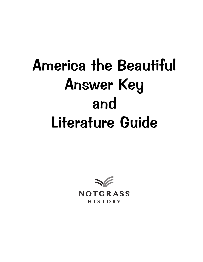# America the Beautiful Answer Key and Literature Guide

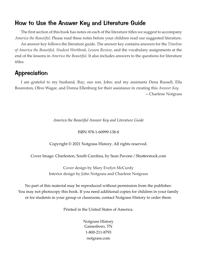## How to Use the Answer Key and Literature Guide

The first section of this book has notes on each of the literature titles we suggest to accompany *America the Beautiful*. Please read these notes before your children read our suggested literature.

An answer key follows the literature guide. The answer key contains answers for the *Timeline of America the Beautiful, Student Workbook, Lesson Review,* and the vocabulary assignments at the end of the lessons in *America the Beautiful*. It also includes answers to the questions for literature titles.

## Appreciation

I am grateful to my husband, Ray; our son, John; and my assistants Dena Russell, Ella Boureston, Olive Wagar, and Donna Ellenburg for their assistance in creating this *Answer Key*. —Charlene Notgrass

*America the Beautiful Answer Key and Literature Guide*

ISBN 978-1-60999-138-8

Copyright © 2021 Notgrass History. All rights reserved.

Cover Image: Charleston, South Carolina, by Sean Pavone / Shutterstock.com

Cover design by Mary Evelyn McCurdy Interior design by John Notgrass and Charlene Notgrass

No part of this material may be reproduced without permission from the publisher. You may not photocopy this book. If you need additional copies for children in your family or for students in your group or classroom, contact Notgrass History to order them.

Printed in the United States of America.

Notgrass History Gainesboro, TN 1-800-211-8793 notgrass.com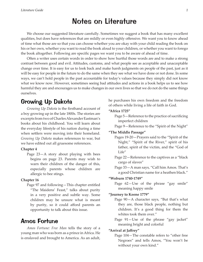## Notes on Literature

We choose our suggested literature carefully. Sometimes we suggest a book that has many excellent qualities, but does have references that are mildly or even highly offensive. We want you to know ahead of time what those are so that you can choose whether you are okay with your child reading the book on his or her own, whether you want to read the book aloud to your children, or whether you want to forego the book altogether. Following are specific pages we want you to be aware of ahead of time.

Often a writer uses certain words in order to show how hurtful those words are and to make a strong contrast between good and evil. Attitudes, customs, and what people see as acceptable and unacceptable change over time. It is easy for us to look back and make harsh judgments on people of the past, just as it will be easy for people in the future to do the same when they see what we have done or not done. In some ways, we can't hold people in the past accountable for today's values because they simply did not know what we know now. However, sometimes seeing bad attitudes and actions in a book helps us to see how harmful they are and encourages us to make changes in our own lives so that we do not do the same things ourselves.

## Growing Up Dakota

*Growing Up Dakota* is the firsthand account of a boy growing up in the late 1800s. The stories are excerpts from two of Charles Alexander Eastman's books about his childhood. You will learn about the everyday lifestyle of his nation during a time when settlers were moving into their homeland. *Growing Up Dakota* makes references to war, but we have edited out all gruesome references.

#### **Chapter 4**

Page 23—A story about playing with bees begins on page 23. Parents may wish to warn their children of the danger of this, especially parents whose children are allergic to bee stings.

#### **Chapter 16**

Page 97 and following—This chapter entitled "The Maidens' Feast," talks about purity in a very positive and subtle way. Some children may be unsure what is meant by purity, so it could afford parents an opportunity to talk about this issue.

## Amos Fortune

*Amos Fortune: Free Man* tells the story of a young man who was born as a prince in Africa. He is enslaved and brought to America. As an adult,

he purchases his own freedom and the freedom of others while living a life of faith in God.

#### **"Africa 1725"**

Page 5—Reference to the practice of sacrificing imperfect children

Page 9—Reference to the "Spirit of the Night"

#### **"The Middle Passage"**

- Pages 19-20—Prayers said to the "Spirit of the Night," "Spirit of the River," spirit of his father, spirit of the victim, and the "God of Life"
- Page 22—Reference to the captives as a "black cargo of slaves"
- Page 33—A man says, "Call him Amos. That's a good Christian name for a heathen black."

#### **"Woburn 1740-1749"**

Page 62—Use of the phrase "gay smile" meaning happy smile

#### **"Journey to Keene 1779"**

- Page 90—A character says, "But that's what they are, those black people, nothing but children. It's a good thing for them the whites took them over."
- Page 91—Use of the phrase "gay jacket" meaning bright and colorful

#### **"Arrival at Jaffrey"**

Page 104—The constable refers to "other free Negroes" and tells Amos, "You won't be without your own kind."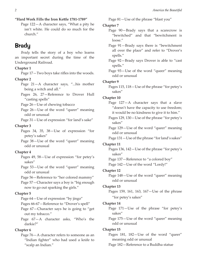#### **"Hard Work Fills the Iron Kettle 1781-1789"**

Page 122—A character says, "What a pity he isn't white. He could do so much for the church."

## **Brady**

*Brady* tells the story of a boy who learns an important secret during the time of the Underground Railroad.

#### **Chapter 1**

Page 17—Two boys take rifles into the woods.

#### **Chapter 2**

- Page 21—A character says, "...his mother being a witch and all."
- Pages 26, 27—Reference to Drover Hull "casting spells"

Page 26—Use of chewing tobacco

Page 26—Use of the word "queer" meaning odd or unusual

Page 31—Use of expression "for land's sake"

#### **Chapter 3**

Pages 34, 35, 38—Use of expression "for petey's sakes"

Page 38—Use of the word "queer" meaning odd or unusual

#### **Chapter 4**

- Pages 49, 58—Use of expression "for petey's sakes"
- Page 53—Use of the word "queer" meaning odd or unusual
- Page 56—Reference to "her colored mammy"
- Page 57—Character says a boy is "big enough now to go out sparking the girls."

#### **Chapter 5**

Page 64—Use of expression "by jingo"

- Pages 66-67—Reference to "Drover's spell"
- Page 67—Character says he is going to "get out my tobacco."
- Page 67—A character asks, "Who's the darkie?"

### **Chapter 6**

Page 76—A character refers to someone as an "Indian fighter" who had used a knife to "scalp an Indian."

Page 81—Use of the phrase "blast you"

#### **Chapter 7**

- Page 90—Brady says that a scarecrow is "bewitched" and that "bewitchment is loose."
- Page 91—Brady says there is "bewitchment all over the place" and refer to "Drover's spells."
- Page 92—Brady says Drover is able to "cast spells."
- Page 93—Use of the word "queer" meaning odd or unusual

#### **Chapter 9**

Pages 115, 118—Use of the phrase "for petey's sakes"

#### **Chapter 10**

- Page 127—A character says that a slave "doesn't have the capacity to use freedom; it would be no kindness to give it to him."
- Pages 129, 130—Use of the phrase "for petey's sakes"
- Page 129—Use of the word "queer" meaning odd or unusual

Page 131—Use of the phrase "for land's sakes"

#### **Chapter 11**

Pages 136, 142—Use of the phrase "for petey's sakes"

Page 137—Reference to "a colored boy"

Page 142—Use of the word "Lordy!"

#### **Chapter 12**

Page 148—Use of the word "queer" meaning odd or unusual

#### **Chapter 13**

Pages 159, 161, 163, 167—Use of the phrase "for petey's sakes"

#### **Chapter 14**

Page 171—Use of the phrase "for petey's sakes"

Page 175—Use of the word "queer" meaning odd or unusual

#### **Chapter 15**

Pages 181, 182—Use of the word "queer" meaning odd or unusual

Page 182—Reference to a Buddha statue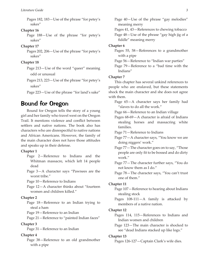Pages 182, 183—Use of the phrase "for petey's sakes"

#### **Chapter 16**

Page 188—Use of the phrase "for petey's sakes"

#### **Chapter 17**

Pages 202, 206—Use of the phrase "for petey's sakes"

#### **Chapter 18**

Page 213—Use of the word "queer" meaning odd or unusual

Pages 213, 223—Use of the phrase "for petey's sakes"

Page 223—Use of the phrase "for land's sake"

## Bound for Oregon

Bound for Oregon tells the story of a young girl and her family who travel west on the Oregon Trail. It mentions violence and conflict between settlers and native nations. The book also has characters who are disrespectful to native nations and African Americans. However, the family of the main character does not have those attitudes and speaks up in their defense.

#### **Chapter 1**

- Page 2—Reference to Indians and the Whitman massacre, which left 14 people dead
- Page 3—A character says "Pawnees are the worst tribe."

Page 10—Reference to Indians

Page 12—A character thinks about "fourteen women and children killed."

#### **Chapter 2**

Page 18—Reference to an Indian trying to steal a ham

Page 19—Reference to an Indian

Page 21—Reference to "painted Indian faces"

#### **Chapter 3**

Page 31—Reference to an Indian

#### **Chapter 4**

Page 38—Reference to an old grandmother with a pipe

Page 40—Use of the phrase "gay melodies" meaning merry

Pages 41, 43—References to chewing tobacco

Page 48—Use of the phrase "gay high jig of a fiddle" meaning merry

#### **Chapter 6**

Pages 55, 58—References to a grandmother with a pipe

Page 56—Reference to "Indian war parties"

Page 79—Reference to a "bad time with the Indians"

#### **Chapter 7**

This chapter has several unkind references to people who are enslaved, but these statements shock the main character and she does not agree with them.

Page 65—A character says her family had "slaves to do all the work."

Page 66—Reference to an Indian village

- Pages 68-69—A character is afraid of Indians stealing horses and massacring white families.
- Page 71—Reference to Indians
- Page 77—A character says, "You know we are doing niggers' work."
- Page 77—The character goes on to say, "Those people are only fit to be bossed and do dirty work."
- Page 77—The character further says, "You do not know them as I do."
- Page 78—The character says, "You can't trust one of them."

#### **Chapter 11**

Page 107—Reference to hearing about Indians stealing stock

Pages 108-111—A family is attacked by members of a native nation.

#### **Chapter 12**

Pages 114, 115—References to Indians and Indian women and children

Page 123—The main character is shocked to see "dead Indians stacked up like logs."

#### **Chapter 13**

Pages 126-127—Captain Clark's wife dies.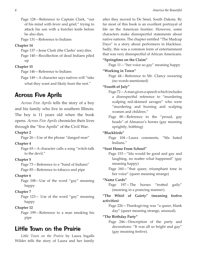Page 128—Reference to Captain Clark, "out of his mind with fever and grief," trying to attack his son with a butcher knife before he also dies.

Page 131—Reference to Indians

#### **Chapter 14**

Page 137—Jesse Clark (the Clarks' son) dies. Page 140—Recollection of dead Indians piled up

#### **Chapter 15**

Page 146—Reference to Indians

Page 149—A character says natives will "take what they want and likely burn the rest."

## Across Five Aprils

*Across Five Aprils* tells the story of a boy and his family who live in southern Illinois. The boy is 11 years old when the book opens. *Across Five Aprils* chronicles their lives through the "five Aprils" of the Civil War.

#### **Chapter 2**

Page 26—Use of the phrase "danged near"

#### **Chapter 4**

Page 65—A character calls a song "witch-talk to the devil."

#### **Chapter 5**

Page 73—Reference to a "band of Indians" Page 85—Reference to tobacco and pipe

#### **Chapter 6**

Page 108—Use of the word "gay" meaning happy

#### **Chapter 7**

Page 123— Use of the word "gay" meaning happy

#### **Chapter 12**

Page 199—Reference to a man smoking his pipe

## Little Town on the Prairie

*Little Town on the Prairie* by Laura Ingalls Wilder tells the story of Laura and her family after they moved to De Smet, South Dakota. By far most of this book is an excellent portrayal of life on the American frontier. However, some characters make disrespectful statements about native nations. The chapter entitled "The Madcap Days" is a story about performers in blackface. Sadly, this was a common form of entertainment that was very disrespectful of African Americans.

#### **"Springtime on the Claim"**

Page 11—"her voice so gay" meaning happy

#### **"Working in Town"**

Page 44—Reference to Mr. Clancy swearing (no words mentioned)

#### **"Fourth of July"**

- Page 72—A man gives a speech which includes a disrespectful reference to "murdering scalping red-skinned savages" who were "murdering and burning and scalping women and children."
- Page 80—Reference to the "proud, gay heads" of Almanzo's horses (gay meaning sprightly, bobbing)

#### **"Blackbirds"**

Page 104—Laura comments, "Ma hated Indians."

#### **"Sent Home From School"**

- Page 153—"Ida would be good and gay and laughing, no matter what happened" (gay meaning happy)
- Page 160—"that queer, triumphant tone in her voice" (queer meaning strange)

#### **"Name Cards"**

Page 197—The horses "trotted gaily" (meaning in a prancing manner).

#### **"The Whirl of Gaiety" (meaning festive activities)**

Page 226—Thanksgiving was "a queer, blank day" (queer meaning strange, unusual).

#### **"The Birthday Party"**

Page 246—Description of the party and decorations: "It was all so bright and gay" (gay meaning festive).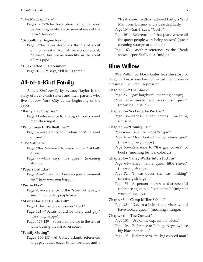#### **"The Madcap Days"**

Pages 257-260—Description of white men performing in blackface, several uses of the term "darkies"

#### **"Schooltime Begins Again"**

Page 279—Laura describes the "faint scent of cigar smoke" from Almanzo's overcoat, "pleasant but not as homelike as the scent of Pa's pipe."

#### **"Unexpected in December"**

Page 301—Pa says, "I'll be jiggered."

## All-of-a-Kind Family

*All-of-a-Kind Family* by Sydney Taylor is the story of five Jewish sisters and their parents who live in New York City at the beginning of the 1900s.

#### **"Rainy Day Surprise"**

Page 41—Reference to a plug of tobacco and men chewing it

#### **"Who Cares If It's Bedtime?"**

Page 52—Reference to "Indian bars" (a kind of candy)

#### **"The Sabbath"**

Page 78—Reference to wine at the Sabbath dinner

Page 79—Ella says, "It's queer" (meaning strange).

#### **"Papa's Birthday"**

Page 90—"They had been so gay a moment ago" (gay meaning happy).

#### **"Purim Play"**

Page 93—Reference to the "smell of tabac, a snuff" that older people used

#### **"Mama Has Her Hands Full"**

Page 113—Use of expression "Heck"

Page 121—"Sarah would be lively and gay" (meaning happy).

Pages 123-129—Several reference to the use of wine during the Passover seder

#### **"Family Outing"**

Pages 156-157—At Coney Island, references to gypsy ladies eager to tell fortunes and a

"freak show" with a Tattooed Lady, a Wild Man from Borneo, and a Bearded Lady

- Page 157—Sarah says, "Gosh."
- Page 161—Reference to "that place where all the queer people were being shown" (queer meaning strange or unusual)
- Page 163—Another reference to the "freak show," specifically to a "midget"

## Blue Willow

*Blue Willow* by Doris Gates tells the story of Janey Larkin, whose family has lost their home as a result of the Great Depression.

#### **Chapter 1—"The Shack"**

Page 23—"gay laughter" (meaning happy)

Page 29—"maybe she was just queer" (meaning unusual)

#### **Chapter 2—"As Long As We Can"**

Page 36—"those queer names" (meaning unusual)

#### **Chapter 3—"County Fair"**

Page 45—Use of the word "stupid"

- Page 48—"Mom looked happy, almost gay" (meaning very happy).
- Page 55—Reference to "the gay covers" of books (meaning festive, colorful)

#### **Chapter 4—"Janey Walks Into a Picture"**

Page 64—Janey "felt a queer little shiver" (meaning strange).

Page 72—"It was queer, she was thinking" (meaning strange).

Page 79—A person makes a disrespectful reference to Janey as "cotton trash" (migrant worker's family).

#### **Chapter 5—"Camp Miller School"**

Page 98—"Dad in a helmet and visor would have looked queer" (meaning strange).

#### **Chapter 6—"The Contest"**

Page 105—Use of the expression "Heck"

Page 106—Reference to "a huge Negro whose big black hands . . ."

Page 108—Reference to "the big colored man"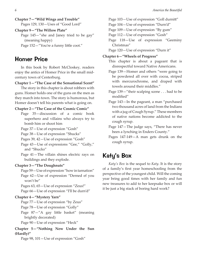- **Chapter 7—"Wild Wings and Trouble"**
	- Pages 129, 130—Uses of "Good Lord"

#### **Chapter 9—"The Willow Plate"**

Page 145—"she and Janey tried to be gay" (meaning happy)

Page 152—"You're a funny little coot."

## Homer Price

In this book by Robert McCloskey, readers enjoy the antics of Homer Price in the small midcentury town of Centerburg.

#### **Chapter 1—"The Case of the Sensational Scent"**

The story in this chapter is about robbers with guns. Homer holds one of the guns on the men as they march into town. The story is humorous, but Homer doesn't tell his parents what is going on.

#### **Chapter 2—"The Case of the Cosmic Comic"**

- Page 35—discussion of a comic book superhero and villains who always try to bomb him or shoot him
- Page 37—Use of expression "Gosh"
- Page 38—Use of expression "Shucks"
- Pages 39, 42—Use of expression "Gosh"
- Page 43—Use of expressions "Gee," "Golly," and "Shucks"
- Page 41—The villain shines electric rays on buildings and they explode.

#### **Chapter 3—"The Doughnuts"**

Page 59—Use of expression "how in tarnation"

Page 62—Use of expression "Derned ef you won't be"

Pages 63, 65—Use of expression "Zeus!"

Page 66—Use of expression "I'll be durn'd"

#### **Chapter 4—"Mystery Yarn"**

Page 77—Use of expression "by Zeus"

- Page 78—Use of expression "Golly"
- Page 87—"A gay little basket" (meaning brightly decorated)

Page 90—Use of expression "Heck"

**Chapter 5—"Nothing New Under the Sun (Hardly)"**

Page 98, 101—Use of expression "Gosh"

- Page  $103$  Use of expression "Goll durnitt"
- Page 104—Use of expression "Durn'd"
- Page 109—Use of expression "By gum"
- Page 112—Use of expression "Gosh"
- Page 118—Use of expression "Geeminy Christmas"
- Page 120—Use of expression "Durn it"

#### **Chapter 6—"Wheels of Progress"**

- This chapter is about a pageant that is disrespectful toward Native Americans.
- Page 139—Homer and others "were going to be powdered all over with cocoa, striped with mercurochrome, and draped with towels around their middles."
- Page 139—"their scalping scene . . . had to be modified"
- Page 143—In the pageant, a man "purchased two thousand acres of land from the Indians with a jug of Cough Syrup." These members of native nations become addicted to the cough syrup.
- Page 147—The judge says, "There has never been a lynching in Enders County."
- Pages 147-149—A man gets drunk on the cough syrup.

## Katy's Box

*Katy's Box* is the sequel to *Katy*. It is the story of a family's first year homeschooling from the perspective of the youngest child. Will the coming year bring good times with her family and fun new treasures to add to her keepsake box or will it be just a big stack of boring hard work?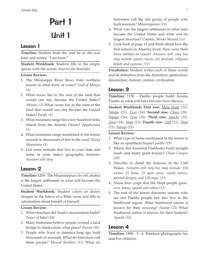## Part 1 Unit 1

## Lesson 1

**Timeline:** Student finds the year he or she was born and writes, "I am born."

**Student Workbook:** Student fills in the empty spaces with the words *America the Beautiful*.

#### **Lesson Review:**

- 1. The Mississippi River flows from northern forests to what body of water? *Gulf of Mexico (3)*
- 2. What ocean lies to the east of the land that would one day become the United States? *Atlantic (3)* What ocean lies to the west of the land that would one day become the United States? *Pacific (3)*
- 3. What mountain range lies a few hundred miles inland from the Atlantic Ocean? *Appalachian (3)*
- 4. What mountain range mentioned in the lesson ascends to thousands of feet in the west? *Rocky Mountains (3)*
- 5. List some animals that live in your state and some of your state's geographic features. *Answers will vary.*

## Lesson 2

**Timeline:** 1200 - The Mississippian city of Cahokia is the largest settlement in what will become the United States.

**Student Workbook:** Student colors or draws designs in the letters of a Bible verse and fills in information about herself or himself.

#### **Lesson Review:**

- 1. What structure did Noah's descendants build? *Tower of Babel (10)*
- 2. Many historians believe people crossed a land bridge to Alaska from what place? *Russia (10)*
- 3. People who lived in America long ago built thousands of mounds. What do historians call these people? *Mound Builders (12)* What do

historians call the last group of people who built mounds? *Mississippians (13)*

- 4. What was the largest settlement in what later became the United States and what was its largest structure? *Cahokia, Monks Mound (15)*
- 5. Look back at page 11 and think about how the first nations in America lived. How were their lives similar to yours? *Answers will vary but may include: games, music, art, festivals, religious beliefs and customs. (11)*

**Vocabulary:** Student writes each of these words and its definition from the dictionary: generation, descendant, distinct, custom, civilization.

## Lesson 3

**Timeline:** 1150 - Pueblo people build Acoma Pueblo in what will later become New Mexico.

**Student Workbook: First row:** *Mesa Verde (21), Navajo (25), Zuni (24);* **Second row:** *Chaco (20), Papago (26), Zuni (24);* **Third row:** *Apache (25), Zuni (24), Hopi (23);* **Fourth row:** *Cliff (21), Hopi (23), Navajo (25)*

#### **Lesson Review:**

- 1. What type of home mentioned in the lesson is like an apartment house? *pueblo (19)*
- 2. Where did Ancestral Puebloans build straight roads and many great houses? *Chaco Canyon (20)*
- 3. Describe in detail the features of the Cliff Palace. *Answers will vary but may include: 150 rooms, 21 kivas, 75 open areas, round towers, painted designs, and 120 steps. (21)*
- 4. Name four crops that the Hopi people grew. *corn, beans, squash and cotton (22)*
- 5. The end of the lesson discusses nations who are not Pueblo people but also live in the Southwest region. What Southwest nation is known for their weaving? *Navajo (25)* What Southwest nation is known for their baskets? *Apache (25)*

## Lesson 4

**Timeline:** 1898 - F. A. Rinehart photographs Sac and Fox children.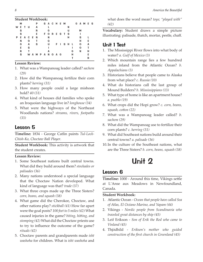#### **Student Workbook:**

|    | М           |       |                   |  |   |  |               |   |   |   | SACHEM GAMES |   |  |
|----|-------------|-------|-------------------|--|---|--|---------------|---|---|---|--------------|---|--|
|    | <b>WETU</b> |       | A                 |  |   |  |               | N |   |   |              |   |  |
|    | g           |       | R                 |  | G |  |               | u |   | M |              |   |  |
|    | g           |       | E.                |  |   |  | F O R E S T S |   |   |   |              |   |  |
| P. |             | EACEN |                   |  | N |  |               | н |   |   |              |   |  |
|    | Ν           | О     |                   |  |   |  |               |   |   | н |              | Е |  |
|    | G           | A     | S                 |  | u |  | FISHL         |   |   | 0 |              | А |  |
|    | E.          | 8     |                   |  |   |  |               |   |   | 0 |              |   |  |
|    | R           |       |                   |  | A |  |               |   | G | Ν |              | н |  |
|    | S           |       | W A M P A N O A G |  |   |  |               |   | н |   |              |   |  |
|    |             |       |                   |  |   |  |               |   |   |   |              | R |  |

#### **Lesson Review:**

- 1. What was a Wampanoag leader called? *sachem (29)*
- 2. How did the Wampanoag fertilize their corn plants? *herring (31)*
- 3. How many people could a large mishoon hold? *40 (31)*
- 4. What kind of houses did families who spoke an Iroquoian language live in? *longhouse (34)*
- 5. What were the highways of the Northeast Woodlands nations? *streams, rivers, footpaths (33)*

## Lesson 5

**Timeline:** 1834 - George Catlin paints *Tul-Lock-Chish-Ko, Choctaw Ball Player.*

**Student Workbook:** This activity is artwork that the student creates.

#### **Lesson Review:**

- 1. Some Southeast nations built central towns. What did they build around them? *stockades or palisades (36)*
- 2. Many nations understood a special language that the Choctaw Nation developed. What kind of language was that? *trade (37)*
- 3. What three crops made up the Three Sisters? *corn, beans, and squash (38)*
- 4. What game did the Cherokee, Choctaw, and other nations play? *stickball (41)* How far apart were the goal posts? *100 feet to 5 miles (42)* What caused injuries in the game? *biting, hitting, and stomping (42)* What did the Choctaw priests use to try to influence the outcome of the game? *rituals (42)*
- 5. Choctaw parents and grandparents made *isht washoha* for children. What is *isht washoha* and

what does the word mean? *toys; "played with" (42)*

**Vocabulary:** Student draws a simple picture illustrating: palisade, thatch, mortar, pestle, chaff.

## Unit 1 Test

- 1. The Mississippi River flows into what body of water? *a. Gulf of Mexico (3)*
- 2. Which mountain range lies a few hundred miles inland from the Atlantic Ocean? *b. Appalachians (3)*
- 3. Historians believe that people came to Alaska from what place? *c. Russia (10)*
- 4. What do historians call the last group of Mound Builders? *b. Mississippians (13)*
- 5. What type of home is like an apartment house? *a. pueblo (19)*
- 6. What crops did the Hopi grow? *c. corn, beans, squash, cotton (22)*
- 7. What was a Wampanoag leader called? *b. sachem (29)*
- 8. What did the Wampanoag use to fertilize their corn plants? *c. herring (31)*
- 9. What did Southeast nations build around their central towns? *a. palisade (36)*
- 10.In the culture of the Southeast nations, what are the Three Sisters? *b. corn, beans, squash (38)*

## Unit 2

## Lesson 6

**Timeline:** 1000 - Around this time, Vikings settle at L'Anse aux Meadows in Newfoundland, Canada.

#### **Student Workbook:**

- 1. Atlantic Ocean *Ocean that people have called Sea of Atlas, El Océano Marino, and Yapam (44)*
- 2. Vikings *Nordic people from Scandinavia who traveled great distances by ship (45)*
- 3. Leif Erikson *Son of Erik the Red who came to Vinland (45)*
- 4. Thjódhild *Erikson's mother who guided construction of the first church in Greenland (45)*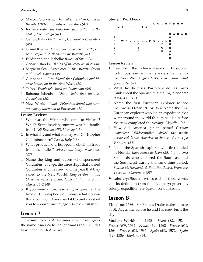- 5. Marco Polo *Man who had traveled in China in the late 1200s and published his story (47)*
- 6. Indies *India, the Indochina peninsula, and the Malay Archipelago (47)*
- 7. Genoa, Italy *Birthplace of Christopher Columbus (46)*
- 8. Grand Khan *Chinese ruler who asked the Pope to send people to teach about Christianity (47)*
- 9. Ferdinand and Isabella: *Rulers of Spain (48)*
- 10.Canary Islands *Islands off the coast of Africa (48)*
- 11.Sargasso Sea *Large area in the Atlantic Ocean with much seaweed (49)*
- 12.Guanahani *First island that Columbus and his crew landed on in the New World (50)*
- 13.Taíno *People who lived on Guanahani (50)*
- 14.Bahama Islands *Island chain that includes Guanahani (50)*
- 15.New World *Lands Columbus found that were previously unknown to Europeans (50)*

#### **Lesson Review:**

- 1. Who was the Viking who came to Vinland? Which Scandinavian country was his family from? *Leif Erikson (45), Norway (45)*
- 2. In what city and what country was Christopher Columbus born? *Genoa, Italy (46)*
- 3. What products did Europeans obtain in trade from the Indies? *spices, silk, ivory, gemstones (47)*
- 4. Name the king and queen who sponsored Columbus' voyage, the three ships that carried Columbus and his crew, and the year that they sailed to the New World. *King Ferdinand and Queen Isabella of Spain; Niña, Pinta, and Santa Maria; 1492 (48)*
- 5. If you were a European king or queen at the time of Christopher Columbus, what do you think you would have said if Columbus asked you to sponsor his voyage? *Answers will vary.*

## Lesson 7

**Timeline:** 1507 - A German mapmaker gives the name America to the landmass that includes North and South America.

#### **Student Workbook:**

|                       | <b>MAGELLAN</b> |        |  |        |  |                |  |             | C O L U M B U S            |           |  |
|-----------------------|-----------------|--------|--|--------|--|----------------|--|-------------|----------------------------|-----------|--|
| В<br>А<br>В<br>O<br>А |                 |        |  | 0<br>Ω |  | WALD SEEMULLER |  | E<br>0<br>N | 0<br>0<br>N<br>A<br>D<br>ი | C A S A S |  |
|                       |                 | $\sim$ |  |        |  |                |  |             |                            |           |  |

#### **Lesson Review:**

- 1. Describe the characteristics Christopher Columbus saw in the islanders he met in the New World. *good looks, kind manner, and generosity (52)*
- 2. What did the priest Bartolomé de Las Casas think about the Spanish mistreating islanders? *It was a sin. (53)*
- 3. Name the first European explorer to see the Pacific Ocean. *Balboa (53)* Name the first European explorer who led an expedition that went around the world though he died before the crew completed the voyage. *Magellan (53)*
- 4. How did America get its name? *German mapmaker Waldseemuller labeled the newly discovered lands America in honor of Amerigo Vespucci. (54)*
- 5. Name the Spanish explorer who first landed in Florida. *Juan Ponce de León (55)* Name two Spaniards who explored the Southeast and the Southwest during the same time period. *Southeast, Hernando de Soto; Southwest, Francisco Vásquez de Coronado (58)*

**Vocabulary:** Student writes each of these words and its definition from the dictionary: governor, colony, expedition, navigator, conquistador.

### Lesson 8

**Timeline:** 1586 - Sir Francis Drake makes a map of St. Augustine before he and his crew burn the city.

**Student Workbook:** 1492 - *Spain (48)*, 1524 - *France (60)*, 1534 - *France (60)*, 1562 - *France (61)*, 1564 - *France (62)*, 1565 - *Spain (63)*, 1572 - *Spain (64)*, 1586 - *England (64)*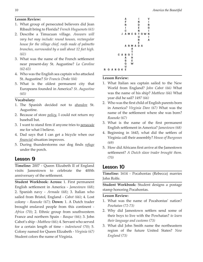#### **Lesson Review:**

- 1. What group of persecuted believers did Jean Ribault bring to Florida? *French Huguenots (61)*
- 2. Describe a Timucuan village. *Answers will vary but may include: round houses, rectangular house for the village chief, roofs made of palmetto branches, surrounded by a wall about 12 feet high. (61)*
- 3. What was the name of the French settlement near present-day St. Augustine? *La Caroline (62-63)*
- 4. Who was the English sea captain who attacked St. Augustine? *Sir Francis Drake (64)*
- 5. What is the oldest permanent city that Europeans founded in America? *St. Augustine (65)*

#### **Vocabulary:**

- 1. The Spanish decided not to *abandon* St. Augustine.
- 2. Because of store *policy*, I could not return my baseball bat.
- 3. I want to stand firm if anyone tries to *persecute* me for what I believe.
- 4. Dad says that I can get a bicycle when our *financial* situation improves.
- 5. During thunderstorms our dog finds *refuge* under the porch.

## Lesson 9

**Timeline:** 2007 - Queen Elizabeth II of England visits Jamestown to celebrate the 400th anniversary of the settlement.

**Student Workbook: Across:** 1. First permanent English settlement in America - *Jamestown (68)*; 2. Spanish navy - *Armada (68)*; 3. Italian who sailed from Bristol, England - *Cabot (66)*; 4. Lost colony - *Roanoke (67)*; **Down:** 1. A Dutch trader brought enslaved people from this continent - *Africa (70)*; 2. Ethnic group from southwestern France and northern Spain - *Basque (66)*; 3. John Cabot's ship - *Matthew (66)*; 4. Servant who served for a certain length of time - *indentured (70)*; 5. Colony named for Queen Elizabeth - *Virginia (67)*  Student colors the name of Virginia.



#### **Lesson Review:**

- 1. What Italian sea captain sailed to the New World from England? *John Cabot (66)* What was the name of his ship? *Matthew (66)* What year did he sail? *1497 (66)*
- 2. Who was the first child of English parents born in America? *Virginia Dare (67)* What was the name of the settlement where she was born? *Roanoke (67)*
- 3. What is the name of the first permanent English settlement in America? *Jamestown (68)*
- 4. Beginning in 1643, what did the settlers of Virginia call their assembly? *House of Burgesses (69)*
- 5. How did Africans first arrive at the Jamestown settlement? *A Dutch slave trader brought them. (70)*

## Lesson 10

**Timeline:** 1614 - Pocahontas (Rebecca) marries John Rolfe.

**Student Workbook:** Student designs a postage stamp honoring Pocahontas.

- 1. What was the name of Pocahontas' nation? *Powhatan (72-73)*
- 2. Why did Jamestown settlers send some of their boys to live with the Powhatan? *to learn their language and customs (73)*
- 3. What did John Smith name the northeastern region of the future United States? *New England (73)*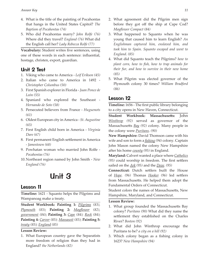- 4. What is the title of the painting of Pocahontas that hangs in the United States Capitol? *The Baptism of Pocahontas (74)*
- 5. Who did Pocahontas marry? *John Rolfe (76)*  Where did they travel? *England (76)* What did the English call her? *Lady Rebecca Rolfe (77)*

**Vocabulary:** Student writes five sentences, using one of these words in each sentence: influential, hostage, christen, export, guardian.

## Unit 2 Test

- 1. Viking who came to America *Leif Erikson (45)*
- 2. Italian who came to America in 1492 *Christopher Columbus (50)*
- 3. First Spanish explorer in Florida *Juan Ponce de León (55)*
- 4. Spaniard who explored the Southeast *Hernando de Soto (58)*
- 5. Persecuted believers from France *Huguenots (61)*
- 6. Oldest European city in America *St. Augustine (65)*
- 7. First English child born in America *Virginia Dare (67)*
- 8. First permanent English settlement in America - *Jamestown (68)*
- 9. Powhatan woman who married John Rolfe *Pocahontas (76)*
- 10.Northeast region named by John Smith *New England (76)*

## Unit 3

## Lesson 11

**Timeline:** 1621 - Squanto helps the Pilgrims and Wampanoag make a treaty.

**Student Workbook: Painting 1:** *Pilgrims (83), Plymouth (83)*; **Painting 2:** *Mayflower (82), government (84)*; **Painting 3:** *Cape (84); Rock (84)*; **Painting 4:** *Carver (85); Massasoit (85)*; **Painting 5:**  *treaty (85); England (85)*

#### **Lesson Review:**

1. What European country gave the Separatists more freedom of religion than they had in England? *the Netherlands (82)*

- 2. What agreement did the Pilgrim men sign before they got off the ship at Cape Cod? *Mayflower Compact (84)*
- 3. What happened to Squanto when he was young that caused him to learn English? *An Englishman captured him, enslaved him, and took him to Spain. Squanto escaped and went to England. (85)*
- 4. What did Squanto teach the Pilgrims? *how to plant corn, how to fish, how to trap animals for their fur, and how to survive in their new home (85)*
- 5. What Pilgrim was elected governor of the Plymouth colony 30 times? *William Bradford (86)*

## Lesson 12

**Timeline:** 1656 - The first public library belonging to a city opens in New Haven, Connecticut.

**Student Workbook: Massachusetts:** John *Winthrop (92)* served as governor of the Massachusetts *Bay (92)* colony. Many people in the colony were *Puritans. (90)*

**New Hampshire:** David Thomson came with his wife and son to form a *fishing (94)* colony. Captain John Mason named the colony New Hampshire after his home *county (95)* in England.

**Maryland:** Calvert wanted a place where *Catholics (95)* could worship in freedom. The first settlers sailed on the *Ark (95)* and the *Dove. (95)*

**Connecticut:** Dutch settlers built the House of *Hope. (96)* Thomas *Hooker (96)* led settlers from Massachusetts. He helped them adopt the Fundamental Orders of Connecticut.

Student colors the names of Massachusetts, New Hampshire, Maryland, and Connecticut.

- 1. What group founded the Massachusetts Bay colony? *Puritans (90)* What did they name the settlement they established on the Charles River? *Boston (92)*
- 2. What did John Winthrop encourage the Puritans to be? *a city on a hill (92)*
- 3. Which colony began as a fishing colony in 1623? *New Hampshire (94)*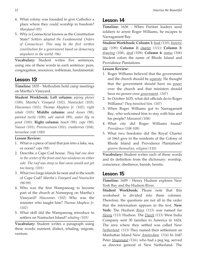- 4. What colony was founded to give Catholics a place where they could worship in freedom? *Maryland (95)*
- 5. Why is Connecticut known as the Constitution State? *Settlers adopted the Fundamental Orders of Connecticut. This may be the first written constitution for a government based on democracy anywhere in the world. (96)*

**Vocabulary:** Student writes five sentences, using one of these words in each sentence: pure, congregation, resources, nobleman, fundamental.

## Lesson 13

**Timeline:** 1835 - Methodists hold camp meetings on Martha's Vineyard.

**Student Workbook: Left column:** *piping plover (100), Martha's Vineyard (102), Nantucket (103), Hiacoomes (102), Thomas Mayhew Jr. (102), right whale (103);* **Middle column:** *sand dunes (98), painted turtle (100), salt marsh (99), water lily in pond (100);* **Right column:** *beach (99), cape (98), Nauset (101), Provincetown (101), cranberries (104), horseshoe crab (100)*

#### **Lesson Review:**

- 1. What is a piece of land that juts into a lake, sea, or ocean? *cape (98)*
- 2. Describe a Cape Cod house. *They had one door in the center of the front and two windows on either side. The roof was steep so that snow would not get too heavy. (101)*
- 3. What two large islands lie near and to the south of Cape Cod? *Martha's Vineyard and Nantucket (98-99)*
- 4. Who was the first Wampanoag to become part of the church at Nunnepog on Martha's Vineyard? *Hiacoomes (102)* Who was the minister who taught him? *Thomas Mayhew Jr. (102)*
- 5. What skill did the Wampanoag introduce to settlers on Nantucket Island? *whaling (103)*

**Vocabulary:** Student writes a paragraph using these words: nutrient, dialect, whaling, migrate, venture.

## Lesson 14

**Timeline:** 1636 - When Puritan leaders send soldiers to arrest Roger Williams, he escapes to Narragansett Bay.

**Student Workbook: Column 1:** *book (110), historic site (109);* **Column 2:** *charter (111);* **Column 3:**  *drawing (108), deed (109);* **Column 4:** *statue (106)*  Student colors the name of Rhode Island and Providence Plantations.

#### **Lesson Review:**

- 1. Roger Williams believed that the government and the church should be *separate*. He thought that the government should have no *power* over the church and that ministers should have no power over *government*. *(107)*
- 2. In October 1635, what did officials do to Roger Williams? *They banished him. (107)*
- 3. When Roger Williams got to Narragansett Bay, who welcomed him to stay with him and his people? *Massasoit (108)*
- 4. What city did Roger Williams found? *Providence (108-109)*
- 5. What two freedoms did the Royal Charter of 1663 give to the residents of the Colony of Rhode Island and Providence Plantations? *govern themselves, religion (110)*

**Vocabulary:** Student writes each of these words and its definition from the dictionary: worship, conscience, obedience, banish, heretic.

## Lesson 15

**Timeline:** 1609 - Henry Hudson explores New York Bay and the Hudson River.

**Student Workbook:** Please note that this worksheet is divided into three colonies. Therefore, the questions are not all in the order that the information appears in the text. **New York:** The Hudson *River (113)* was named for *Henry (113)* Hudson. The *Dutch (113)* West India Company sent 30 families to America in 1624. The area where they settled was called New *Netherland. (113)* They named their settlement on Manhattan Island New *Amsterdam. (114)* In 1647 Peter **Stuyvesant** (116), who had a peg leg, served as director general of New Netherland. The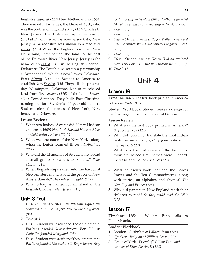English *conquered (117)* New Netherland in 1664. They named it for James, the Duke of York, who was the brother of England's *King (117)* Charles II. **New Jersey:** The Dutch set up a *patroonship (115)* at Pavonia which is now Jersey City, New Jersey. A patroonship was similar to a medieval *manor. (115)* When the English took over New Netherland, they named the land to the east of the Delaware River New Jersey. Jersey is the name of an *island (117)* in the English Channel. **Delaware:** The Dutch also set up a patroonship at Swaanendael, which is now Lewes, Delaware. Peter *Minuit (116)* led Swedes to America to establish New *Sweden. (116)* They sailed to presentday Wilmington, Delaware. Minuit purchased land from five *sachems (116)* of the Lenni-*Lenape (116)* Confederation. They built Fort Christina, naming it for Sweden's 11-year-old queen. Student colors the names of New York, New Jersey, and Delaware.

#### **Lesson Review:**

- 1. What two bodies of water did Henry Hudson explore in 1609? *New York Bay and Hudson River or Mahicantuck River (112-113)*
- 2. What was the name of the New York colony when the Dutch founded it? *New Netherland (113)*
- 3. Who did the Chancellor of Sweden hire to lead a small group of Swedes to America? *Peter Minuit (116)*
- 4. When English ships sailed into the harbor at New Amsterdam, what did the people of New Amsterdam do? *They refused to fight. (117)*
- 5. What colony is named for an island in the English Channel? *New Jersey (117)*

## Unit 3 Test

- 1. *False* Student writes: *The Pilgrims signed the Mayflower Compact before they left the Mayflower. (84)*
- 2. *True (85)*
- 3. *False* Student writes either of these statements: *Puritans founded Massachusetts Bay (90) or Catholics founded Maryland. (95)*
- 4. *False* Student writes either of these statements: *Puritans founded Massachusetts Bay colony so they*

*could worship in freedom (90) or Catholics founded Maryland so they could worship in freedom. (95)*

- 5. *True (103)*
- 6. *True (102)*
- 7. *False* Student writes: *Roger Williams believed that the church should not control the government. (107)*
- 8. *True (109)*
- 9. *False* Student writes: *Henry Hudson explored New York Bay (112) and the Hudson River. (113)*  10.*True (113)*

## Unit 4

## Lesson 16

**Timeline:** 1640 - The first book printed in America is the *Bay Psalm Book*.

**Student Workbook:** Student makes a design for the first page of the first chapter of Genesis.

#### **Lesson Review:**

- 1. What was the first book printed in America? *Bay Psalm Book (121)*
- 2. Why did John Eliot translate the Eliot Indian Bible? *to share the gospel of Jesus with native nations (121-122)*
- 3. What was the last name of the family of ministers whose first names were Richard, Increase, and Cotton? *Mather (123)*
- 4. What children's book included the Lord's Prayer and the Ten Commandments, along with stories, an alphabet, and rhymes? *The New England Primer (124)*
- 5. Why did parents in New England teach their children to read? *So they could read the Bible (125)*

## Lesson 17

**Timeline:** 1682 - William Penn sails to Pennsylvania.

#### **Student Workbook:**

- 1. London *Birthplace of William Penn (128)*
- 2. Quaker *Religion of William Penn (129)*
- 3. Duke of York *Friend of William Penn and brother of King Charles II (128)*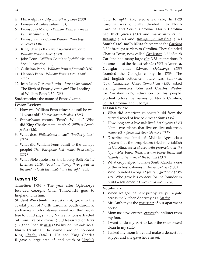- 4. Philadelphia *City of Brotherly Love (130)*
- 5. Lenape *A native nation (131)*
- 6. Pennsbury Manor *William Penn's home in Pennsylvania (131)*
- 7. Pennsylvania *Colony William Penn began in America (130)*
- 8. King Charles II *King who owed money to William Penn's father (130)*
- 9. John Penn *William Penn's only child who was born in America (132)*
- 10. Gulielma Penn *William Penn's first wife (130)*
- 11. Hannah Penn *William Penn's second wife (132)*
- 12. Jean Leon Gerome Ferris *Artist who painted*  The Birth of Pennsylvania *and* The Landing of William Penn *(130, 128)*

Student colors the name of Pennsylvania.

#### **Lesson Review:**

- 1. How was William Penn educated until he was 11 years old? *He was homeschooled. (128)*
- *2. Pennsylvania* means "Penn's Woods." Who did King Charles name it after? *William Penn's father (130)*
- 3. What does *Philadelphia* mean? *"brotherly love" (130)*
- 4. What did William Penn admit to the Lenape people? *That Europeans had treated them badly. (131)*
- 5. What Bible quote is on the Liberty Bell? *Part of Leviticus 25:10: "Proclaim liberty throughout all the land unto all the inhabitants thereof." (133)*

## Lesson 18

**Timeline:** 1734 - The year after Oglethorpe founded Georgia, Chief Tomochichi goes to England with him.

**Student Workbook:** Live *oaks (134)* grow in the coastal plain of North Carolina, South Carolina, and Georgia. Colonists used wood from the live oak tree to build *ships. (135)* Native nations extracted oil from live oak *acorns. (135)* Resurrection *ferns (135)* and Spanish *moss (135)* live on live oak trees. **North Carolina:** The name Carolina honored King *Charles (136)* I. His son King Charles II gave a large area of land south of *Virginia*  *(136)* to *eight (136) proprietors. (136)* In 1729 Carolina was officially divided into North Carolina and South Carolina. North Carolina had thick *forests (137)* and many *marshes (or swamps) (137)* and *swamps (or marshes). (137)* **South Carolina:** In 1670 a ship named the*Carolina (137)* brought settlers to Carolina. They founded Charles Town, now called *Charleston. (137)* South Carolina had many large *rice (138)* plantations. It became one of the richest *colonies (138)* in America. **Georgia:** James Edward *Oglethorpe (138)* founded the Georgia colony in 1733. The first English settlement there was *Savannah. (139)* Yamacraw Chief *Tomochichi (139)* asked visiting ministers John and Charles Wesley for *Christian (139)* education for his people. Student colors the names of North Carolina, South Carolina, and Georgia.

#### **Lesson Review:**

- 1. What did American colonists build from the curved wood of live oak trees? *ships (135)*
- 2. How long can a live oak live? *1,000 years (135)*  Name two plants that live on live oak trees. *resurrection ferns and Spanish moss (135)*
- 3. Describe the kind of Middle Ages class system that the proprietors tried to establish in Carolina. *social classes with proprietors at the top, nobles below them, freemen below them, and tenants (or leetmen) at the bottom (137)*
- 4. What crop helped to make South Carolina one of the richest colonies in America? *rice (138)*
- 5. Who founded Georgia? *James Oglethorpe (138- 139)* Who gave his consent for the founder to build a settlement? *Chief Tomochichi (138)*

#### **Vocabulary:**

- 1. When we got the new puppy, we put a gate across the kitchen doorway as a *barrier*.
- 2. Mr. Anthony is the *proprietor* of our apartment house.
- 3. Mom used tweezers to *extract* the splinter from my foot.
- 4. I want to do my part to keep the *environment* clean in my state.
- 5. I asked my mom if I could make a dessert for supper and she gave her *consent*.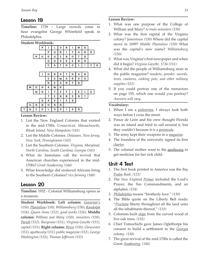## Lesson 19

**Timeline:** 1739 - Large crowds come to hear evangelist George Whitefield speak in Philadelphia.

#### **Student Workbook:**

|   |   |   | P | I | L | G | R | ı | М | 8 |   |   |
|---|---|---|---|---|---|---|---|---|---|---|---|---|
|   |   |   |   | P | u | R | I | T | Α | N | 8 |   |
|   |   | н | U | G | u | E | N | 0 | т | 8 |   |   |
|   |   |   |   | Q | u | Α | К | E | R | 8 |   |   |
|   |   |   |   | C | A | T | н | 0 | L | ı | C | 8 |
|   |   |   |   |   |   |   |   |   |   |   |   |   |
|   |   |   | J | O | N | Α | T | н | Α | N |   |   |
|   |   |   |   | E | D | W | A | R | D | S |   |   |
|   |   |   |   | н | E | Α | R | Т | 8 |   |   |   |
|   | M | 0 | н | A | W | к |   |   |   |   |   |   |
|   |   | W | н | ı | T | E | F | ı | E | L | D |   |
|   |   |   |   | Т | E | N | N | E | N | T |   |   |
|   |   |   | D | A | ٧ | ı | E | 8 |   |   |   |   |
|   | 0 | 8 | В | O | R | N |   |   |   |   |   |   |
| т | н | E | 0 | ι | О | G | ı | А | N |   |   |   |
|   |   |   |   |   |   |   |   |   |   |   |   |   |

**Lesson Review:**

- 1. List the New England Colonies that existed in the mid-1700s. *Connecticut, Massachusetts, Rhode Island, New Hampshire (143)*
- 2. List the Middle Colonies. *Delaware, New Jersey, New York, Pennsylvania (143)*
- 3. List the Southern Colonies. *Virginia, Maryland, North Carolina, South Carolina, Georgia (143)*
- 4. What do historians call the revival that American churches experienced in the mid-1700s? *Great Awakening (144)*
- 5. What knowledge did enslaved Africans bring to the Southern Colonies? *rice farming (148)*

## Lesson 20

**Timeline:** 1932 - Colonial Williamsburg opens as a museum.

**Student Workbook: Left column:** *Governor's (150), Plantation (150), Williamsburg (150), Randolph (154), Queen Anne (152), good works (156);* **Middle column:** *William and Mary (150), ministers (150), Parish (152), Burgesses (151), Virginia Gazette (151), capitol (151);* **Right column:** *Wren (150), Gloucester (151), apothecary (151), public magazine (152), George Washington (153), Thomas Jefferson (153)*

#### **Lesson Review:**

- 1. What was one purpose of the College of William and Mary? *to train ministers (150)*
- 2. What was the first capital of the Virginia colony? *Jamestown (150)* Where did the capital move in 1699? *Middle Plantation (150)* What was the capital's new name? *Williamsburg (150)*
- 3. What was Virginia's first newspaper and when did it begin? *Virginia Gazette, 1736 (151)*
- 4. What did the people of Williamsburg store in the public magazine? *muskets, powder, swords, tents, canteens, cooking pots, and other military supplies (152)*
- 5. If you could portray one of the reenactors on page 155, which one would you portray? *Answers will vary.*

#### **Vocabulary:**

- 1. When I am a *pedestrian*, I always look both ways before I cross the street.
- 2. Ponce de León and his crew thought Florida was an island and tried to sail around it, but they couldn't because it is a *peninsula*.
- 3. The army kept their weapons in a *magazine*.
- 4. The founders of the university signed its first *charter*.
- 5. The colonial mother went to the *apothecary* to get medicine for her sick child.

## Unit 4 Test

- 1. The first book printed in America was the *Bay Psalm Book*. *(121)*
- 2. The *New England Primer* included the Lord's Prayer, the Ten Commandments, and an alphabet. *(124)*
- *3. Philadelphia* means "brotherly love." *(130)*
- 4. The Bible quote on the Liberty Bell reads: "*Proclaim* liberty throughout all the land unto all the inhabitants thereof." *(133)*
- 5. Colonists built *ships* from the curved wood of live oak trees. *(135)*
- 6. Chief Tomochichi gave James Oglethorpe his consent to build a settlement in the *Georgia* colony. *(138)*
- 7. The great revival of the mid-1700s is called the Great *Awakening*. *(144)*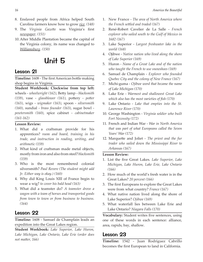- 8. Enslaved people from Africa helped South Carolina farmers know how to grow *rice*. *(148)*
- 9. The *Virginia Gazette* was Virginia's first *newspaper*. *(151)*
- 10.After Middle Plantation became the capital of the Virginia colony, its name was changed to *Williamsburg*. *(150)*

## Unit 5

## Lesson 21

**Timeline:** 1608 - The first American bottle making shop begins in Virginia.

**Student Workbook: Clockwise from top left:**  wheels - *wheelwright (162)*, Betty lamp - *blacksmith (159)*, vase - *glassblower (161)*, pottery - *potter (163)*, wigs - *wigmaker (163)*, spoon - *silversmith (160)*, sundial - *brass founder (163)*, sugar bowl *pewtersmith (160)*, spice cabinet - *cabinetmaker (161-162)*

#### **Lesson Review:**

- 1. What did a craftsman provide for his apprentices? *room and board, training in his trade, and instruction in reading, writing, and arithmetic (159)*
- 2. What kind of craftsman made metal objects, mostly from iron and also from steel? *blacksmith (159)*
- 3. Who is the most remembered colonial silversmith? *Paul Revere (The student might add Jr. Either way is okay.) (160)*
- 4. Why did King Louis XIII of France begin to wear a wig? *to cover his bald head (163)*
- 5. What did a teamster do? *A teamster drove a wagon with a team of horses and transported goods from town to town or from business to business. (164)*

## Lesson 22

**Timeline:** 1608 - Samuel de Champlain leads an expedition into the Great Lakes region.

**Student Workbook:** *Lake Superior, Lake Huron, Lake Michigan, Lake Ontario, Lake Erie (order does not matter, 166)*

- 1. New France *The area of North America where the French settled and traded (167)*
- 2. René-Robert Cavelier de La Salle *French explorer who sailed south to the Gulf of Mexico in 1682 (167)*
- 3. Lake Superior *Largest freshwater lake in the world (168)*
- 4. Ojibwe *Native nation who lived along the shore of Lake Superior (169)*
- 5. Huron *Name of a Great Lake and of the nation who taught the French to use snowshoes (169)*
- 6. Samuel de Champlain *Explorer who founded Quebec City and the colony of New France (167)*
- 7. Michi-guma *Ojibwe word that became the name of Lake Michigan (170)*
- 8. Lake Erie *Warmest and shallowest Great Lake which also has the most varieties of fish (170)*
- 9. Lake Ontario *Lake that empties into the St. Lawrence River (170)*
- 10. George Washington *Virginia soldier who built Fort Necessity (172)*
- 11. French and Indian War *War in North America that was part of what Europeans called the Seven Years' War (172)*
- 12. Marquette and Joliet *The priest and the fur trader who sailed down the Mississippi River to Arkansas (167)*

#### **Lesson Review:**

- 1. List the five Great Lakes. *Lake Superior, Lake Michigan, Lake Huron, Lake Erie, Lake Ontario (166)*
- 2. How much of the world's fresh water is in the Great Lakes? *20 percent (166)*
- 3. The first Europeans to explore the Great Lakes were from what country? *France (167)*
- 4. What native nation lived along the shore of Lake Superior? *Ojibwe (169)*
- 5. What waterfall lies between Lake Erie and Lake Ontario? *Niagara Falls (170)*

**Vocabulary:** Student writes five sentences, using one of these words in each sentence: alliance, area, rapids, bay, shallow.

## Lesson 23

**Timeline:** 1542 - Juan Rodriguez Cabrillo becomes the first European to land in California.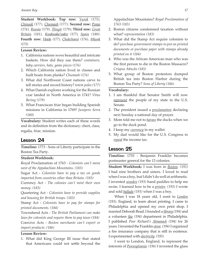**Student Workbook: Top row:** *Yurok (175), Chinook (177), Chumash (177)*; **Second row:** *Pomo (176), Russia (179), Tlingit (179)*; **Third row:** *Great Britain (181), Kwakwaka'wakw (177), Spain (180):*  **Fourth row:** *Haida (177), Chukchansi (176), Miwok (175)*

#### **Lesson Review:**

- 1. California nations wove beautiful and intricate baskets. How did they use them? *containers, baby carriers, hats, game pieces (176)*
- 2. Which California nation lived in classes and built boats from planks? *Chumash (176)*
- 3. What did Northwest Coast nations carve to tell stories and record history? *totem poles (177)*
- 4. What Danish explorer working for the Russian czar landed in North America in 1741? *Vitus Bering (179)*
- 5. What Franciscan friar began building Spanish missions in California in 1769? *Junipero Serra (180)*

**Vocabulary:** Student writes each of these words and its definition from the dictionary: chert, class, regalia, friar, mission.

### Lesson 24

**Timeline:** 1773 - Sons of Liberty participate in the Boston Tea Party.

#### **Student Workbook:**

Royal Proclamation of 1763 - *Colonists can't move west of the Appalachian Mountains. (183)* 

Sugar Act - *Colonists have to pay a tax on goods imported from countries other than Britain. (183)*

Currency Act - *The colonies can't mint their own money. (183)*

Quartering Act - *Colonists have to provide supplies and housing for British troops. (183)*

Stamp Act - *Colonists have to pay for stamps for printed documents. (184)*

Townshend Acts - *The British Parliament can make laws for colonists and require them to pay taxes (184)*  Coercive Acts - *Boston merchants can't export or import products. (186)*

#### **Lesson Review:**

1. What did King George III issue that stated that Americans could not settle beyond the Appalachian Mountains? *Royal Proclamation of 1763 (183)*

- 2. Boston citizens condemned taxation without what? *representation (183)*
- 3. What did the Stamp Act require colonists to do? *purchase government stamps to put on printed documents or purchase paper with stamps already printed on it (184)*
- 4. Who was the African American man who was the first person to die in the Boston Massacre? *Crispus Attucks (185)*
- 5. What group of Boston protestors dumped British tea into Boston Harbor during the Boston Tea Party? *Sons of Liberty (186)*

#### **Vocabulary:**

- 1. I am thankful that Senator Smith will now *represent* the people of my state in the U.S. Senate.
- 2. The president issued a *proclamation* declaring next Sunday a national day of prayer.
- 3. Mom told me not to *harass* the ducks when we go to the duck pond.
- 4. I keep my *currency* in my wallet.
- 5. My dad would like for the U.S. Congress to *repeal* the income tax.

### Lesson 25

**Timeline:** 1753 - Benjamin Franklin becomes postmaster general for the 13 colonies.

**Student Workbook:** I was born in *Boston. (192)* I had nine brothers and sisters. I loved to read when I was a boy, but I didn't do well at arithmetic. I invented *wooden (193)* hand paddles to help me swim. I learned how to be a *printer. (193)* I wrote and sold *ballads (193)* when I was a boy.

When I was 18 years old, I went to *London (193),* England, to learn about printing. I came to Philadelphia and opened my own print shop. I married Deborah Read. I founded a *library (194)* and a volunteer *fire (194)* department in Philadelphia. I published *Poor Richard's Almanack (194)* for 26 years. I invented the Franklin *stove.(194)* I organized a fire insurance company that is still in existence. I experimented with *electricity. (195)*

I went to London, England, to represent the interests of *Pennsylvania. (196)* I invented the glass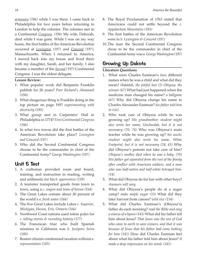*armonica (196)* while I was there. I came back to Philadelphia for two years before returning to London to help the colonies. The colonies met in a Continental *Congress. (196)* My wife, Deborah, died while I was gone. While I was on my way home, the first battles of the American Revolution occurred at *Lexington (197)* and *Concord (197),*  Massachusetts. When I returned to America, I moved back into my house and lived there with my daughter, Sarah, and her family. I also became a member of the *Second (197)* Continental Congress. I was the oldest delegate.

#### **Lesson Review:**

- 1. What popular work did Benjamin Franklin publish for 26 years? *Poor Richard's Almanack (194)*
- 2. What dangerous thing is Franklin doing in the top picture on page 195? *experimenting with electricity (195)*
- 3. What group met in Carpenters' Hall in Philadelphia in 1774? *First Continental Congress (196)*
- 4. In what two towns did the first battles of the American Revolution take place? *Lexington and Concord (197)*
- 5. Who did the Second Continental Congress choose to be the commander in chief of the Continental Army? *George Washington (197)*

## Unit 5 Test

- 1. A craftsman provided room and board, training, and instruction in reading, writing and arithmetic for his *b. apprentices (159)*
- 2. A teamster transported goods from town to town, using a *c. wagon and team of horses (164)*
- 3. The Great Lakes contain about 20 percent of the world's *a. fresh water (166)*
- 4. The five Great Lakes include Lakes *c. Superior, Michigan, Huron, Erie, Ontario (166)*
- 5. Northwest Coast nations used totem poles for *c. telling stories & recording history (177)*
- 6. The Franciscan friar who built Spanish missions in California was *b. Junipero Serra (180)*
- 7. Boston citizens condemned taxation without *a. representation (183)*
- 8. The Royal Proclamation of 1763 stated that Americans could not settle beyond the *c. Appalachian Mountains (183)*
- 9. The first battles of the American Revolution were in *b. Lexington & Concord (197)*
- 10.The man the Second Continental Congress chose to be the commander in chief of the Continental Army was *a. George Washington (197)*

## Growing Up Dakota

#### **Literature Questions**

- 1. What were Charles Eastman's two different names when he was a child and what did they mean? *Hakādah, the pitiful last (2) Ohiyesa, the winner (67)* What had just happened when the medicine man changed his name? *a ballgame (67)* Why did Ohiyesa change his name to Charles Alexander Eastman? *his father told him to (vii)*
- 2. Who took care of Ohiyesa while he was growing up? *His grandmother; student might also write her name, Uncheedah, but it is not necessary (70, 74)* Who was Ohiyesa's main teacher while he was growing up? *his uncle; student might also write his name, White Footprint, but it is not necessary (28, 41)* Why did Ohiyesa's parents not take care of him? *Ohiyesa's mother died when he was a baby. (70) His father got separated from the rest of the family after conflict with American soldiers, and a man who was half-native and half-white betrayed him. (14)*
- 3. What did Ohiyesa do for fun with other boys? *Answers will vary.*
- 4. What did Ohiyesa's people do at a sugar camp? *make maple sugar (15)* What did they later harvest from canoes? *wild rice (114)*
- 5. What did Charles Eastman's (Ohiyesa's) father do each morning? *read the Bible and sing a stanza of a hymn (141)* What did his father tell him about Jesus? *That Jesus was the son of God who came to earth to save sinners, and that it was because of Jesus that his father had come looking for him (141)* How did Charles Eastman feel about what his father told him about Jesus? *It made a deep impression on his mind. (141)*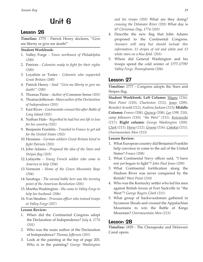## Unit 6

## Lesson 26

**Timeline:** 1775 - Patrick Henry declares, "Give me liberty or give me death!"

#### **Student Workbook:**

- 1. Valley Forge *Town northwest of Philadelphia (200)*
- 2. Patriots *Colonists ready to fight for their rights (200)*
- 3. Loyalists or Tories *Colonists who supported Great Britain (200)*
- 4. Patrick Henry *Said: "Give me liberty or give me death!" (200)*
- 5. Thomas Paine *Author of* Common Sense *(201)*
- 6. Thomas Jefferson *Main author of the Declaration of Independence (201)*
- 7. East River *Continentals crossed this after Battle of Long Island (202)*
- 8. Nathan Hale *Regretted he had but one life to lose for his country (202)*
- 9. Benjamin Franklin *Traveled to France to get aid for the United States (202)*
- 10.Hessians *German soldiers Great Britain hired to fight Patriots (203)*
- 11.John Adams - *Proposed the idea of the Stars and Stripes flag (203)*
- 12.Lafayette *Young French soldier who came to America to help (204)*
- 13.Vermont *Home of the Green Mountain Boys (204)*
- 14.Saratoga *The second battle here was the turning point of the American Revolution (205)*
- 15.Martha Washington - *She came to Valley Forge to help her husband. (206)*
- 16.Von Steuben *Prussian officer who trained troops at Valley Forge (207)*

#### **Lesson Review:**

- 1. When did the Continental Congress adopt the Declaration of Independence? *July 4, 1776 (201)*
- 2. Who was the main author of the Declaration of Independence? *Thomas Jefferson (201)*
- 3. Look at the painting at the top of page 203. Who is in the painting? *George Washington*

*and his troops (203)* What are they doing? *crossing the Delaware River (203)* What day is it? *Christmas Day, 1776 (203)*

- 4. Describe the new flag that John Adams proposed to the Continental Congress. *Answers will vary but should include this information: 13 stripes of red and white and 13 white stars on a blue field. (203)*
- 5. Where did General Washington and his troops spend the cold winter of 1777-1778? *Valley Forge, Pennsylvania (206)*

## Lesson 27

**Timeline:** 1777 - Congress adopts the Stars and Stripes flag.

**Student Workbook: Left Column:** *Wayne (216), West Point (210), Charleston (212), Jones (209), Benedict Arnold (212), Andrew Jackson (213);* **Middle Column:** *France (208), Quincy (208), Lee (199, 210), camp followers (210), "the West" (211), Kościuszko (217);* **Right column:** *George Washington (209), Clark (211), Horse (212), Greene (216), Cahokia (211), Overmountain Men (213)*

#### **Lesson Review:**

- 1. What European country did Benjamin Franklin help convince to come to the aid of the United States? *France (208)*
- 2. What Continental Navy officer said, "I have not yet begun to fight"? *John Paul Jones (209)*
- 3. What Continental fortification along the Hudson River was never conquered by the British? *West Point (210)*
- 4. Who was the Kentucky settler who led his men against British forces at Fort Sackville in "the West"? *George Rogers Clark (211)*
- 5. What group of backwoodsmen gathered in Sycamore Shoals and crossed the Appalachian Mountains to win the Battle of Kings Mountain? *Overmountain Men (213)*

#### Lesson 28

**Timeline:** 1829 - The Chesapeake and Delaware Canal opens.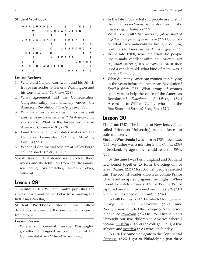#### **Student Workbook:**

|   | W A R S H I P S Y |       |  |  |            |  |                   | B |         |  |              | EELS |     |   |
|---|-------------------|-------|--|--|------------|--|-------------------|---|---------|--|--------------|------|-----|---|
|   |                   | W     |  |  |            |  | CORNWALLIS        |   |         |  |              |      |     |   |
|   |                   | A     |  |  | R          |  |                   |   |         |  |              |      |     |   |
|   |                   |       |  |  |            |  | CHESAPEAKE TREATY |   |         |  |              |      |     |   |
|   |                   | н     |  |  | т          |  |                   | L |         |  |              | E.   |     | C |
|   |                   |       |  |  | 0          |  | WEAPONS           |   |         |  |              |      | — н |   |
|   |                   | HENRY |  |  | W          |  |                   |   |         |  |              | т    |     | A |
|   |                   | G     |  |  | Ν          |  | R E E F S         |   |         |  |              | u    |     | R |
| В |                   |       |  |  |            |  |                   |   |         |  | <b>SHADL</b> |      |     |   |
| A |                   |       |  |  | ROCHAMBEAU |  |                   |   |         |  |              | R    |     | E |
|   |                   | Ν     |  |  |            |  |                   |   | C R A B |  |              | Y    |     | S |
|   |                   |       |  |  |            |  |                   |   |         |  |              |      |     |   |

#### **Lesson Review:**

- 1. Where did General Cornwallis and his British troops surrender to General Washington and his Continentals? *Yorktown (219)*
- 2. What agreement did the Confederation Congress ratify that officially ended the American Revolution? *Treaty of Paris (220)*
- 3. What is an estuary? *a coastal area where salt water from an ocean mixes with fresh water from rivers (220)* What is the largest estuary in America? *Chesapeake Bay (220)*
- 4. Land from what three states makes up the Delmarva Peninsula? *Delaware, Maryland, Virginia (221)*
- 5. What did Continental soldiers at Valley Forge call the shad? *savior fish (222)*
- **Vocabulary:** Student should write each of these words and its definition from the dictionary: sea nettle, oystercatcher, terrapin, elver, muskrat.

### Lesson 29

**Timeline:** 1870 - William Canby publishes the story of his grandmother Betsy Ross making the first American flag.

**Student Workbook:** Student will follow directions to examine the sampler and draw a frame for it.

#### **Lesson Review:**

1. Where did General George Washington go after he resigned as commander of the Continental Army? *Mount Vernon (226)*

- 2. In the late 1700s, what did people use to stuff their mattresses? *moss, straw, dried corn husks, wheat chaff, or feathers (227)*
- 3. What is a quilt? *two layers of fabric stitched together with padding in between (227)* Colonists of what two nationalities brought quilting traditions to America? *Dutch and English (227)*
- 4. In the late 1700s, what materials did people use to make candles? *tallow from sheep or beef fat, candle wicks of flax or cotton (228)* If they used a candle mold, what kind of metal was it made of? *tin (228)*
- 5. What did many American women stop buying in the years before the American Revolution? *English fabric (231)* What group of women spun yarn to help the cause of the American Revolution? *Daughters of Liberty (231)*  According to William Canby, who made the first Stars and Stripes? *Betsy Ross (231)*

#### Lesson 30

**Timeline:** 1747 - The College of New Jersey (later called Princeton University) begins classes to train ministers.

**Student Workbook:** I was born in 1723 in *Scotland. (236)* My father was a minister in the *Church (236)*  of Scotland. By age four, I could read the *Bible. (236)*

By the time I was born, England and Scotland had joined together to form the Kingdom of Great *Britain. (236)* Most Scottish people resented this. The Scottish leader known as Bonnie Prince Charlie led an uprising against the English. When I went to watch a *battle (237)* the Bonnie Prince captured me and imprisoned me in the *castle (237)* of Doune. I escaped out a *window. (237)*

In 1748 I *married (237)* Elizabeth Montgomery. During the Great *Awakening (237)*, nine Presbyterians founded the College of New Jersey, later called *Princeton. (237)* In 1768 Elizabeth and I brought our five children to America where I became *president (237)* of the college. I taught five subjects and *preached (238)* twice on Sunday.

In 1776 I became a delegate to the Continental *Congress. (238)* I got to Philadelphia just three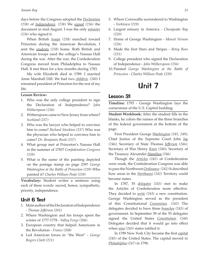days before the Congress adopted the *Declaration (238)* of *Independence. (238)* We *signed (236)* the document in mid-August. I was the only *minister (236)* who signed it.

When British *troops (238)* marched toward Princeton during the American Revolution, I sent the *students (238)* home. Both British and American troops used the college's Nassau Hall during the war. After the war, the Confederation Congress moved from Philadelphia to Nassau Hall. It met there for a few months during 1783.

My wife Elizabeth died in 1789. I married Anne Marshall Dill. We had two *children. (240)* I remained president of Princeton for the rest of my life.

#### **Lesson Review:**

- 1. Who was the only college president to sign the Declaration of Independence? *John Witherspoon (236)*
- 2. Witherspoon came to New Jersey from where? *Scotland (237)*
- 3. Who was the lawyer who helped to convince him to come? *Richard Stockton (237)* Who was the physician who helped to convince him to come? *Dr. Benjamin Rush (237)*
- 4. What group met at Princeton's Nassau Hall in the summer of 1783? *Confederation Congress (239)*
- 5. What is the name of the painting depicted on the postage stamp on page 239? *George Washington at the Battle of Princeton (239)* Who painted it? *Charles Willson Peale (239)*

**Vocabulary:** Student writes a sentence using each of these words: sacred, honor, sympathetic, priority, independence.

### Unit 6 Test

- 1. Main author of the Declaration of Independence - *Thomas Jefferson (201)*
- 2. Where Washington and his troops spent the winter of 1777-1778 - *Valley Forge (206)*
- 3. European country that helped Americans in the Revolution - *France (208)*
- 4. Led American forces in "the West" *George Rogers Clark (211)*
- 5. Where Cornwallis surrendered to Washington - *Yorktown (219)*
- 6. Largest estuary in America *Chesapeake Bay (220)*
- 7. Home of George Washington *Mount Vernon (226)*
- 8. Made the first Stars and Stripes *Betsy Ross (231)*
- 9. College president who signed the Declaration of Independence - *John Witherspoon (236)*
- 10.Painted *George Washington at the Battle of Princeton* - *Charles Willson Peale (239)*

## Unit 7

#### Lesson 31

**Timeline:** 1793 - George Washington lays the cornerstone of the U.S. Capitol building.

**Student Workbook:** After the student fills in the blanks, he colors the names of the three branches of the federal government at the bottom of the page.

First President George *Washington (245, 249)*; Chief Justice of the Supreme Court John *Jay (246)*; Secretary of State Thomas *Jefferson (246);*  Secretary of War Henry *Knox (246)*; Secretary of the Treasury Alexander *Hamilton (246)*

Though the *Articles (242)* of Confederation were weak, the Confederation Congress was able to pass the Northwest *Ordinance. (242)* It described how areas in the *Northwest (242)* Territory could become states.

In 1787, 55 *delegates (243)* met to make the Articles of Confederation more effective. They decided to *write (243)* a new constitution. George Washington served as the president of this Constitutional *Convention. (243)* The delegates decided to have three *branches (243)* of government. In September 39 of the 55 delegates signed the United States *Constitution. (244)*  Delegates decided that it would go into effect when *nine (245)* states ratified it.

In 1789 New York City became the first *capital (245)* of the United States. The capital moved to *Philadelphia (247)* in 1790.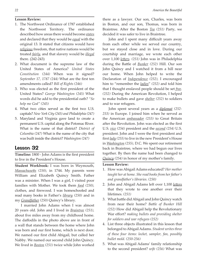#### **Lesson Review:**

- 1. The Northwest Ordinance of 1787 established the Northwest Territory. The ordinance described how areas there would become *states* and declared that they would be *equal* with the original 13. It stated that citizens would have *religious* freedom, that native nations would be treated *fairly*, and that slavery would be *illegal* there. (242-243)
- 2. What document is the supreme law of the United States of America? *United States Constitution (244)* When was it signed? *September 17, 1787 (244)* What are the first ten amendments called? *Bill of Rights (246)*
- 3. Who was elected as the first president of the United States? *George Washington (245)* What words did he add to the presidential oath? *"So help me God" (245)*
- 4. What two cities served as the first two U.S. capitals? *New York City (245) and Philadelphia (247)*
- 5. Maryland and Virginia gave land to create a permanent U.S. capital along the Potomac River. What is the name of that district? *District of Columbia (247)* What is the name of the city that was built inside the district? *Washington (247)*

## Lesson 32

**Timeline:** 1800 - John Adams is the first president to live in the President's House.

**Student Workbook:** I was born in Weymouth, *Massachusetts (250),* in 1744. My parents were William and Elizabeth Quincy Smith. Father was a minister. When I was a girl, I visited poor families with Mother. We took them *food (250),*  clothes, and firewood. I was homeschooled and read many books in Father's *library (250)* and in my *Grandfather (250)* Quincy's library.

I married John Adams when I was almost 20 years old. John and I lived in *Braintree (251),*  about five miles away from my childhood home. The daffodils in the photo above are in front of a wall that stands between the home where John was born and our first home, which is next door. We named our first child Abigail, but called her Nabby. We named our second child John Quincy. We lived in *Boston (251)* twice while John worked there as a lawyer. Our son, Charles, was born in Boston, and our son, Thomas, was born in Braintree. After the Boston *Tea (251)* Party, we decided it was safer to live in Braintree.

John and I spent many difficult years away from each other while we served our country, but we stayed close and in love. During our courtship and marriage, we wrote each other over 1,100 *letters. (251)* John was in Philadelphia during the Battle of *Bunker (252)* Hill. Our son John Quincy and I watched it from a hill near our home. When John helped to write the Declaration of *Independence (252),* I encouraged him to "remember the *ladies*" *(252)* and told him that I thought enslaved people should be set *free. (252)* During the American Revolution, I helped to make bullets and gave *shelter (252)* to soldiers and to war refugees.

John spent several years as a *diplomat (252- 253)* in Europe. I joined him when he served as the American *ambassador (253)* to Great Britain after the Revolution. John was elected as the first U.S. *vice (254)* president and the *second (254)* U.S. president. John and I were the first president and first *lady (255)* to live in the new President's House in *Washington (255),* D.C. We spent our retirement back in Braintree, where we had begun our lives together. By then the name had been changed to *Quincy (254)* in honor of my mother's family.

- 1. How was Abigail Adams educated? *Her mother taught her at home. She read books from her father's and grandfather's libraries. (250)*
- 2. John and Abigail Adams left over 1,100 *letters* that they wrote to one another over their lifetimes. *(251)*
- 3. What battle did Abigail and John Quincy watch from near their home? *Battle of Bunker Hill (252)* How did Abigail help the Revolutionary War effort? *making bullets and providing shelter for soldiers and war refugees (252)*
- 4. List three objects illustrated in this lesson that belonged to Abigail Adams. *Student writes three of these four items: locket, sampler, fan, possibly bullet mold. (250-256)*
- 5. What was Abigail Adams' family relationship to the second president? *wife (256)* What was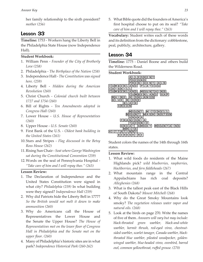her family relationship to the sixth president? *mother (256)*

## Lesson 33

**Timeline:** 1753 - Workers hang the Liberty Bell in the Philadelphia State House (now Independence Hall).

#### **Student Workbook:**

- 1. William Penn *Founder of the City of Brotherly Love (258)*
- 2. Philadelphia *The Birthplace of the Nation (258)*
- 3. Independence Hall *The Constitution was signed here. (259)*
- 4. Liberty Bell *Hidden during the American Revolution (260)*
- 5. Christ Church *Colonial church built between 1727 and 1754 (260)*
- 6. Bill of Rights *Ten Amendments adopted in Congress Hall (260)*
- 7. Lower House *U.S. House of Representatives (260)*
- 8. Upper House *U.S. Senate (260)*
- 9. First Bank of the U.S. *Oldest bank building in the United States (261)*
- 10.Stars and Stripes *Flag discussed in the Betsy Ross House (262)*
- 11.Rising Sun Chair *Seat where George Washington sat during the Constitutional Convention (259)*
- 12.Words on the seal of Pennsylvania Hospital *"Take care of him and I will repay thee." (263)*

#### **Lesson Review:**

- 1. The Declaration of Independence and the United States Constitution were signed in what city? *Philadelphia (259)* In what building were they signed? *Independence Hall (259)*
- 2. Why did Patriots hide the Liberty Bell in 1777? *So the British would not melt it down to make ammunition (260)*
- 3. Why do Americans call the House of Representatives the Lower House and the Senate the Upper House? *The House of Representatives met on the lower floor of Congress Hall in Philadelphia and the Senate met on the upper floor. (260)*
- 4. Many of Philadelphia's historic sites are in what park? *Independence Historical Park (260-262)*

5. What Bible quote did the founders of America's first hospital choose to put on its seal? *"Take care of him and I will repay thee." (263)*

**Vocabulary:** Student writes each of these words and its definition from the dictionary: cobblestone, peal, publicly, architecture, gallery.

## Lesson 34

**Timeline:** 1775 - Daniel Boone and others build the Wilderness Road.

|   | <b>Student Workbook:</b> |       |   |       |     |   |   |        |    |    |    |                   |                |   |   |    |   |       |                       |
|---|--------------------------|-------|---|-------|-----|---|---|--------|----|----|----|-------------------|----------------|---|---|----|---|-------|-----------------------|
|   |                          |       |   |       |     |   |   |        |    |    |    |                   | EGHENY         |   |   |    |   |       |                       |
|   |                          |       |   |       |     |   |   | n      |    |    |    |                   |                |   |   |    |   |       |                       |
|   |                          |       |   |       |     | Р |   |        | g  |    |    | F                 |                |   |   |    |   | ALISI |                       |
|   |                          |       |   |       |     | A | N | D      |    | ΙP |    |                   | <b>AITEAIU</b> |   |   |    |   |       |                       |
|   |                          |       |   |       |     |   |   |        |    |    |    |                   |                |   |   |    |   |       |                       |
|   |                          | B     |   |       |     |   |   |        |    | IΜ |    |                   |                |   | Δ |    | N | g     |                       |
|   |                          |       |   |       |     | C |   |        | В  | E  | R  |                   |                |   | D |    | G | A     | P                     |
|   |                          |       |   | E     |     |   |   | G      |    |    | ΑI |                   | D              | S |   |    |   |       |                       |
| B |                          |       | F |       | R   |   |   | G      | E. |    |    |                   |                |   |   |    |   |       |                       |
|   |                          |       |   | В     |     |   |   | AICIKI |    |    |    |                   |                |   |   |    |   |       |                       |
|   |                          | GREEN |   |       |     |   |   |        |    |    |    |                   |                |   |   |    |   |       |                       |
|   |                          |       |   |       |     |   |   |        |    |    |    |                   |                |   |   |    |   |       |                       |
|   |                          |       |   |       |     |   |   |        |    |    |    | M                 |                |   | n |    | н |       |                       |
|   |                          |       |   |       | IMI |   |   |        |    |    | wl |                   | AISIH          |   |   | ΝI | G |       | <b>TON</b>            |
|   |                          |       |   |       |     |   |   |        |    |    |    |                   |                |   |   |    |   |       |                       |
|   |                          |       |   | FIRIA |     |   | c |        |    |    | A  |                   |                |   |   |    |   |       |                       |
|   |                          |       |   |       |     |   | Δ | C      | O  |    |    | C                 |                |   |   |    |   |       |                       |
|   |                          |       |   |       |     |   |   |        |    |    |    | $S$  M $O$  K $ $ | l۷l            |   |   |    |   |       | IMIOIUINITIAI<br> N S |
|   |                          |       |   | w     |     |   |   | F      |    |    |    |                   |                |   |   |    |   |       |                       |
|   |                          |       |   |       |     |   |   |        |    |    |    |                   |                |   |   |    |   |       |                       |
|   |                          | В     | E | R     |     | g | н |        | RI | Е  |    |                   |                |   |   |    |   |       |                       |

Student colors the names of the 14th through 16th states.

- 1. What wild foods do residents of the Maine Highlands pick? *wild blueberries, raspberries, blackberries, and fern fiddleheads (267)*
- 2. What mountain range in the Central Appalachians has rich coal deposits? *Alleghenies (268)*
- 3. What is the tallest peak east of the Black Hills of South Dakota? *Mount Mitchell (268)*
- 4. Why do the Great Smoky Mountains look smoky? *The vegetation releases water vapor and natural oils. (268)*
- 5. Look at the birds on page 270. Write the names of five of them. *Answers will vary but may include: black-throated green warbler, black-and-white warbler, hermit thrush, red-eyed vireo, chestnutsided warbler, scarlet tanager, Canada warbler, blackthroated blue warbler, pileated woodpecker, goldenwinged warbler, blue-headed vireo, ovenbird, barred owl, common yellowthroat, ruffed grouse. (270)*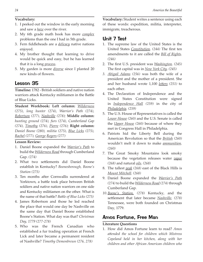## **Vocabulary:**

- 1. I peeked out the window in the early morning and saw a *haze* over the river.
- 2. My 6th grade math book has more *complex* problems than the one I had in 5th grade.
- 3. Fern fiddleheads are a *delicacy* native nations enjoyed.
- 4. My brother thought that learning to drive would be quick and easy, but he has learned that it is a long *process*.
- 5. My garden is more *diverse* since I planted 20 new kinds of flowers.

## Lesson 35

**Timeline:** 1782 - British soldiers and native nation warriors attack Kentucky militiamen in the Battle of Blue Licks.

**Student Workbook: Left column:** *Wilderness (275), long hunter (274), Warrior's Path (274), Robertson (277), Nashville (278);* **Middle column:** *hunting ground (274), furs (274), Cumberland Gap (274), Timothy (276), Pierre (276);* **Right column:** *Daniel Boone (280), militia (275), Blue Licks (275), Rachel (277), George Rogers (277)*

#### **Lesson Review:**

- 1. Daniel Boone expanded the *Warrior's Path* to build the *Wilderness Road* through Cumberland Gap. *(274)*
- 2. What two settlements did Daniel Boone establish in Kentucky? *Boonesborough, Boone's Station (275)*
- 3. Ten months after Cornwallis surrendered at Yorktown, a battle took place between British soldiers and native nation warriors on one side and Kentucky militiamen on the other. What is the name of that battle? *Battle of Blue Licks (275)*
- 4. James Robertson and those he led reached the place that would one day be Nashville on the same day that Daniel Boone established Boone's Station. What day was that? *Christmas Day, 1779 (277-278)*
- 5. Who was the French Canadian who established a fur trading operation at French Lick and later became a permanent resident of Nashville? *Timothy Demonbreun (276, 278)*

**Vocabulary:** Student writes a sentence using each of these words: expedition, militia, interpreter, immigrate, treacherous.

## Unit 7 Test

- 1. The supreme law of the United States is the United States *Constitution*. *(244)* The first ten amendments to it are called the *Bill of Rights. (246)*
- 2. The first U.S. president was *Washington. (245)*  The first capital was in *New York City. (245)*
- *3. Abigail Adams (256)* was both the wife of a president and the mother of a president. She and her husband wrote 1,100 *letters (251)* to each other.
- 4. The Declaration of Independence and the United States Constitution were signed in *Independence Hall (259)* in the city of *Philadelphia. (259)*
- 5. The U.S. House of Representatives is called the *Lower House (260)* and the U.S. Senate is called the *Upper House (260)* because of where they met in Congress Hall in Philadelphia.
- 6. Patriots hid the Liberty Bell during the American Revolution so that the *British (260)*  wouldn't melt it down to make *ammunition*. *(260)*
- 7. The Great Smoky Mountains look smoky because the vegetation releases water *vapor (268)* and natural *oils*. *(268)*
- 8. The tallest *peak (268)* east of the Black Hills is *Mount Mitchell. (268)*
- 9. Daniel Boone expanded the *Warrior's Path (274)* to build the *Wilderness Road (274)* through Cumberland Gap*.*
- *10.Boone's Station, (278)* Kentucky, and the settlement that later became *Nashville, (278)*  Tennessee, were both founded on Christmas Day, 1779.

## Amos Fortune, Free Man

#### **Literature Questions**

1. How did Amos Fortune learn to read? *Amos attended the school for children which Mistress Copeland held in her kitchen, along with her children and other African American children who*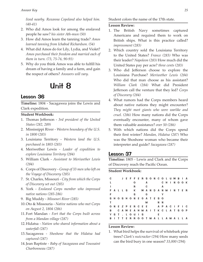*lived nearby. Roxanna Copeland also helped him. (40-41)*

- 2. Who did Amos look for among the enslaved people he saw? *his sister Ath-mun (50)*
- 3. How did Amos learn the tanning trade? *Amos learned tanning from Ichabod Richardson. (54)*
- 4. What did Amos do for Lily, Lydia, and Violet? *Amos purchased their freedom and married each of them in turn. (73, 75-76, 90-91)*
- 5. Why do you think Amos was able to fulfill his dream of having a family and a farm, and gain the respect of others? *Answers will vary.*

## Unit 8

## Lesson 36

**Timeline:** 1804 - Sacagawea joins the Lewis and Clark expedition.

#### **Student Workbook:**

- 1. Thomas Jefferson *3rd president of the United States (282, 289)*
- 2. Mississippi River *Western boundary of the U.S. in 1800 (283)*
- 3. Louisiana Territory *Western land the U.S. purchased in 1803 (283)*
- 4. Meriwether Lewis *Leader of expedition to explore Louisiana Territory (284)*
- 5. William Clark *Assistant to Meriwether Lewis (284)*
- 6. Corps of Discovery *Group of 33 men who left on the Voyage of Discovery (285)*
- 7. St. Charles, Missouri *City from which the Corps of Discovery set out (285)*
- 8. York *Enslaved Corps member who impressed native nations (285-286)*
- 9. Big Muddy *Missouri River (285)*
- 10.Oto & Missouria *Native nations who met Corps on August 2, 1804 (286)*
- 11.Fort Mandan *Fort that the Corps built across from a Mandan village (287)*
- 12.Hidatsa *Nation who shared information about a waterfall (287)*
- 13.Sacagawea *Shoshone that the Hidatsa had captured (287)*
- 14.Jean Baptiste *Baby of Sacagawea and Toussaint Charbonneau (287)*

Student colors the name of the 17th state.

#### **Lesson Review:**

- 1. The British Navy sometimes captured Americans and required them to work on British ships. What is this practice called? *impressment (283)*
- 2. Which country sold the Louisiana Territory to the United States? *France (283)* Who was their leader? *Napoleon (283)* How much did the United States pay per acre? *three cents (283)*
- 3. Who did Jefferson choose to explore the Louisiana Purchase? *Meriwether Lewis (284)*  Who did that man choose as his assistant? *William Clark (284)* What did President Jefferson call the venture that they led? *Corps of Discovery (284)*
- 4. What rumors had the Corps members heard about native nations they might encounter? *They might meet giants who were warlike and cruel. (286)* How many nations did the Corps eventually encounter, many of whom gave them valuable assistance? *over 50 (286)*
- 5. With which nations did the Corps spend their first winter? *Mandan, Hidatsa (287)* Who was the Shoshone woman who became their interpreter and guide? *Sacagawea (287)*

## Lesson 37

**Timeline:** 1805 - Lewis and Clark and the Corps of Discovery reach the Pacific Ocean.

#### **Student Workbook:**

| C  |  |                   |   |  |   | J E F F E R S O N C O L U M B I A   |     |   |                |  |   |
|----|--|-------------------|---|--|---|-------------------------------------|-----|---|----------------|--|---|
|    |  |                   |   |  |   | A                                   |     |   | <b>CHINOOK</b> |  |   |
|    |  |                   | R |  | c |                                     |     | А |                |  |   |
|    |  |                   |   |  |   | FALLS K MANDANWINTER                |     |   |                |  |   |
| F  |  |                   | Ω |  | G |                                     |     |   |                |  |   |
|    |  |                   |   |  |   | S H O S H O N E G A T E S O         |     |   |                |  |   |
|    |  |                   |   |  | W |                                     | N N |   |                |  |   |
|    |  |                   |   |  |   | ONEZPERCEE APACIFIC                 |     |   |                |  |   |
| B. |  |                   |   |  |   | CAMEAHWAITKCLATSOP                  |     |   |                |  |   |
|    |  | Y S T . L O U I S |   |  |   |                                     | F   |   |                |  |   |
| B  |  |                   |   |  |   | I T T E R R O O T W A L L A W A L L |     |   |                |  | A |
|    |  |                   |   |  |   |                                     |     |   |                |  |   |

#### **Lesson Review:**

1. What bird helps the survival of whitebark pine trees? *Clark's nutcracker (294)* How many seeds can the bird bury in one season? *33,000 (294*)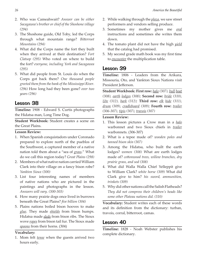- 2. Who was Cameahwait? *Answer can be either Sacagawea's brother or chief of the Shoshone village (294)*
- 3. The Shoshone guide, Old Toby, led the Corps through what mountain range? *Bitterroot Mountains (294)*
- 4. What did the Corps name the fort they built when they arrived at their destination? *Fort Clatsop (295)* Who voted on where to build the fort? *everyone, including York and Sacagawea (295)*
- 5. What did people from St. Louis do when the Corps got back there? *One thousand people greeted them from the bank of the Mississippi River. (296)* How long had they been gone? *over two years (296)*

## Lesson 38

**Timeline:** 1908 - Edward S. Curtis photographs the Hidatsa man, Long Time Dog.

**Student Workbook:** Student creates a scene on the Great Plains.

#### **Lesson Review:**

- 1. When Spanish conquistadors under Coronado prepared to explore north of the pueblos of the Southwest, a captured member of a native nation told them about a "sea of *grass*." What do we call this region today? *Great Plains (298)*
- 2. Members of what native nation carried William Clark into their village on a fancy bison robe? *Yankton Sioux (300)*
- 3. List four interesting names of members of native nations who are pictured in the paintings and photographs in the lesson. *Answers will vary. (300-303)*
- 4. How many prairie dogs once lived in burrows beneath the Great Plains? *five billion (304)*
- 5. Plains nations boiled bison hooves to make *glue*. They made *shields* from bison humps. Hidatsa made *sleds* from bison ribs. The Sioux wove *ropes* from bison tail fur. The Sioux made *spoons* from their horns. (304)

#### **Vocabulary:**

1. Mom felt *tense* when the guests arrived two hours early.

- 2. While walking through the *plaza*, we saw street performers and vendors selling produce.
- 3. Sometimes my mother gives me *oral* instructions and sometimes she writes them down.
- 4. The tomato plant did not have the high *yield* that the catalog had promised.
- 5. My second grade math book was my first time to *encounter* the multiplication table.

## Lesson 39

**Timeline:** 1806 - Leaders from the Arikara, Missouria, Oto, and Yankton Sioux Nations visit President Jefferson.

**Student Workbook: First row:** *halo (307), bull boat (308), earth lodges (308);* **Second row:** *bride (310), Ute (312), bark (312);* **Third row:** *elk hide (311), drum (309), cradleboard (309);* **Fourth row:** *trailer (306-307), tipis (307), travois (307)*

#### **Lesson Review:**

- 1. This lesson pictures a Crow man in a *halo* warbonnet and two Sioux chiefs in *trailer* warbonnets. (306-307)
- 2. What is a tepee made of? *wooden poles and tanned bison skin (307)*
- 3. Among the Hidatsa, who built the earth lodges? *women (308)* What are earth lodges made of? *cottonwood trees, willow branches, dry prairie grass, and sod (308)*
- 4. What did Walla Walla Chief Yelleppit give to William Clark? *white horse (309)* What did Clark give to him? *his sword, ammunition, trinkets (309)*
- 5. Why did other nations call the Salish Flatheads? *They did not compress their children's heads like some other Plateau nations did. (310)*

**Vocabulary:** Student writes each of these words and its definition from the dictionary: turban, travois, corral, bitterroot, camas.

## Lesson 40

**Timeline:** 1828 - Noah Webster publishes his complete dictionary.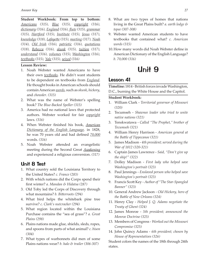**Student Workbook: From top to bottom:**  *Americans (315), Blue (315), copyright (316), dictionary (316), England (316), flute (315), grammar (315), Hartford (315), Institute (315), Jesus (317), knowledge (318), Lafayette (315), meeting (317), Noah (314), Old Irish (316), patriotic (316), quotations (318), Rebecca (316), skunk (315), tuition (317), understand (316), volumes (315), Washington (316), textbooks (315), Yale (315), seized (316)*

#### **Lesson Review:**

- 1. Noah Webster wanted Americans to have their own *textbooks*. He didn't want students to be dependent on textbooks from *England*. He thought books in American schools should contain American *words*, such as *skunk*, *hickory*, and *chowder*. *(315)*
- 2. What was the name of Webster's spelling book? *The Blue-Backed Speller (315)*
- 3. America had no national laws that protected authors. Webster worked for fair *copyright* laws. *(316)*
- 4. When Webster finished his book, *American Dictionary of the English Language,* in 1828, he was 70 years old and had defined *70,000*  words. *(316)*
- 5. Noah Webster attended an evangelistic meeting during the Second Great *Awakening* and experienced a religious conversion. *(317)*

## Unit 8 Test

- 1. What country sold the Louisiana Territory to the United States? *c. France (283)*
- 2. With which nations did the Corps spend their first winter? *a. Mandan & Hidatsa (287)*
- 3. Old Toby led the Corps of Discovery through what mountains? *b. Bitterroots (294)*
- 4. What bird helps the whitebark pine tree survive? *c. Clark's nutcracker (294)*
- 5. What region located within the Louisiana Purchase contains the "sea of grass"? *a. Great Plains (298)*
- 6. Plains nations made glue, shields, sleds, ropes, and spoons from parts of what animal? *c. bison (304)*
- 7. What types of warbonnets did men of some Plains nations wear? *b. halo & trailer (306-307)*
- 8. What are two types of homes that nations living in the Great Plains built? *a. earth lodge & tepee (307-308)*
- 9. Webster wanted American students to have textbooks that contained what? *c. American words (315)*
- 10.How many words did Noah Webster define in American Dictionary of the English Language? *b. 70,000 (316)*

## Unit 9

### Lesson 41

**Timeline:** 1814 - British forces invade Washington, D.C., burning the White House and the Capitol.

#### **Student Workbook:**

- 1. William Clark - *Territorial governor of Missouri (320)*
- 2. Tecumseh *Shawnee leader who tried to unite native nations (321)*
- 3. Tenskwatawa *Called "The Prophet," brother of Tecumseh (321)*
- 4. William Henry Harrison *American general at the Battle of Tippecanoe (321)*
- 5. James Madison *4th president; served during the War of 1812 (320-321)*
- 6. Captain James Lawrence *Said, "Don't give up the ship!" (322)*
- 7. Dolley Madison *First lady who helped save Washington's portrait (323)*
- 8. Paul Jennings *Enslaved person who helped save Washington's portrait (323)*
- 9. Francis Scott Key *Author of "The Star-Spangled Banner" (323)*
- 10. General Andrew Jackson *Old Hickory, hero of the Battle of New Orleans (324)*
- 11. Henry Clay *Helped J. Q. Adams negotiate the Treaty of Ghent (324)*
- 12. James Monroe *5th president; announced the Monroe Doctrine (325)*
- 13. Members of Congress *Worked out the Missouri Compromise (325)*
- 14. John Quincy Adams *6th president; chosen by House of Representatives (326)*

Student colors the names of the 18th through 24th states.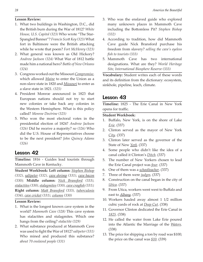#### **Lesson Review:**

- 1. What two buildings in Washington, D.C., did the British burn during the War of 1812? *White House, U.S. Capitol (323)* Who wrote "The Star-Spangled Banner"? *Francis Scott Key (323)* What fort in Baltimore were the British attacking while he wrote that poem? *Fort McHenry (323)*
- 2. What general was known as Old Hickory? *Andrew Jackson (324)* What War of 1812 battle made him a national hero? *Battle of New Orleans (324)*
- 3. Congress worked out the Missouri *Compromise*, which allowed *Maine* to enter the Union as a non-slave state in 1820 and *Missouri* to enter as a slave state in 1821. *(325)*
- 4. President Monroe announced in 1823 that European nations should not try to start new colonies or take back any colonies in the Western Hemisphere. What is this policy called? *Monroe Doctrine (325)*
- 5. Who won the most electoral votes in the presidential election of 1824? *Andrew Jackson (326)* Did he receive a majority? *no (326)* Who did the U.S. House of Representatives choose to be the next president? *John Quincy Adams (326)*

## Lesson 42

**Timeline:** 1816 - Guides lead tourists through Mammoth Cave in Kentucky.

**Student Workbook: Left column:** *Stephen Bishop (332), saltpeter (332), cave shrimp (331), cave bacon (330);* **Middle column:** *Nick Bransford (333), stalactites (330), stalagmites (330), cave crayfish (331);*  **Right column:** *Matt Bransford (333), tuberculosis (334), cave cricket (331), column (330)*

#### **Lesson Review:**

- 1. What is the longest known cave system in the world? *Mammoth Cave (328)* This cave system has stalactites and stalagmites. Which one hangs from the ceiling? *stalactite (329)*
- 2. What substance produced at Mammoth Cave was used to fight the War of 1812? *saltpeter (331)*  Who mined and produced this substance? *about 70 enslaved people (331)*
- 3. Who was the enslaved guide who explored many unknown places in Mammoth Cave including the Bottomless Pit? *Stephen Bishop (332)*
- 4. According to tradition, how did Mammoth Cave guide Nick Bransford purchase his freedom from slavery? *selling the cave's eyeless fish to tourists (333)*
- 5. Mammoth Cave has two international designations. What are they? *World Heritage Site, International Biosphere Reserve (333)*

**Vocabulary:** Student writes each of these words and its definition from the dictionary: ecosystem, sinkhole, pipeline, leach, climate.

## Lesson 43

**Timeline:** 1825 - The Erie Canal in New York opens for traffic.

#### **Student Workbook:**

- 1. Buffalo, New York, is on the shore of Lake *Erie*. (337)
- 2. Clinton served as the mayor of New York *City*. (337)
- 3. Clinton later served as the governor of the State of New *York*. (337)
- 4. Some people who didn't like the idea of a canal called it Clinton's *Ditch*. (337)
- 5. The number of New Yorkers chosen to lead the Erie Canal project was *four*. (337)
- 6. One of them was a *schoolteacher*. (337)
- 7. Three of them were *judges*. (337)
- 8. Construction on the canal began in the city of *Utica*. (337)
- 9. From Utica, workers went west to Buffalo and east to *Albany*. (337)
- 10. Workers hauled away almost 1 1/2 million cubic yards of rock at *Deep Cut*. (338)
- 11. Governor Clinton dedicated the Erie Canal in *1825*. (338)
- 12. He called the water from Lake Erie poured into the Atlantic the Marriage of the *Waters*. (338)
- 13. The price for shipping a ton by road was \$100; the price on the canal was *\$10*. (339)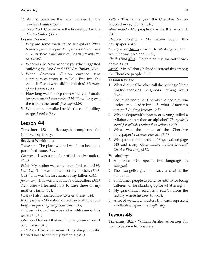- 14. At first boats on the canal traveled by the power of *mules*. (339)
- 15. New York City became the busiest port in the *United States*. (339)

#### **Lesson Review:**

- 1. Why are some roads called turnpikes? *When travelers paid the required toll, an attendant turned a pike or stake, which allowed the traveler onto the road (336)*
- 2. Who was the New York mayor who suggested building the Erie Canal? *DeWitt Clinton (337)*
- 3. When Governor Clinton emptied two containers of water from Lake Erie into the Atlantic Ocean what did he call this? *Marriage of the Waters (338)*
- 4. How long was the trip from Albany to Buffalo by stagecoach? *two weeks (339)* How long was the trip on the canal? *five days (339)*
- 5. What animals walked beside the canal pulling barges? *mules (339)*

## Lesson 44

**Timeline:** 1821 - Sequoyah completes the Cherokee syllabary.

#### **Student Workbook:**

*Tennessee -* The place where I was born became a part of this state. *(344)*

*Cherokee -* I was a member of this native nation. *(344)*

*Paint -* My mother was a member of this clan. *(344)*

*Wut-teh -* This was the name of my mother. *(344)*

*Gist -* This was the last name of my father. *(344)*

*fur trader -* This was my father's occupation. *(344) dairy cows -* I learned how to raise these on my mother's farm. *(344)*

*horses -* I also learned how to train these. *(344)*

*talking leaves -* My nation called the writing of our English-speaking neighbors this. *(345)*

*Andrew Jackson -* I was a part of a militia under this general. *(345)*

*syllables -* I learned that our language was made of 85 of these. *(345)*

*A-Yo-Ka -* This is the name of my daughter who learned how to write my symbols. *(346)*

*1825 -* This is the year the Cherokee Nation adopted my syllabary. *(346)*

*silver medal -* My people gave me this as a gift. *(346)*

*Cherokee Phoenix -* My nation began this newspaper. *(347)*

*John Quincy Adams -* I went to Washington, D.C., while he was president. *(348)*

*Charles Bird King -* He painted my portrait shown above. *(348)*

*gospel -* My syllabary helped to spread this among the Cherokee people. *(350)*

#### **Lesson Review:**

- 1. What did the Cherokee call the writing of their English-speaking neighbors? *talking leaves (345)*
- 2. Sequoyah and other Cherokee joined a militia under the leadership of what American general? *Andrew Jackson (345)*
- 3. Why is Sequoyah's system of writing called a syllabary rather than an alphabet? *The symbols stand for syllables rather than letters. (346)*
- 4. What was the name of the Cherokee newspaper? *Cherokee Phoenix (347)*
- 5. Who painted the portrait of Sequoyah on page 348 and many other native nation leaders? *Charles Bird King (348)*

#### **Vocabulary:**

- 1. A person who speaks two languages is *bilingual*.
- 2. The evangelist gave the lady a *tract* at the ballgame.
- 3. Sometimes people experience *ridicule* for being different or for standing up for what is right.
- 4. My grandfather receives a *pension* from the factory where he used to work.
- 5. A set of written characters that each represent a syllable of speech is a *syllabary*.

## Lesson 45

**Timeline:** 1822 - William Ashley advertises for men to become fur trappers.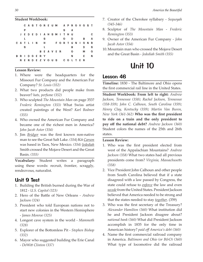#### **Student Workbook:**

|  |   |  |                 |               |  |                             |   |   |  | CASTOREUM APROVOST  |              |
|--|---|--|-----------------|---------------|--|-----------------------------|---|---|--|---------------------|--------------|
|  | P |  |                 |               |  |                             | g | A |  |                     |              |
|  |   |  |                 |               |  | J E D E D I A H S M I T H U |   |   |  |                     | C            |
|  |   |  |                 | g             |  |                             | 0 | D |  | B                   | A            |
|  |   |  |                 |               |  |                             |   |   |  | CATLIN H FORTUNIONR |              |
|  | g |  |                 |               |  |                             |   | В |  | D                   | -S           |
|  |   |  |                 | <b>BEAVER</b> |  |                             |   | 0 |  | М                   | $\mathbf{o}$ |
|  |   |  | <b>BRIDGERY</b> |               |  |                             |   | N |  | E.                  | N            |
|  |   |  |                 |               |  | RENDEZVOUS COLTER           |   |   |  |                     |              |

#### **Lesson Review:**

- 1. Where were the headquarters for the Missouri Fur Company and the American Fur Company? *St. Louis (352)*
- 2. What two products did people make from beaver? *hats, perfume (352)*
- 3. Who sculpted *The Mountain Man* on page 353? *Frederic Remington (353)* What Swiss artist created paintings of the West? *Karl Bodmer (355)*
- 4. Who owned the American Fur Company and became one of the richest men in America? *John Jacob Astor (354)*
- 5. Jim *Bridger* was the first known non-native man to see the Great Salt Lake. *(354*) Kit *Carson* was based in Taos, New Mexico. *(354) Jedediah* Smith crossed the Mojave Desert and the Great Basin. *(355)*

**Vocabulary:** Student writes a paragraph using these words: recruit, frontier, scraggly, rendezvous, naturalist.

## Unit 9 Test

- 1. Building the British burned during the War of 1812 - *U.S. Capitol (323)*
- 2. Hero of the Battle of New Orleans *Andrew Jackson (324)*
- 3. President who told European nations not to start new colonies in the Western Hemisphere - *James Monroe (325)*
- 4. Longest cave system in the world *Mammoth (328)*
- 5. Explorer of the Bottomless Pit *Stephen Bishop (332)*
- 6. Mayor who suggested building the Erie Canal - *DeWitt Clinton (337)*
- 7. Creator of the Cherokee syllabary *Sequoyah (345-346)*
- 8. Sculptor of *The Mountain Man Frederic Remington (353)*
- 9. Owner of the American Fur Company *John Jacob Astor (354)*
- 10.Mountain man who crossed the Mojave Desert and the Great Basin - *Jedediah Smith (355)*

## Unit 10

## Lesson 46

**Timeline:** 1830 - The Baltimore and Ohio opens the first commercial rail line in the United States.

**Student Workbook: From left to right:** *Andrew Jackson, Tennessee (358); Rachel Jackson, Tennessee (358-359); John C. Calhoun, South Carolina (359); Henry Clay, Kentucky (359); Martin Van Buren, New York (361-362)* **Who was the first president to ride on a train and the only president to pay off the national debt?** *Andrew Jackson (360)* Student colors the names of the 25th and 26th states.

- 1. Who was the first president elected from west of the Appalachian Mountains? *Andrew Jackson (358)* What two states had all previous presidents come from? *Virginia, Massachusetts (358)*
- 2. Vice President John Calhoun and other people from South Carolina believed that if a state disagreed with a law passed by Congress, the state could refuse to *enforce* the law and even *secede* from the United States. President Jackson believed that America needed to be strong and that the states needed to stay *together*. (359)
- 3. Who was the first secretary of the Treasury? *Alexander Hamilton (360)* What institution did he and President Jackson disagree about? *national bank (360)* What did President Jackson accomplish in 1835 for the only time in American history? *paid off America's debt (360)*
- 4. Name the first commercial railroad company in America. *Baltimore and Ohio (or B&O) (360)* What type of locomotive did the railroad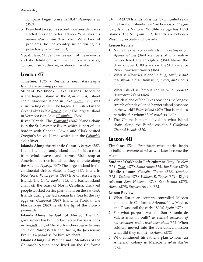company begin to use in 1831? *steam-powered (360)*

5. President Jackson's second vice president was elected president after Jackson. What was his name? *Martin Van Buren (361)* What kind of problems did the country suffer during his presidency? *economic (361)*

**Vocabulary:** Student writes each of these words and its definition from the dictionary: sparse, compromise, authorize, existence, inscribe.

## Lesson 47

**Timeline:** 1835 - Residents near Assateague Island are penning ponies.

**Student Workbook: Lake Islands:** Madeline is the largest island in the *Apostle (364)* Island chain. Mackinac Island in Lake *Huron (365)* was a fur trading center. The largest U.S. island in the Great Lakes is Isle *Royale. (365)* The largest island in Vermont is in Lake *Champlain. (365)* 

**River Islands:** The *Thousand (366)* Islands chain is in the St. Lawrence River, which is part of our border with Canada. Lewis and Clark visited Oregon's Sauvie Island, which is in the *Columbia (366)* River.

**Islands Along the Atlantic Coast:** A *barrier (367)*  island is a long, sandy island that shields a coast from wind, waves, and storms. Birds stop at America's barrier islands as they migrate along the Atlantic *Flyway. (367)* The largest island in the continental United States is *Long (367)* Island in New York. Wild *ponies (368)* live on Assateague Island. The *Outer Banks (368)* is a barrier island chain off the coast of North Carolina. Enslaved people worked on rice plantations on the *Sea (368)*  Islands during the Jacksonian Era. Sea turtles lay eggs on *Canaveral (368)* Island in Florida. The Florida *Keys (368)* lie off the tip of the Florida peninsula.

**Islands Along the Gulf of Mexico:** The U.S. government has built forts on some barrier islands in the *Gulf (369)* of Mexico. Ranchers began to raise cattle on *Padre (369)* Island during the Jacksonian Era. It is a paradise for bird watchers.

**Islands Along the Pacific Coast:** Members of the Chumash Nation once lived on the California *Channel (370)* Islands. *Russians (370)* hunted seals on the Farallon Islands near San Francisco. *Oregon (370)* Islands National Wildlife Refuge has 1,853 islands. The *San Juan (371)* Islands are between Washington State and Canada.

#### **Lesson Review:**

- 1. Name the chain of 22 islands in Lake Superior. *Apostle Islands (364)* Members of what native nation lived there? *Ojibwe (364)* Name the chain of over 1,500 islands in the St. Lawrence River. *Thousand Islands (366)*
- 2. What is a barrier island? *a long, sandy island that shields a coast from wind, waves, and storms (367)*
- 3. What island is famous for its wild ponies? *Assateague Island (368)*
- 4. Which island off the Texas coast has the longest stretch of undeveloped barrier island seashore in the world? *Padre Island (369)* That island is a paradise for whom? *bird-watchers (369)*
- 5. The Chumash people lived in what island chain along the Pacific coastline? *California Channel Islands (370)*

## Lesson 48

**Timeline:** 1724 - Franciscan missionaries begin to build a *convento* at what will later become the Alamo.

**Student Workbook: Left column:** *Davy Crockett (374), Texas (375), Santa Anna (375), Jim Bowie (374);*  **Middle column:** *Catholic Church (372), republic (373), Texians (373), William B. Travis (374);* **Right column:** *Sam Houston (374), San Jacinto (375), Alamo (375), Stephen Austin (373)*

- 1. What European country controlled Mexico and lands in California, Arizona, New Mexico, and Texas until the early 1800s? *Spain (372)*
- 2. For what purpose was the San Antonio de Valero mission built? *to convert members of native nations and to teach them skills (372)* When soldiers moved into the abandoned mission what did they call it? *the Alamo (372)*
- 3. Who continued his father's plan to form an American colony in Mexico? *Stephen Austin (373)*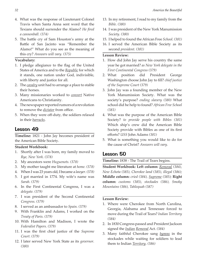- 4. What was the response of Lieutenant Colonel Travis when Santa Anna sent word that the Texians should surrender the Alamo? *He fired a cannonball. (374)*
- 5. The battle cry of Sam Houston's army at the Battle of San Jacinto was "Remember the Alamo!" What do you see as the meaning of this cry? *Answers will vary. (375)*

#### **Vocabulary:**

- 1. I pledge allegiance to the flag of the United States of America and to the *Republic* for which it stands, one nation under God, indivisible, with liberty and justice for all.
- 2. The *cavalry* unit had to arrange a place to stable their horses.
- 3. Many missionaries worked to *convert* Native Americans to Christianity.
- 4. The newspaper reported rumors of a revolution to remove the *dictator* from office.
- 5. When they were off-duty, the soldiers relaxed in their *barracks*.

### Lesson 49

**Timeline:** 1821 - John Jay becomes president of the American Bible Society.

#### **Student Workbook:**

- 1. Shortly after I was born, my family moved to *Rye, New York. (378)*
- 2. My ancestors were *Huguenots. (378)*
- 3. My mother taught me literature at *home. (378)*
- 4. When I was 23 years old, I became a *lawyer. (378)*
- 5. I got married in 1774. My wife's name was *Sarah. (379)*
- 6. In the First Continental Congress, I was a *delegate. (379)*
- 7. I was president of the Second Continental *Congress. (379)*
- 8. I served as an ambassador to *Spain. (379)*
- 9. With Franklin and Adams, I worked on the *Treaty of Paris. (379)*
- 10. With Hamilton and Madison, I wrote the *Federalist Papers. (379)*
- 11. I was the first chief justice of the *Supreme Court. (379)*
- 12. I later served New York State as its *governor. (380)*
- 13. In my retirement, I read to my family from the *Bible. (380)*
- 14. I was president of the New York Manumission *Society. (380)*
- 15. I helped to found the African Free *School. (381)*
- 16. I served the American Bible Society as its second *president. (381)*

#### **Lesson Review:**

- 1. How did John Jay serve his country the same year he got married? *as New York delegate in the First Continental Congress (379)*
- 2. What position did President George Washington choose John Jay to fill? *chief justice of the Supreme Court (379)*
- 3. John Jay was a founding member of the New York Manumission Society. What was the society's purpose? *ending slavery (380)* What school did he help to found? *African Free School (381)*
- 4. What was the purpose of the American Bible Society? *to provide people with Bibles (381)*  Which ship's crew did the American Bible Society provide with Bibles as one of its first efforts? *USS* John Adams *(381)*
- 5. What is something you would like to do for the cause of Christ? *Answers will vary.*

## Lesson 50

**Timeline:** 1838 - The Trail of Tears begins.

**Student Workbook: Left column:** *Removal (384), New Echota (385), Cherokee land (385), illegal (386);* **Middle column:** *cried (384), Supreme (385);* **Right column:** *customs (385), stockades (386), Smoky Mountains (386), Tahlequah (387)*

- 1. Where were Cherokee from North Carolina, Georgia, Alabama and Tennessee forced to move during the Trail of Tears? *Indian Territory (384)*
- 2. In 1830 Congress passed and President Jackson signed the *Indian Removal* Act. *(384)*
- 3. Many faithful Cherokee sang *hymns* in the stockades while waiting for soldiers to lead them to Indian *Territory*. *(386)*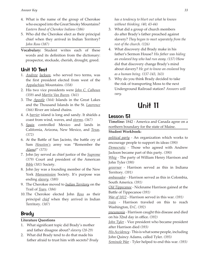- 4. What is the name of the group of Cherokee who escaped into the Great Smoky Mountains? *Eastern Band of Cherokee Indians (386)*
- 5. Who did the Cherokee elect as their principal chief when they arrived in Indian Territory? *John Ross (387)*
- **Vocabulary:** Student writes each of these words and its definition from the dictionary: prospector, stockade, cherish, drought, greed.

## Unit 10 Test

- 1. *Andrew Jackson*, who served two terms, was the first president elected from west of the *Appalachian* Mountains. *(358)*
- 2. His two vice presidents were *John C. Calhoun (359)* and *Martin Van Buren. (361)*
- 3. The *Apostle (364)* Islands in the Great Lakes and the Thousand Islands in the St. *Lawrence (366)* River are island chains.
- 4. A *barrier* island is long and sandy. It shields a coast from wind, waves, and *storms*. *(367)*
- 5. *Spain* controlled Mexico and lands in California, Arizona, New Mexico, and *Texas*. *(372)*
- 6. At the Battle of San Jacinto, the battle cry of Sam *Houston's* army was "Remember the *Alamo*!" *(375)*
- 7. John Jay served as chief justice of the *Supreme (379)* Court and president of the American *Bible (381)* Society.
- 8. John Jay was a founding member of the New York *Manumission* Society. It's purpose was ending *slavery*. *(380)*
- 9. The Cherokee moved to *Indian Territory* on the Trail of *Tears*. *(384)*
- 10.The Cherokee elected John *Ross* as their principal *chief* when they arrived in Indian Territory. *(387)*

## Brady

#### **Literature Questions**

- 1. What significant topic did Brady's mother and father disagree about? *slavery (28-29)*
- 2. What did Brady tend to do that made his father afraid to trust him with secrets? *Brady*

*has a tendency to blurt out what he knows without thinking. (40, 43-44)*

- 3. What did a group of church members do after Brady's father preached against slavery? *They began to meet separately from the rest of the church. (126)*
- 4. What discovery did Brady make in his father's Sermon House? *His father was hiding an enslaved boy who had run away. (137)* How did that discovery change Brady's mind about slavery? *He got to know an enslaved boy as a human being. (137-143, 163)*
- 5. Why do you think Brady decided to take the risk of transporting Moss to the next Underground Railroad station? *Answers will vary.*

## Unit 11

## Lesson 51

**Timeline:** 1842 - America and Canada agree on a northern boundary for the state of Maine.

#### **Student Workbook:**

*political party -* An organization which works to encourage people to support its ideas *(390)*

*Democratic -* Those who agreed with Andrew Jackson became part of this party. *(390)*

*Whig -* The party of William Henry Harrison and John Tyler *(390)*

*governor -* Harrison served as this in Indiana Territory*. (391)*

*ambassador -* Harrison served as this in Colombia, South America. *(391)*

*Old Tippecanoe -* Nickname Harrison gained at the Battle of Tippecanoe *(391)*

*War of 1812 -* Harrison served in this war. *(391)*

*train -* Harrison traveled on this to reach Washington, D.C. *(392)*

*pneumonia -* Harrison caught this disease and died on his 32nd day in office. *(392)*

*John Tyler -* Vice president who became president after Harrison died *(393)*

*His Accidency -* This is what some people, including John Quincy Adams, called Tyler. *(393)*

*Seminole War -* Tyler helped to end this war. *(393)*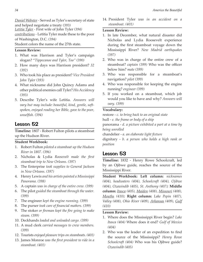*Daniel Webster -* Served as Tyler's secretary of state and helped negotiate a treaty *(393) Letitia Tyler -* First wife of John Tyler *(394) contributions -* Letitia Tyler made these to the poor of Washington, D.C. *(394)*

Student colors the name of the 27th state.

#### **Lesson Review:**

- 1. What was Harrison and Tyler's campaign slogan? "*Tippecanoe and Tyler, Too" (390)*
- 2. How many days was Harrison president? *32 (392)*
- 3. Who took his place as president? *Vice President John Tyler (393)*
- 4. What nickname did John Quincy Adams and other political enemies call Tyler? *His Accidency (393)*
- 5. Describe Tyler's wife Letitia. *Answers will vary but may include: beautiful, kind, gentle, softspoken, enjoyed reading her Bible, gave to the poor, unselfish. (394)*

### Lesson 52

**Timeline:** 1807 - Robert Fulton pilots a steamboat up the Hudson River.

#### **Student Workbook:**

- 1. Robert Fulton *piloted a steamboat up the Hudson River in 1807. (396)*
- 2. Nicholas & Lydia *Roosevelt made the first steamboat trip to New Orleans. (397)*
- 3. The Enterprise *took supplies to General Jackson in New Orleans. (397)*
- 4. Henry Lewis *and his artists painted a Mississippi Panorama. (398)*
- 5. A captain *was in charge of the entire crew. (399)*
- 6. The pilot *guided the steamboat through the water. (399)*
- 7. The engineer *kept the engine running. (399)*
- 8. The purser *took care of financial matters. (399)*
- 9. The stoker *or fireman kept the fire going to make steam. (399)*
- 10. Deckhands *loaded and unloaded cargo. (399)*
- 11. A mud clerk *carried messages to crew members. (399)*
- 12. Tourists *enjoyed pleasure trips on steamboats. (401)*
- 13. James Monroe *was the first president to ride in a steamboat. (401)*

14. President Tyler *was in an accident on a steamboat. (401)*

#### **Lesson Review:**

- 1. In late December, what natural disaster did Nicholas and Lydia Roosevelt experience during the first steamboat voyage down the Mississippi River? *New Madrid earthquakes (397)*
- 2. Who was in charge of the entire crew of a steamboat? *captain (399)* Who was the officer below him? *mate (399)*
- 3. Who was responsible for a steamboat's navigation? *pilot (399)*
- 4. Who was responsible for keeping the engine running? *engineer (399)*
- 5. If you worked on a steamboat, which job would you like to have and why? *Answers will vary. (399)*

#### **Vocabulary:**

restore - *c. to bring back to an original state*  hull - *e. the frame or body of a ship* panorama - *d. a picture exhibited a part at a time by being unrolled*

chandelier - *a. an elaborate light fixture* 

dignitary - *b. a person who holds a high rank or position*

#### Lesson 53

**Timeline:** 1832 - Henry Rowe Schoolcraft, led by an Ojibwe guide, reaches the source of the Mississippi River.

**Student Workbook: Left column:** *nicknames (404), headwaters (404), Schoolcraft (404), Ojibwe (404), Ozawindib (405), St. Anthony (407);* **Middle column:** *Itasca (405), Maiden (408), Missouri (408), Mouths (410);* **Right column:** *Lake Pepin (407), Valley (408), Ohio River (409), Arkansas (409), Gulf (410)*

- 1. Where does the Mississippi River begin? *Lake Itasca (404)* Where does it end? *Gulf of Mexico (404)*
- 2. Who was the leader of an expedition to find the source of the Mississippi? *Henry Rowe Schoolcraft (404)* Who was his Ojibwe guide? *Ozawindib (405)*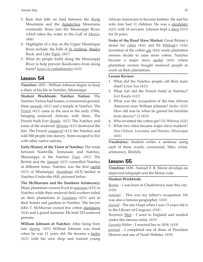- 3. Rain that falls on land between the *Rocky* Mountains and the *Appalachian* Mountains eventually flows into the Mississippi River, which takes the water to the Gulf of *Mexico*. *(406)*
- 4. Highlights of a trip on the Upper Mississippi River include: the Falls of *St. Anthony*, *Maiden* Rock, and Lake *Pepin*. *(407)*
- 5. What do people build along the Mississippi River to help prevent floodwaters from doing harm? *levees (or embankments) (410)*

## Lesson 54

**Timeline:** 1835 - William Johnson begins to keep a diary of his life in Natchez, Mississippi.

**Student Workbook: Natchez Nation:** The Natchez Nation had homes, a ceremonial ground, three *mounds*, *(412)* and a temple at Natchez. The *French (412)* came to the area in the early 1700s, bringing enslaved Africans with them. The French built Fort *Rosalie. (412)* The Natchez and some of the enslaved *Africans (413)* destroyed the fort. The French *conquered (413)* the Natchez and sold 300 people into slavery. Some escaped to live with other native nations.

**Early History of the Town of Natchez:** The route between Nashville, Tennessee, and Natchez, Mississippi, is the Natchez *Trace. (412)* The British and the *Spanish (413)* controlled Natchez at different times. Natchez was the first *capital (413)* of Mississippi. *Steamboats* (413) landed at Natchez-Under-the-Hill, pictured below.

**The McMurrans and the Southern Aristocracy:**  Many plantation owners lived in *mansions (415)* in Natchez while their enslaved field workers toiled on their plantations in *Louisiana (415)* and in their homes and gardens in Natchez. The lawyer John T. McMurran owned five cotton *plantations (414)* and a grand mansion. He held 325 enslaved persons.

**William Johnson of Natchez:** After being born into *slavery, (415)* William Johnson was freed when he was 11 years old. He became a *barber (415)* with his own shop and trained young

African Americans to become barbers. He and his wife Ann had 11 children. He was a *slaveholder (415)* with 16 servants. Johnson kept a *diary (415)* for 16 years.

**Forks of the Road Slave Market:** Great Britain's desire for *cotton (416)* and Eli *Whitney*'s *(416)*  invention of the cotton *gin (416)* made plantation owners decide to raise more cotton. Natchez became a major slave *market (416)* where plantation owners bought enslaved people to work on their plantations**.**

#### **Lesson Review:**

- 1. What did the Natchez people call their main chief? *Great Sun (412)*
- 2. What fort did the French build at Natchez? *Fort Rosalie (412)*
- 3. What was the occupation of the free African American man William Johnson? *barber (415)*  How old was he when he gained his freedom from slavery? *11 (415)*
- 4. Who invented the cotton gin? *Eli Whitney (416)*
- 5. What two cities became major slave markets? *New Orleans, Louisiana, and Natchez, Mississippi (416)*

**Vocabulary:** Student writes a sentence using each of these words: ceremonial, litter, whist, aristocracy, lifestyle.

## Lesson 55

**Timeline:** 1838 - Samuel F. B. Morse develops an improved telegraph and the Morse code.

#### **Student Workbook:**

*Boston -* I was born in Charlestown near this city. *(418)*

*minister -* This was my father's occupation. He was also a famous geographer. *(418)*

*journal -* The one I kept when I was 13 years old is in the Library of Congress. *(418)*

*Benjamin West -* I went to England and studied under this famous artist. *(419)*

*Lucretia Walker -* I married her in 1818. *(419)*

*portrait -* I completed one of these of President Monroe and one of Noah Webster. *(419)*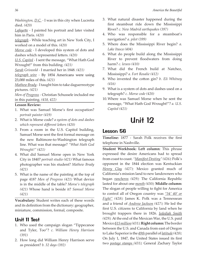*Washington, D.C. -* I was in this city when Lucretia died. *(420)*

*Lafayette -* I painted his portrait and later visited him in Paris. *(420)*

*telegraph -* While teaching art in New York City, I worked on a model of this. *(420)*

*Morse code -* I developed this system of dots and dashes which represented letters. *(420)*

*U.S. Capitol -* I sent the message, "What Hath God Wrought!" from this building. *(421)*

*Sarah Griswold -* I married her in 1848. *(421)*

*telegraph wire - (421)*

*Mathew Brady -* I taught him to take daguerreotype pictures*. (421)*

*Men of Progress -* Christian Schussele included me in this painting. *(418, 422)*

#### **Lesson Review:**

- 1. What was Samuel Morse's first occupation? *portrait painter (419)*
- 2. What is Morse code? *a system of dots and dashes which represent different letters (420)*
- 3. From a room in the U.S. Capitol building, Samuel Morse sent the first formal message on the new Baltimore-to-Washington telegraph line. What was that message? *"What Hath God Wrought!" (421)*
- 4. What did Samuel Morse open in New York City in 1840? *portrait studio (421)* What famous photographer was his student? *Mathew Brady (421)*
- 5. What is the name of the painting at the top of page 418? *Men of Progress (421)* What device is in the middle of the table? *Morse's telegraph (421)* Whose hand is beside it? *Samuel Morse (421)*

**Vocabulary:** Student writes each of these words and its definition from the dictionary: geographer, miniature, commission, formal, composite.

## Unit 11 Test

- 1. Who used the campaign slogan "Tippecanoe and Tyler, Too"? *c. William Henry Harrison (391)*
- 2. How long did William Henry Harrison serve as president? *b. 32 days (392)*
- 3. What natural disaster happened during the first steamboat ride down the Mississippi River? *c. New Madrid earthquakes (397)*
- 4. Who was responsible for a steamboat's navigation? *a. pilot (399)*
- 5. Where does the Mississippi River begin? *a. Lake Itasca (404)*
- 6. What do people build along the Mississippi River to prevent floodwaters from doing harm? *c. levees (410)*
- 7. What did the French build at Natchez, Mississippi? *a. Fort Rosalie (412)*
- 8. Who invented the cotton gin? *b. Eli Whitney (416)*
- 9. What is a system of dots and dashes used on a telegraph? *c. Morse code (420)*
- 10.Where was Samuel Morse when he sent the message, "What Hath God Wrought!"? *a. U.S. Capitol (421)*

## Unit 12

## Lesson 56

**Timeline:** 1877 - Sarah Polk receives the first telephone in Nashville.

**Student Workbook: Left column:** This phrase expressed the desire Americans had to spread from coast to coast. *"Manifest Destiny" (426);* Polk's opponent in the 1844 election was Kentuckian *Henry Clay (427);* Mexico granted much of California's mission land to new landowners who began *rancheros (429);* The California Republic lasted for about one *month (430);* **Middle column:** The slogan of people willing to fight for America to control all of Oregon country was *"54˚ 40' or Fight" (428);* James K. Polk was a Tennessean and a friend of *Andrew Jackson (427);* He led the first U.S. citizens to California by land when he brought trappers there in 1826. *Jedediah Smith (429);* At the end of the Mexican War, the U.S. paid Mexico *\$15 million (431);* **Right column:** The border between the U.S. and Canada from east of Oregon to Lake Superior is the *49th* parallel of *latitude (428);*  On July 1, 1847, the United States issued its first two *postage stamps (431);* General Zachary Taylor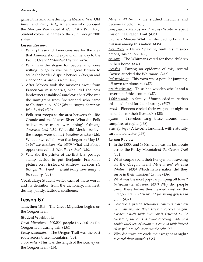gained this nickname during the Mexican War: Old *Rough* and *Ready (431);* Americans who opposed the Mexican War called it *Mr. Polk's War (430).*  Student colors the names of the 28th through 30th states.

#### **Lesson Review:**

- 1. What phrase did Americans use for the idea that America should expand all the way to the Pacific Ocean? *"Manifest Destiny" (426)*
- 2. What was the slogan for people who were willing to go to war with great Britain to settle the border dispute between Oregon and Canada? *"54˚ 40' or Fight" (428)*
- 3. After Mexico took the missions away from Franciscan missionaries, what did the new landowners establish? *rancheros (429)* Who was the immigrant from Switzerland who came to California in 1839? *Johann August Sutter (or John Sutter) (429)*
- 4. Polk sent troops to the area between the Rio Grande and the Nueces River. What did Polk believe these troops were doing? *defending American land (430)* What did Mexico believe the troops were doing? *invading Mexico (430)* What do we call the war that began on May 13, 1846? *the Mexican War (430)* What did Polk's opponents call it? *"Mr. Polk's War" (430)*
- 5. Why did the printer of the first U.S. postage stamp decide to put Benjamin Franklin's picture on it instead of Andrew Jackson? *He thought that Franklin would bring more unity to the country. (431)*

**Vocabulary:** Student writes each of these words and its definition from the dictionary: manifest, destiny, jointly, latitude, confluence.

## Lesson 57

**Timeline:** 1843 - The Great Migration begins on the Oregon Trail.

#### **Student Workbook:**

*Great Migration* - 500,000 people traveled on the Oregon Trail during this. *(434)* 

*Rocky Mountains* - The Oregon Trail was the best route across these mountains. *(434)* 

*2,000 miles* - This was the length of the journey on the Oregon Trail. *(434)* 

*Marcus Whitman* - He studied medicine and became a doctor. *(435)* 

*honeymoon* - Marcus and Narcissa Whitman spent this on the Oregon Trail. *(436)* 

*Cayuse* - Marcus Whitman decided to build his mission among this nation. *(436)* 

*Nez Perce* - Henry Spalding built his mission among this nation. *(436)* 

*orphans* - The Whitmans cared for these children in their home. *(437)* 

*measles* - During an epidemic of this, several Cayuse attacked the Whitmans. *(437)* 

*Independence* - This town was a popular jumpingoff town for pioneers. *(437)* 

*prairie schooner* - These had wooden wheels and a covering of thick cotton. *(437)*

*1,000 pounds* - A family of four needed more than this much food for their journey. *(437)* 

*corral* - Pioneers circled their wagons at night to make this for their livestock. (438)

*hymns* - Travelers sang these around their campfires at night. (438)

*Soda Springs* - A favorite landmark with naturally carbonated water (439)

- 1. In the 1830s and 1840s, what was the best route across the Rocky Mountains? *the Oregon Trail (434)*
- 2. What couple spent their honeymoon traveling on the Oregon Trail? *Marcus and Narcissa Whitman (436)* Which native nation did they serve in their mission? *Cayuse (436)*
- 3. What was the most popular jumping off town? *Independence, Missouri (437)* Why did people camp there before they headed west on the Oregon Trail? *They waited for spring grasses to grow. (437)*
- 4. Describe a prairie schooner. *Answers will vary but may include these facts: a covered wagon, wooden wheels with iron bands fastened to the outside of the rims, a white covering made of a double thickness of cotton and covered with linseed oil or paint to help keep out the rain. (437)*
- 5. Why did travelers circle their wagons at night? *to corral their animals (438)*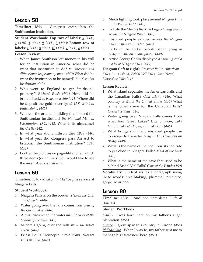## Lesson 58

**Timeline:** 1846 - Congress establishes the Smithsonian Institution.

**Student Workbook: Top row of labels:** *5 (444), 2 (440), 1 (444), 9 (444), 3 (444);* **Bottom row of labels:** *4 (444), 8 (443), 10 (444), 7 (444), 6 (444)*

#### **Lesson Review:**

- 1. When James Smithson left money in his will for an institution in America, what did he want that institution to do? *to "increase and diffuse knowledge among men" (440)* What did he want the institution to be named? *Smithsonian Institution (440)*
- 2. Who went to England to get Smithson's property? *Richard Rush (441)* How did he bring it back? *in boxes on a ship (441)* Where did he deposit the gold sovereigns? *U.S. Mint in Philadelphia (441)*
- 3. Where is the original building that housed the Smithsonian Institution? *the National Mall in Washington, D.C. (442)* What is its nickname? *the Castle (442)*
- 4. In what year did Smithson die? *1829 (440)*  In what year did Congress pass An Act to Establish the Smithsonian Institution? *1846 (442)*
- 5. Look at the pictures on page 444 and tell which three items (or animals) you would like to see the most. *Answers will vary.*

## Lesson 59

**Timeline:** 1846 - *Maid of the Mist* begins service at Niagara Falls.

#### **Student Workbook:**

- 1. Niagara Falls is on the border *between the U.S. and Canada. (446)*
- 2. Water going over the falls comes from *four of the Great Lakes. (446)*
- 3. A mist rises when the water *hits the rocks at the bottom of the falls. (447)*
- 4. Minerals going over the falls *make the water green. (447)*
- 5. Priest Louis Hennepin *wrote about Niagara Falls in 1698. (448)*
- 6. Much fighting took place *around Niagara Falls in the War of 1812. (448)*
- 7. In 1846 the *Maid of the Mist* began *taking people across the Niagara River. (448)*
- 8. Enslaved people escaped across *the Niagara Falls Suspension Bridge. (449)*
- 9. Early in the 1800s, people began *going to Niagara Falls on a honeymoon. (449)*
- 10. Artist George Catlin displayed *a painting and a model of Niagara Falls. (449)*

**Diagram (left to right):** *Prospect Point, American Falls, Luna Island, Bridal Veil Falls, Goat Island, Horseshoe Falls (447)*

#### **Lesson Review:**

- 1. What island separates the American Falls and the Canadian Falls? *Goat Island (446)* What country is it in? *the United States (446)* What is the other name for the Canadian Falls? *Horseshoe Falls (446)*
- 2. Water going over Niagara Falls comes from what four Great Lakes? *Lake Superior, Lake Huron, Lake Michigan, and Lake Erie (446)*
- 3. What bridge did many enslaved people use to escape to Canada? *Niagara Falls Suspension Bridge (449)*
- 4. What is the name of the boat tourists can ride to get close to Niagara Falls? *Maid of the Mist (448)*
- 5. What is the name of the cave that used to be behind Bridal Veil Falls? *Cave of the Winds (450)*

**Vocabulary:** Student writes a paragraph using these words: breathtaking, plummet, precipice, gorge, whirlpool.

## Lesson 60

**Timeline:** 1838 - Audubon completes *Birds of America*.

#### **Student Workbook:**

*Haiti -* I was born here on my father's sugar plantation. *(454)*

*France -* I grew up in this country in Europe. *(455) Philadelphia -* When I was 18, my father sent me to manage his estate near here. *(455)*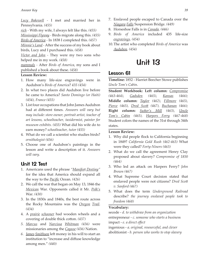*Lucy Bakewell -* I met and married her in Pennsylvania. *(455)*

*rich -* With my wife, I always felt like this. *(455)*

*Mississippi Flyway -* Birds migrate along this. *(455)*

*Birds of America -* In 1838 I completed this. *(457)*

*Minnie's Land -* After the success of my book about birds, Lucy and I purchased this. *(458)*

*Victor and John -* They were my two sons who helped me in my work. *(458)*

*mammals -* After *Birds of America*, my sons and I published a book about these. *(458)*

#### **Lesson Review:**

- 1. How many life-size engravings were in Audubon's *Birds of America*? *435 (454)*
- 2. In what two places did Audubon live before he came to America? *Santo Domingo (or Haiti) (454), France (455)*
- 3. List four occupations that John James Audubon had at different times. *Answers will vary but may include: store owner, portrait artist, teacher of art lessons, schoolteacher, taxidermist, painter for museum exhibits. (455)* What did his wife do to earn money? *schoolteacher, tutor (455)*
- 4. What do we call a scientist who studies birds? *ornithologist (456)*
- 5. Choose one of Audubon's paintings in the lesson and write a description of it. *Answers will vary.*

## Unit 12 Test

- 1. Americans used the phrase *"Manifes*t *Destiny"*  for the idea that America should expand all the way to the *Pacific* Ocean. *(426)*
- 2. We call the war that began on May 13, 1846 the *Mexican* War. Opponents called it Mr. *Polk's*  War. *(430)*
- 3. In the 1830s and 1840s, the best route across the Rocky Mountains was the *Oregon Trail*. *(434)*
- 4. A *prairie schooner* had wooden wheels and a covering of double thick cotton. *(437)*
- *5. Marcus* and *Narcissa Whitman (436)* were missionaries among the *Cayuse (436)* Nation.
- *6. James Smithson* left money in his will to start an institution to "increase and diffuse knowledge among men." *(440)*
- 7. Enslaved people escaped to Canada over the *Niagara Falls* Suspension Bridge. *(449)*
- 8. Horseshoe Falls is in *Canada*. *(446)*
- 9. *Birds of America* included 435 life-size *engravings*. *(454)*
- 10.The artist who completed *Birds of America* was *Audubon*. *(454)*

## Unit 13

## Lesson 61

**Timeline:** 1852 - Harriet Beecher Stowe publishes *Uncle Tom's Cabin*.

**Student Workbook: Left column:** *Compromise (463-464), Gadsden (465), Kansas (466);*  **Middle column:** *Taylor (462), Fillmore (465), Pierce (465), Dred Scott (467), Buchanan (466);*  **Right column:** *Sutter's Mill (463), Uncle Tom's Cabin (465), Harpers Ferry (467-468)*  Student colors the names of the 31st through 34th states.

#### **Lesson Review:**

- 1. Why did people flock to California beginning in 1849? *California Gold Rush (462-463)* What were they called? *Forty-Niners (463)*
- 2. What do we call the agreement Henry Clay proposed about slavery? *Compromise of 1850 (464)*
- 3. Who led an attack on Harpers Ferry? *John Brown (467)*
- 4. What Supreme Court decision stated that enslaved people were not citizens? *Dred Scott v. Sanford (467)*
- 5. What does the term *Underground Railroad*  describe? *the journey enslaved people took to freedom (468)*

#### **Vocabulary:**

secede - *d. to withdraw from an organization*  entrepreneur - *c. someone who starts a busines*s impact - *e. a direct effect*

ingenious - *a. original, resourceful, and clever*  abolitionist - *b. person who works to stop slavery*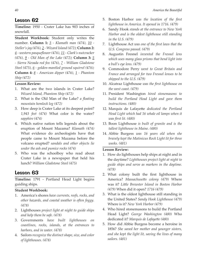#### Lesson 62

**Timeline:** 1950 - Crater Lake has 903 inches of snowfall.

**Student Workbook:** Student only writes the number. **Column 1:** *3 - Klamath man (474), 10 - Steller's jay (476), 2 - Wizard Island (472);* **Column 2:**  *4 - western pasqueflower (476), 11 - Clark's nutcracker (476), 9 - Old Man of the Lake (472);* **Column 3:** *5 - Sierra Nevada red fox (476), 7 - William Gladstone Steel (475), 6 - golden-mantled ground squirrel (476);*  **Column 4:** *8 - American dipper (476), 1 - Phantom Ship (472)*

#### **Lesson Review:**

- 1. What are the two islands in Crater Lake? *Wizard Island, Phantom Ship (472)*
- 2. What is the Old Man of the Lake? *a floating mountain hemlock log (472)*
- 3. How deep is Crater Lake at its deepest point? *1,943 feet (474)* What color is the water? *sapphire (474)*
- 4. Which native nation tells legends about the eruption of Mount Mazama? *Klamath (474)*  What evidence do archeologists have that people came to Mount Mazama before the volcano erupted? *sandals and other objects lie under the ash and pumice rocks (474)*
- 5. Who was the schoolboy who read about Crater Lake in a newspaper that held his lunch? *William Gladstone Steel (475)*

#### Lesson 63

**Timeline:** 1791 - Portland Head Light begins guiding ships.

#### **Student Workbook:**

- 1. America's shores *have currents, reefs, rocks, and other hazards, and coastal weather is often foggy. (478)*
- 2. Lighthouses *project light at night to guide ships and help them be safe. (478)*
- 3. Governments *have built lighthouses on coastlines, rocks, islands, at the entrances to harbors, and in water. (478)*
- 4. Sailors *recognize the distinct shape, size, and color of lighthouses. (478)*
- 5. Boston Harbor *was the location of the first lighthouse in America. It opened in 1716. (479)*
- 6. Sandy Hook *stands at the entrance to New York Harbor and is the oldest lighthouse still standing in the U.S. (479)*
- 7. Lighthouse Act *was one of the first laws that the U.S. Congress passed. (479)*
- 8. Augustin Fresnel *invented the Fresnel lens which uses many glass prisms that bend light into a bull's eye lens. (479)*
- 9. Commodore Perry *went to Great Britain and France and arranged for two Fresnel lenses to be shipped to the U.S. (479)*
- 10. Alcatraz Lighthouse *was the first lighthouse on the west coast. (479)*
- 11. President Washington *hired stonemasons to build the Portland Head Light and gave them instructions. (480)*
- 12. Marquis de Lafayette *dedicated the Portland Head Light which had 16 whale oil lamps when it was first lit. (480)*
- 13. Boon Lighthouse *is built of granite and is the tallest lighthouse in Maine. (480)*
- 14. Abbie Burgess *was 16 years old when she bravely kept the Matinicus Rock Light lit for three weeks. (481)*

- 1. How do lighthouses help ships at night and in the daytime? *Lighthouses project light at night to guide ships and serve as markers in the daytime. (478)*
- 2. What colony built the first lighthouse in America? *Massachusetts colony (479)* Where was it? *Little Brewster Island in Boston Harbor (479)* When did it open? *1716 (479)*
- 3. What is the oldest lighthouse still standing in the United States? *Sandy Hook Lighthouse (479)*  Where is it? *New York Harbor (479)*
- 4. Who hired stonemasons to build the Portland Head Light? *George Washington (480)* Who dedicated it? *Marquis de Lafayette (480)*
- 5. How did Abbie Burgess become a heroine in 1856? *She saved her mother and younger sisters, and she kept the light lit, saving the lives of many sailors. (481)*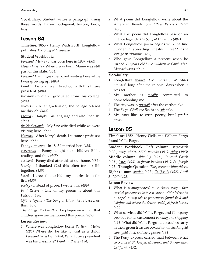**Vocabulary:** Student writes a paragraph using these words: hazard, octagonal, beacon, buoy, lens.

## Lesson 64

**Timeline:** 1855 - Henry Wadsworth Longfellow publishes *The Song of Hiawatha*.

#### **Student Workbook:**

*Portland, Maine -* I was born here in 1807. *(484)*

*Massachusetts -* When I was born, Maine was still part of this state. *(484)*

*Portland Head Light -* I enjoyed visiting here while I was growing up. *(484)*

*Franklin Pierce -* I went to school with this future president. *(484)*

*Bowdoin College -* I graduated from this college. *(484)*

*professor -* After graduation, the college offered me this job. *(484)*

*French -* I taught this language and also Spanish. *(484)*

*the Netherlands -* My first wife died while we were visiting here. *(485)*

*Harvard -* After Mary's death, I became a professor here. *(485)*

*Fanny Appleton -* In 1843 I married her. *(485)*

*geography -* Fanny taught our children Bible, reading, and this. *(485)*

*accident -* Fanny died after this at our home. *(485) hourly -* I thanked God this often for our life together. *(485)*

*beard -* I grew this to hide my injuries from the fire. *(485)*

*poetry -* Instead of prose, I wrote this. *(486)*

*Paul Revere -* One of my poems is about this Patriot. *(486)*

*Ojibwe legend - The Song of Hiawatha* is based on this. *(487)*

*The Village Blacksmith -* The plaque on a chair that children gave me mentioned this poem. *(487)*

#### **Lesson Review:**

1. Where was Longfellow born? *Portland, Maine (484)* Where did he like to visit as a child? *Portland Head Light (484)* What future president was his classmate? *Franklin Pierce (484)*

- 2. What poem did Longfellow write about the American Revolution? *"Paul Revere's Ride" (486)*
- 3. What epic poem did Longfellow base on an Ojibwe legend? *The Song of Hiawatha (487)*
- 4. What Longfellow poem begins with the line "Under a spreading chestnut tree"? *"The Village Blacksmith" (487)*
- 5. Who gave Longfellow a present when he turned 72 years old? *the children of Cambridge, Massachusetts (487)*

#### **Vocabulary:**

- 1. Longfellow *penned The Courtship of Miles Standish* long after the colonial days when it was set.
- 2. My mother is *wholly* committed to homeschooling me.
- 3. The city was in *turmoil* after the earthquake.
- 4. The *Saga of Erik the Red* is an *epic* tale.
- 5. My sister likes to write poetry, but I prefer *prose*.

## Lesson 65

**Timeline:** 1852 - Henry Wells and William Fargo found Wells Fargo.

**Student Workbook: Left column:** *stagecoach (490), stage (490), 2,500 pounds (491), rider (494);* **Middle column:** *shipping (491), Concord Coach (491), letter (493), highway bandits (491), St. Joseph (492);* **Thought Question:** *They are switching riders.* **Right column:** *station (492), California (492), April 3, 1860 (492)* 

- 1. What is a stagecoach? *an enclosed wagon that carried passengers between stages (490)* What is a stage? *a stop where passengers found food and lodging and where the driver could get fresh horses (490)*
- 2. What services did Wells, Fargo, and Company provide for its customers? *banking and shipping (491)* What did Wells Fargo stagecoaches carry in their green treasure boxes? *coins, checks, gold bars, gold dust, and legal papers (491)*
- 3. The Pony Express carried mail between what two cities? *St. Joseph, Missouri, and Sacramento, California (492)*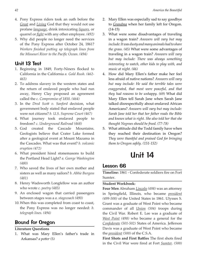- 4. Pony Express riders took an oath before the *Great* and *Living* God that they would not use profane *language*, drink intoxicating *liquors*, or quarrel or *fight* with any other employee. *(492)*
- 5. Why did people no longer need the services of the Pony Express after October 24, 1861? *Workers finished putting up telegraph lines from the Missouri River to the Pacific Ocean. (494)*

## Unit 13 Test

- 1. Beginning in 1849, Forty-Niners flocked to California in the California *a. Gold Rush. (462- 463)*
- 2. To address slavery in the western states and the return of enslaved people who had run away, Henry Clay proposed an agreement called the *c. Compromise of 1850. (464)*
- 3. In the *Dred Scott v. Sanford* decision, what government body stated that enslaved people were not citizens? *b. U.S. Supreme Court (467)*
- 4. What journey took enslaved people to freedom? *c. Underground Railroad (468)*
- 5. God created the Cascade Mountains. Geologists believe that Crater Lake formed after a geological event at Mount Mazama in the Cascades. What was that event? *b. volcanic eruption (472)*
- 6. What president hired stonemasons to build the Portland Head Light? *a. George Washington (480)*
- 7. Who saved the lives of her own mother and sisters as well as many sailors? *b. Abbie Burgess (481)*
- 8. Henry Wadsworth Longfellow was an author who wrote *c. poetry (485)*
- 9. An enclosed wagon that carried passengers between stages was a *a. stagecoach (490)*
- 10.When this was completed from coast to coast, the Pony Express was no longer needed: *b. telegraph lines. (494)*

## Bound for Oregon

#### **Literature Questions**

1. What was Mary Ellen's father's trade in Arkansas? *a potter (5)*

- 2. Mary Ellen was especially sad to say goodbye to *Grandma* when her family left for Oregon. (14-15)
- 3. What were some disadvantages of traveling in a wagon train? *Answers will vary but may include: It was dusty and many animals had to share the grass. (45)* What were some advantages of traveling in a wagon train? *Answers will vary but may include: There was always something interesting to watch, other kids to play with, and music at night. (46)*
- 4. How did Mary Ellen's father make her feel less afraid of native nations? *Answers will vary but may include: He said the terrible tales were exaggerated, that most were peaceful, and that they had reasons to be unhappy. (69)* What did Mary Ellen tell Sarah Jane when Sarah Jane talked disrespectfully about enslaved African Americans? *Answers will vary but may include: Sarah Jane told her that her father reads the Bible and knows what is right. She also told her that she thought Negroes should be freed. (77-78)*
- 5. What attitude did the Todd family have when they reached their destination in Oregon? *They were thankful and praised God for bringing them to Oregon safely. (151-152)*

# Unit 14

## Lesson 66

**Timeline:** 1861 - Confederate soldiers fire on Fort Sumter.

#### **Student Workbook:**

**Four Men** Abraham *Lincoln (498)* was an attorney in Springfield, Illinois, who became *president (499-500)* of the United States in 1861. Ulysses S. Grant was a graduate of West Point who became commander of all *Union (504)* troops during the Civil War. Robert E. Lee was a graduate of *West Point (498)* who became a general for the *Confederate (501-502)* States of America. Jefferson Davis was a graduate of West Point who became the *president (500)* of the C.S.A.

**First Shots and First Battles** The first shots fired in the Civil War were fired at Fort *Sumter. (500)*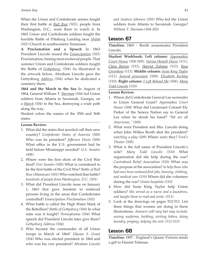When the Union and Confederate armies fought their first battle at *Bull Run (501)*, people from Washington, D.C., went there to watch it. In 1862 Union and Confederate soldiers fought the horrible Battle of Pittsburg Landing near *Shiloh (502)* Church in southwestern Tennessee.

**A Proclamation and a Speech** In 1863 President Lincoln issued the *Emancipation (503)*  Proclamation, freeing most enslaved people. That summer Union and Confederate soldiers fought the Battle of *Gettysburg. (504)* As illustrated in the artwork below, Abraham Lincoln gave the Gettysburg *Address (504)* when he dedicated a cemetery there.

**1864 and the March to the Sea** In August of 1864, General William T. *Sherman (504)* led Union soldiers from Atlanta to Savannah, Georgia, on a *March (504)* to the Sea, destroying a wide path along the way.

Student colors the names of the 35th and 36th states.

**Lesson Review:**

- 1. What did the states that seceded call their new country? *Confederate States of America (500)*  Who was its president? *Jefferson Davis (500)*  What office in the U.S. government had he held before Mississippi seceded? *U.S. Senator (498)*
- 2. Where were the first shots of the Civil War fired? *Fort Sumter (500)* What is considered to be the first battle of the Civil War? *Battle of Bull Run (Manassas) (501)* Who watched that battle? *hundreds of people from Washington, D.C. (501)*
- 3. What did President Lincoln issue on January 1, 1863 that gave freedom to enslaved persons living in the areas that Confederates controlled? *Emancipation Proclamation (503)*
- 4. What battle is called the High Water Mark of the Rebellion? *Battle of Gettysburg (504)* In what state was it fought? *Pennsylvania (504)* What speech did President Lincoln later give there? *Gettysburg Address (504)*
- 5. Who became the commander of all Union troops in March of 1864? *Ulysses S. Grant (504)* Who was elected president in 1864 and who was his vice president? *Abraham Lincoln*

*and Andrew Johnson (505)* Who led the Union soldiers from Atlanta to Savannah, Georgia? *William T. Sherman (504-505)*

## Lesson 67

**Timeline:** 1865 - Booth assassinates President Lincoln.

**Student Workbook: Left column:** *Appomattox Court House (508-509), Varina Howell Davis (511), Clara Barton (512), Harriet Tubman (513), Rose Greenhow (513);* **Middle column:** *Susie King Taylor (511), funeral procession (509), Elizabeth Keckley (510);* **Right column:** *I Left Behind Me (508), Mary Todd Lincoln (510)*

#### **Lesson Review:**

- 1. Where did Confederate General Lee surrender to Union General Grant? *Appomattox Court House (508)* What did Lieutenant Colonel Ely Parker of the Seneca Nation say to General Lee when he shook his hand? *"We are all Americans." (509)*
- 2. What were President and Mrs. Lincoln doing when John Wilkes Booth shot the president? *watching a play (509)* Where were they? *Ford's Theater (509)*
- 3. What is the full name of President Lincoln's wife? *Mary Todd Lincoln (510)* What organization did she help during the war? *Contraband Relief Association (510)* What was the purpose of the association? *to help those who had once been enslaved find jobs, housing, clothing, and medical care (510)* Where did she volunteer during the war? *Union hospitals (510)*
- 4. How did Susie King Taylor help Union soldiers? *She served as a nurse and a laundress, and taught them to read and write. (511)*
- 5. Look at the drawings on pages 512-513. List three things that women are doing in these illustrations. *Answers will vary but may include: sewing uniforms, knitting, writing letters, doing laundry, praying, helping the sick. (512-513)*

## Lesson 68

**Timeline:** 1897 - England's Queen Victoria sends a gift to Harriet Tubman.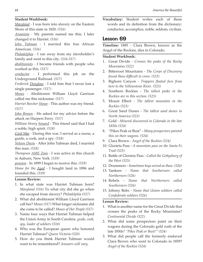#### **Student Workbook:**

*Maryland -* I was born into slavery on the Eastern Shore of this state in 1820. *(516)*

*Araminta -* My parents named me this; I later changed it to Harriet. *(516)*

*John Tubman -* I married this free African American. *(516)*

*Philadelphia -* I ran away from my slaveholder's family and went to this city. *(516-517)*

*abolitionists -* I became friends with people who worked as this. *(517)*

*conductor -* I performed this job on the Underground Railroad. *(517)*

*Frederick Douglass -* I told him that I never lost a single passenger. *(517)*

*Moses -* Abolitionist William Lloyd Garrison called me this nickname. *(517)*

*Harriet Beecher Stowe -* This author was my friend. *(517)*

*John Brown -* He asked for my advice before the attack on Harpers Ferry. *(517)*

*William Henry Seward -* This friend said that I had a noble, high spirit. *(518)*

*Civil War -* During this war, I served as a nurse, a guide, a cook, and a spy. *(518)*

*Nelson Davis -* After John Tubman died, I married this man. *(518)*

*Thompson AME Zion -* I was active in this church in Auburn, New York. *(519)*

*pension -* In 1899 I began to receive this. *(519)*

*Home for the Aged -* I bought land in 1896 and founded this. *(519)*

#### **Lesson Review:**

- 1. In what state was Harriet Tubman born? *Maryland (516)* To what city did she go when she escaped from slavery? *Philadelphia (517)*
- 2. What did abolitionist William Lloyd Garrison call her? *Moses (517)* What longer nickname did she come to be called? *Moses of Her People (517)*
- 3. Name four ways that Harriet Tubman helped the Union Army in South Carolina. *guide, cook, spy, leader of soldiers (518)*
- 4. Who was the European queen who honored Harriet Tubman? *Queen Victoria (520)*
- 5. How do you think Harriet Tubman would want to be remembered? *Answers will vary.*

**Vocabulary:** Student writes each of these words and its definition from the dictionary: conductor, accomplice, noble, seldom, civilian.

## Lesson 69

**Timeline:** 1885 - Clara Brown, known as the Angel of the Rockies, dies in Colorado.

#### **Student Workbook:**

- 1. Great Divide *Crosses the peaks of the Rocky Mountains (522)*
- 2. Bitterroot Mountains *The Corps of Discovery found these difficult to cross. (523)*
- 3. Bighorn Canyon *Trappers floated furs from here to the Yellowstone River. (523)*
- 4. Southern Rockies *The tallest peaks in the Rockies are in this section. (523)*
- 5. Mount Elbert *The tallest mountain in the Rockies (523)*
- 6. Great Sand Dunes *The tallest sand dunes in North America (523)*
- 7. Gold *Mineral discovered in Colorado in the late 1850s (524)*
- 8. "Pikes Peak or Bust" *Many prospectors painted this on their wagons. (524)*
- 9. Clara Brown *Angel of the Rockies (524)*
- 10. Glorieta Pass - *A mountain pass on the Santa Fe Trail (525)*
- 11. Battle of Glorieta Pass - *Called the Gettysburg of the West (525)*
- 12. Drummers *Sometimes boys served as these. (526)*
- 13. Yankees *Name that Southerners called Northerners (526)*
- 14. Rebels *Name that Northerners called Southerners (526)*
- 15. Johnny Rebs *Name that Union soldiers called Confederate soldiers (526)*

- 1. What is another name for the Great Divide that crosses the peaks of the Rocky Mountains? *Continental Divide (522)*
- 2. What did some prospectors paint on their wagons during the Colorado gold rush of the late 1850s? *"Pikes Peak or Bust!" (524)*
- 3. What did people call the formerly enslaved Clara Brown who went to Colorado in 1859? *Angel of the Rockies (524)*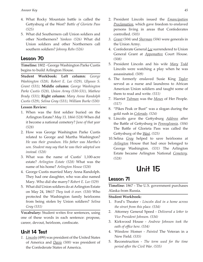- 4. What Rocky Mountain battle is called the Gettysburg of the West? *Battle of Glorieta Pass (525)*
- 5. What did Southerners call Union soldiers and other Northerners? *Yankees (526)* What did Union soldiers and other Northerners call southern soldiers? *Johnny Rebs (526)*

## Lesson 70

**Timeline:** 1802 - George Washington Parke Custis begins to build Arlington House.

**Student Workbook: Left column:** *George Washington (528), Robert E. Lee (529), Ulysses S. Grant (531);* **Middle column:** *George Washington Parke Custis (528), Union Army (530-531), Mathew Brady (531);* **Right column:** *Mary Anna Randolph Custis (529), Selina Gray (531), William Burke (530)*

#### **Lesson Review:**

- 1. When was the first soldier buried on the Arlington Estate? *May 13, 1864 (528)* When did it become a national cemetery? *June of that year (528)*
- 2. How was George Washington Parke Custis related to George and Martha Washington? *He was their grandson. His father was Martha's son. Student may say that he was their adopted son instead. (528)*
- 3. What was the name of Custis' 1,100-acre estate? *Arlington Estate (528)* What was the name of his home? *Arlington House (528)*
- 4. George Custis married Mary Anna Randolph. They had one daughter, who was also named Mary. Who did she marry? *Robert E. Lee (529)*
- 5. What did Union soldiers do at Arlington Estate on May 24, 1861? *They took it over. (530)* Who protected the Washington family heirlooms from being stolen by Union soldiers? *Selina Gray (531)*

**Vocabulary:** Student writes five sentences, using one of these words in each sentence: propose, career, devout, heirloom, confiscate.

## Unit 14 Test

*1. Lincoln* (499) was president of the United States of America and *Davis (500)* was president of the Confederate States of America.

- 2. President Lincoln issued the *Emancipation Proclamation*, which gave freedom to enslaved persons living in areas that Confederates controlled. *(503)*
- *3. Grant (504)* and *Sherman (504)* were generals in the Union Army.
- 4. Confederate General *Lee* surrendered to Union General Grant at *Appomattox* Court House. *(508)*
- 5. President Lincoln and his wife *Mary Todd* Lincoln were watching a play when he was assassinated. *(509)*
- 6. The formerly enslaved Susie King *Taylor* served as a nurse and laundress to African American Union soldiers and taught some of them to read and write. *(511)*
- 7. Harriet *Tubman* was the *Moses* of Her People. *(517)*
- 8. "Pikes Peak or Bust" was a slogan during the gold rush in *Colorado*. *(524)*
- 9. Lincoln gave the Gettysburg *Address* after the Battle of Gettysburg in *Pennsylvania*. *(504)*  The Battle of Glorieta Pass was called the Gettysburg of the *West*. *(525)*
- 10.Selina *Gray* helped to save heirlooms at *Arlington* House that had once belonged to George Washington. *(531)* The Arlington Estate became Arlington National *Cemetery*. *(528)*

## Unit 15

## Lesson 71

**Timeline:** 1867 - The U.S. government purchases Alaska from Russia.

#### **Student Workbook:**

- 1. Ford's Theater *Lincoln died in a home across the street from this place. (534)*
- 2. Attorney General Speed *Delivered a letter to Vice President Johnson. (534)*
- 3. Kirkwood House *Andrew Johnson took the oath of office here. (534)*
- 4. Winslow Homer - *Painted* The Veteran in a New Field. *(535)*
- 5. Reconstruction *The term used for the time period after the Civil War. (535)*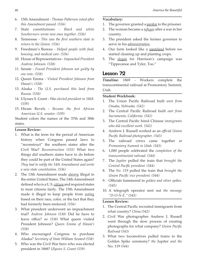- 6. 15th Amendment *Thomas Patterson voted after this Amendment passed. (536)*
- 7. State constitutions *Black and white Southerners wrote new ones together. (536)*
- 8. Tennessee *This was the first southern state to return to the Union. (536)*
- 9. Freedmen's Bureau *Helped people with food, housing, and medical care. (536)*
- 10. House of Representatives *Impeached President Andrew Johnson. (538)*
- 11. Senate *Found President Johnson not guilty by one vote. (538)*
- 12. Queen Emma *Visited President Johnson from Hawai'i. (538)*
- 13. Alaska *The U.S. purchased this land from Russia. (538)*
- 14. Ulysses S. Grant *Was elected president in 1868. (539)*
- 15. Hiram Revels *Became the first African American U.S. senator. (539)*

Student colors the names of the 37th and 38th states.

#### **Lesson Review:**

- 1. What is the term for the period of American history when Congress passed laws to "reconstruct" the southern states after the Civil War? *Reconstruction (535)* What two things did southern states have to do before they could be part of the United States again? *They had to ratify the 14th Amendment and write a new state constitution. (536)*
- 2. The 13th Amendment made *slavery* illegal in the entire United States. The 14th Amendment defined who is a U.S. *citizen* and required states to treat citizens fairly. The 15th Amendment made it illegal to keep people from *voting* based on their race, color, or the fact that they had formerly been enslaved. *(536)*
- 3. What president underwent an impeachment trial? *Andrew Johnson (538)* Did he have to leave office? *no (538)* What queen visited President Johnson? *Queen Emma of Hawai'i (538)*
- 4. Who encouraged Congress to purchase Alaska? *Secretary of State William Seward (538)*
- 5. Who was the Civil War hero who was elected president in 1868? *Ulysses S. Grant (539)*

#### **Vocabulary:**

- 1. The governor granted a *pardon* to the prisoner.
- 2. The woman became a *refugee* after a war in her country.
- 3. The president asked the former governor to serve in his *administration*.
- 4. Our farm looked like a *wasteland* before we started cleaning up and planting crops.
- 5. The *slogan* for Harrison's campaign was "Tippecanoe and Tyler, Too."

## Lesson 72

**Timeline:** 1869 - Workers complete the transcontinental railroad at Promontory Summit, Utah.

#### **Student Workbook:**

- 1. The Union Pacific Railroad built *west from Omaha, Nebraska. (542)*
- 2. The Central Pacific Railroad built *east from Sacramento, California. (542)*
- 3. The Central Pacific hired Chinese *immigrants who did excellent work. (542)*
- 4. Andrew J. Russell worked as an *official Union Pacific Railroad photographer. (543)*
- 5. The railroad crews came together *at Promontory Summit in Utah. (543)*
- 6. 1,000 people celebrated the *completion of the transcontinental railroad. (544)*
- 7. The *Jupiter* pulled the train that *brought the Central Pacific president. (544)*
- 8. The *No. 119* pulled the train that *brought the Union Pacific vice president. (544)*
- 9. Officials hammered in *golden and silver spikes. (545)*
- 10. A telegraph operator sent out *the message "D-O-N-E." (545)*

- 1. The Central Pacific recruited immigrants from what country? *China (542)*
- 2. Civil War photographer Andrew J. Russell went through the slow process of creating photographs for what company? *Union Pacific Railroad (543)*
- 3. What two locomotives pulled trains to the Golden Spike ceremony? *the* Jupiter *and the*  No. 119 *(544)*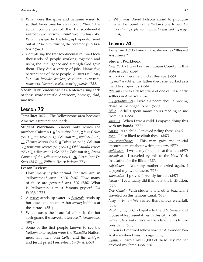- 4. What were the spike and hammer wired to so that Americans far away could "hear" the actual completion of the transcontinental railroad? *the transcontinental telegraph line (545)*  What message did the telegraph operator send out at 12:47 p.m. during the ceremony? *"D-O-N-E" (545)*
- 5. Completing the transcontinental railroad took thousands of people working together and using the intelligence and strength God gave them. They did a variety of jobs. Name five occupations of these people. *Answers will vary but may include: bankers, engineers, surveyors, teamsters, laborers, cooks, security guards. (552)*

**Vocabulary:** Student writes a sentence using each of these words: trestle, darkroom, homage, clad, massive.

## Lesson 73

**Timeline:** 1872 - The Yellowstone area becomes America's first national park.

**Student Workbook:** Student only writes the number. **Column 1:** *6 hot spring (551), 9 John Colter (553), 5 fumarole (551);* **Column 2:** *1 mudpot (552), 12 Thomas Moran (554), 8 Tukudika (553);* **Column 3:** *2 travertine terrace (550, 552), 3 Old Faithful geyser (551), 7 Yellowstone Lake (553);* **Column 4:** *4 Grand Canyon of the Yellowstone (552), 10 Pierre-Jean De Smet (553), 11 William Henry Jackson (554)* 

#### **Lesson Review:**

- 1. How many hydrothermal features are in Yellowstone? *over 10,000 (550)* How many of those are geysers? *over 500 (550)* What is Yellowstone's most famous geyser? *Old Faithful (551)*
- 2. A *geyser* sends up water. A *fumarole* sends up hot gases and steam. A hot *spring* bubbles at the surface. (551)
- 3. What causes the beautiful colors in the hot springs and the travertine terraces? *thermophiles (551)*
- 4. Some of the first people known to see the Yellowstone region were the *Tukudika* Nation, mountain men John *Colter* and Jim *Bridger*, and Jesuit priest Pierre-Jean *De Smet*. *(553)*

5. Why was David Folsom afraid to publicize what he found in the Yellowstone River? *He was afraid people would think he was making it up. (554)*

## Lesson 74

**Timeline:** 1873 - Fanny J. Crosby writes "Blessed Assurance."

#### **Student Workbook:**

*New York* - I was born in Putnam County in this state in 1820. *(556)*

*six weeks* - I became blind at this age. *(556)*

*my mother* - After my father died, she worked as a maid to support us. *(556)*

*Pilgrim* - I was a descendant of one of these early settlers in America. *(556)*

*my grandmother* - I wrote a poem about a rocking chair that belonged to her. *(556)*

*Bible* - Adults spent many hours reading to me from this. *(556)*

*knitting* - When I was a child, I enjoyed doing this with my hands. *(557)*

*horses* - As a child, I enjoyed riding these. *(557)*

*trees* - I also liked to climb these. *(557)*

*my grandfather* - This man gave me special encouragement about writing poetry. *(557)*

*eight years* - I wrote my first poem at this age. *(557) steamboat* - I traveled by this to the New York Institution for the Blind. *(557)*

*half-sisters* - After my mother married again, I enjoyed my two of these. *(557)*

*knowledge* - I prayed fervently for this. *(557)*

*teacher* - I eventually did this job at the Institution. *(557)*

*Erie Canal* - With students and other teachers, I traveled on this famous canal. *(558)*

*Niagara Falls* - We visited this famous waterfall. *(558)*

*Washington, D.C.* - I spoke to the U.S. Senate and House of Representatives in this city. *(558)*

*Grover Cleveland* - I became friends with this future president. *(558)*

*37 years* - I married fellow teacher Alexander Van Alstyne when I was this age. *(558)*

*hymns* - I wrote over 8,000 of these. My mother enjoyed my fame. *(556, 560)*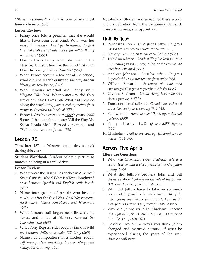*"Blessed Assurance"* - This is one of my most famous hymns. *(556)*

#### **Lesson Review:**

- 1. Fanny once told a preacher that she would like to have been born blind. What was her reason? *"Because when I get to heaven, the first face that shall ever gladden my sight will be that of my Savior!" (556)*
- 2. How old was Fanny when she went to the New York Institution for the Blind? *14 (557)*  How did she get there? *steamboat (557)*
- 3. When Fanny became a teacher at the school, what did she teach? *grammar, rhetoric, ancient history, modern history (557)*
- 4. What famous waterfall did Fanny visit? *Niagara Falls (558)* What waterway did they travel on? *Erie Canal (558)* What did they do along the way? *sang, gave speeches, recited from memory, described their school (558)*
- 5. Fanny J. Crosby wrote over *8,000* hymns. *(556)*  Some of the most famous are: "All the Way My *Savior* Leads Me," "Blessed *Assurance*," and "Safe in the Arms of *Jesus*." *(559)*

### Lesson 75

**Timeline:** 1871 - Western cattle drives peak during this year.

**Student Workbook:** Student colors a picture to match a painting of a cattle drive.

#### **Lesson Review:**

- 1. Where were the first cattle ranches in America? *Spanish missions (562)* What is a Texas longhorn? *cross between Spanish and English cattle breeds (562)*
- 2. Name four groups of people who became cowboys after the Civil War. *Civil War veterans, freed slaves, Native Americans, and Hispanics. (562)*
- 3. What famous trail began near Brownsville, Texas, and ended at Abilene, Kansas? *the Chisholm Trail (565)*
- 4. What Pony Express rider began a famous wild west show? *William "Buffalo Bill" Cody (565)*
- 5. Name five competitions in a modern rodeo. *calf roping, steer wrestling, bronco riding, bull riding, barrel racing (566)*

**Vocabulary:** Student writes each of these words and its definition from the dictionary: demand, transport, canvas, stirrup, outlaw.

## Unit 15 Test

- 1. Reconstruction *Time period when Congress passed laws to "reconstruct" the South (535)*
- 2. Slavery *13th Amendment abolished this (536)*
- 3. 15th Amendment *Made it illegal to keep someone from voting based on race, color, or the fact he had once been enslaved (536)*
- 4. Andrew Johnson *President whom Congress impeached but did not remove from office (538)*
- 5. William Seward - *Secretary of state who encouraged Congress to purchase Alaska (538)*
- 6. Ulysses S. Grant *Union Army hero who was elected president (539)*
- 7. Transcontinental railroad *Completion celebrated at the Golden Spike ceremony (544-545)*
- 8. Yellowstone *Home to over 10,000 hydrothermal features (550)*
- 9. Fanny J. Crosby - *Writer of over 8,000 hymns (556)*
- 10.Chisholm *Trail where cowboys led longhorns to market (564-565)*

## Across Five Aprils

#### **Literature Questions**

- 1. Who was Shadrach Yale? *Shadrach Yale is a school teacher and a close friend of the Creighton family. (4-5)*
- 2. What did Jethro's brothers John and Bill disagree about? *John is on the side of the Union. Bill is on the side of the Confederacy.*
- 3. Why did Jethro have to take on so much responsibility on his family's farm? *All of the other young men in the family go to fight in the war. Jethro's father is physically unable to work.*
- 4. Why did Jethro write to Abraham Lincoln? *to ask for help for his cousin Eb, who had deserted from the Army (160-162)*
- 5. Describe two of the ways you think Jethro changed and matured because of what he experienced during the years of the war. *Answers will vary.*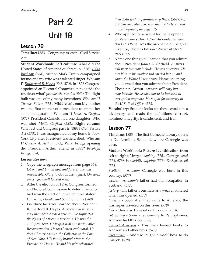# Part 2 Unit 16

## Lesson 76

**Timeline:** 1883 - Congress passes the Civil Service Act.

**Student Workbook: Left column:** What did the United States of America celebrate in 1876? *100th Birthday (568)*, Author Mark Twain campaigned for me, and my wife was a talented singer. Who am I? *Rutherford B. Hayes (568, 570)*, In 1876 Congress appointed an Electoral Commission to decide the results of what? *presidential election (569),* This light bulb was one of my many inventions. Who am I? *Thomas Edison (572);* **Middle column:** My mother was the first mother of a president to attend her son's inauguration. Who am I? *James A. Garfield (572),* President Garfield had one daughter. Who was she? *Mollie Garfield (583)*; **Right column:**  What act did Congress pass in 1883? *Civil Service Act (573),* I was inaugurated at my home in New York City after President Garfield died. Who am I? *Chester A. Arthur (573),* What bridge opening did President Arthur attend in 1883? *Brooklyn Bridge (574)*

#### **Lesson Review:**

- 1. Copy the telegraph message from page 568. *Liberty and Union now and forever one and inseparable. Glory to God in the highest. On earth peace, good will toward men.*
- 2. After the election of 1876, Congress formed an Electoral Commission to determine who had won the election in which three states? *Louisiana, Florida, and South Carolina (569)*
- 3. List three facts you learned about President Rutherford B. Hayes. *Answers will vary but may include: He was a veteran. He supported the rights of African Americans. He was the 19th president. He helped heal our nation after Reconstruction. He was honest and moral. He fired Chester Arthur, the Collector of the Port of New York. His family brought fun to the President's House. He and his wife celebrated*

*their 25th wedding anniversary there. (569-570) Student may also choose to include facts learned in his biography on page 575.*

- 4. Who applied for a patent for the telephone on Valentine's Day, 1876? *Alexander Graham Bell (571)* What was the nickname of the great inventor, Thomas Edison? *Wizard of Menlo Park (572)*
- 5. Name one thing you learned that you admire about President James A. Garfield. *Answers will vary but may include: He was a veteran. He was kind to his mother and carried her up and down the White House stairs.* Name one thing you learned that you admire about President Chester A. Arthur. *Answers will vary but may include: He decided not to be involved in corruption anymore. He fought for integrity in the U.S. Post Office. (573)*

**Vocabulary:** Student looks up these words in a dictionary and reads the definitions: corrupt, nominee, integrity, incandescent, and frail.

## Lesson 77

**Timeline:** 1883 - The first Carnegie Library opens in Dunfermline, Scotland, where Carnegie was born.

**Student Workbook: Picture identification from left to right:** *Morgan, banking (576); Carnegie, steel (576, 579); Vanderbilt, shipping (576); Rockefeller, oil (576)*

*Scotland* - Andrew Carnegie was born in this country. *(577)*

*weaver* - Andrew's father had this occupation in Scotland. *(577)*

*factory* - His father's business as a weaver suffered when this opened. *(577)*

*Hudson* - Soon after they came to America, the Carnegies traveled on this river. *(578)*

*Erie* - They also traveled on this canal. *(578)*

*bobbin boy* - Soon after coming to Pennsylvania, Andrew had this job. *(578)*

*Colonel Anderson* - This man loaned books to Andrew and other boys. *(578)*

*telegrapher* - Andrew taught himself how to do this job. *(578)*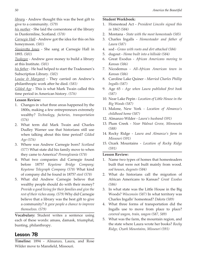*library* - Andrew thought this was the best gift to give to a community. *(579)*

*his mother* - She laid the cornerstone of the library in Dunfermline, Scotland. *(578)*

*Carnegie Hall* - Andrew got the idea for this on his honeymoon. *(581)*

*Sissieretta Jones* - She sang at Carnegie Hall in 1893. *(581)*

*Tuskegee* - Andrew gave money to build a library at this Institute. *(581)*

*his father* - He had helped to start the Tradesmen's Subscription Library. *(582)*

*Louise & Margaret* - They carried on Andrew's philanthropic work after he died. *(581)*

*Gilded Age* - This is what Mark Twain called this time period in American history. *(576)*

#### **Lesson Review:**

- 1. Changes in what three areas happened by the 1800s, making a few entrepreneurs extremely wealthy? *Technology, factories, transportation (576)*
- 2. What term did Mark Twain and Charles Dudley Warner use that historians still use when talking about this time period? *Gilded Age (576)*
- 3. Where was Andrew Carnegie born? *Scotland (577)* What state did his family move to when they came to America? *Pennsylvania (578)*
- 4. What two companies did Carnegie found before 1875? *Keystone Bridge Company; Keystone Telegraph Company (578)* What kind of company did he found in 1875? *steel (578)*
- 5. What did Andrew Carnegie believe that wealthy people should do with their money? *Provide a good living for their families and give the rest of their riches away. (579)* Why did Carnegie believe that a library was the best gift to give a community? *It gave people a chance to improve themselves. (579)*

**Vocabulary:** Student writes a sentence using each of these words: amass, damask, triumphal, bunting, philanthropy.

## Lesson 78

**Timeline:** 1894 - Almanzo, Laura, and Rose Wilder move to Mansfield, Missouri.

#### **Student Workbook:**

- 1. Homestead Act *President Lincoln signed this in 1862 (584)*
- 2. Montana *State with the most homesteads (585)*
- 3. Charles Ingalls *Homesteader and father of Laura (587)*
- 4. sod - *Grass with roots and dirt attached (584)*
- 5. dugout *Home built into a hillside (584)*
- 6. Great Exodus *African Americans moving to Kansas (586)*
- 7. Nicodemus *All-African American town in Kansas (586)*
- 8. Caroline Lake Quiner *Married Charles Phillip Ingalls (587)*
- 9. Age 65 *Age when Laura published first book (587)*
- 10. Near Lake Pepin *Location of Little House in the Big Woods (587)*
- 11. Malone, New York *Location of Almanzo's childhood home (587)*
- 12. Almanzo Wilder *Laura's husband (591)*
- 13. Plum Creek *Near Walnut Grove, Minnesota (588)*
- 14. Rocky Ridge *Laura and Almanzo's farm in Missouri (591)*
- 15. Ozark Mountains *Location of Rocky Ridge (591)*

- 1. Name two types of homes that homesteaders built that were not built mainly from wood. *sod houses, dugouts (584)*
- 2. What do historians call the migration of African Americans to Kansas? *Great Exodus (586)*
- 3. In what state was the Little House in the Big Woods? *Wisconsin (587)* In what territory was Charles Ingalls' homestead? *Dakota (589)*
- 4. What three forms of transportation did the Ingalls use to move from place to place? *covered wagon, train, wagon (587, 589)*
- 5. What was the farm, the mountain region, and the state where Laura wrote her books? *Rocky Ridge, Ozark Mountains, Missouri (591)*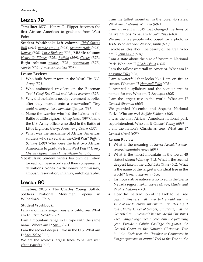## Lesson 79

**Timeline:** 1877 - Henry O. Flipper becomes the first African American to graduate from West Point.

**Student Workbook: Left column:** *Chief Sitting Bull (597), parade ground (594), western trails (594), Kansas (596), Little Bighorn (597);* **Middle column:**  *Henry O. Flipper (599), Buffalo (599), Custer (597);*  **Right column:** *treaties (596), reservation (597), camels (600), American settlers (596)*

#### **Lesson Review:**

- 1. Who built frontier forts in the West? *The U.S. Army (594)*
- 2. Who ambushed travelers on the Bozeman Trail? *Chief Red Cloud and Lakota warriors (597)*
- 3. Why did the Lakota need government supplies after they moved onto a reservation? *They could no longer live a nomadic lifestyle. (597)*
- 4. Name the warrior who led the Lakota in the Battle of Little Bighorn. *Crazy Horse (597)* Name the U.S. Army officer who died in the Battle of Little Bighorn. *George Armstrong Custer (597)*
- 5. What was the nickname of African American soldiers who served after the Civil War? *Buffalo Soldiers (598)* Who were the first two African Americans to graduate from West Point? *Henry Ossian Flipper, John Hanks Alexander (599)*
- **Vocabulary:** Student writes his own definition for each of these words and then compares his definitions to ones in a dictionary: commissary, ambush, reservation, infantry, autobiography.

## Lesson 80

**Timeline:** 2013 - The Charles Young Buffalo Soldiers National Monument opens in Wilberforce, Ohio.

#### **Student Workbook:**

I am a mountain range in eastern California. What am I? *Sierra Nevada (602)*

I am a mountain range in Europe with the same name. Where am I? *Spain (603)*

I am the second deepest lake in the U.S. What am I? *Lake Tahoe (602)*

We are the world's largest trees. What are we? *giant sequoias (602)*

I am the tallest mountain in the lower 48 states. What am I? *Mount Whitney (602)*

I am an event in 1849 that changed the lives of native nations. What am I? *Gold Rush (603)*

We are native people who posed for a photo in 1866. Who are we? *Washoe family (603)*

I wrote articles about the beauty of the area. Who am I? *John Muir (604)*

I am a state about the size of Yosemite National Park. What am I? *Rhode Island (604)*

I am the tallest waterfall in America. What am I? *Yosemite Falls (605)*

I am a waterfall that looks like I am on fire at sunset. What am I? *Horsetail Falls (605)*

I invented a syllabary and the sequoia tree is named for me. Who am I? *Sequoyah (606)*

I am the largest tree in the world. What am I? *General Sherman (606)*

We guarded Yosemite and Sequoia National Parks. Who are we? *Buffalo Soldiers (606)*

I was the first African American national park superintendent. Who am I? *Colonel Young (606)*

I am the nation's Christmas tree. What am I? *General Grant (607)*

- 1. What is the meaning of *Sierra Nevada*? *Snowcovered mountain range (603)*
- 2. What is the tallest mountain in the lower 48 states? *Mount Whitney (603)* What is the second deepest lake in the U.S.? *Lake Tahoe (602)* What is the name of the largest individual tree in the world? *General Sherman (606)*
- 3. List four native nations who lived in the Sierra Nevada region. *Yokut, Sierra Miwok, Maidu, and Washoe Nations (603)*
- 4. How did the tradition of the Trek to the Tree begin? *Answers will vary but should include some of the following information: In 1924 a girl told Charles E. Lee of Sanger, California, that the General Grant tree would be a wonderful Christmas Tree. Sanger organized a ceremony the following year. President Calvin Coolidge designated the General Grant as the Nation's Christmas Tree in 1926. Each year the Chamber of Commerce in Sanger sponsors an annual Trek to the Tree on the*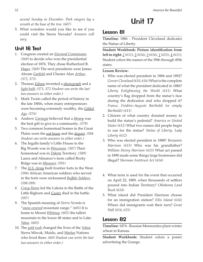*second Sunday in December. Park rangers lay a wreath at the base of the tree. (607)*

5. What wonders would you like to see if you could visit the Sierra Nevada? *Answers will vary.*

## Unit 16 Test

- 1. Congress created an *Electoral Commission (569)* to decide who won the presidential election of 1876. They chose Rutherford B. *Hayes*. *(569)* The next presidents were James Abram *Garfield* and Chester Alan *Arthur*. *(572, 573)*
- 2. Thomas *Edison* invented a *phonograph* and a *light bulb*. *(571, 572 Student can write the last two answers in either order.)*
- 3. Mark Twain called the period of history in the late 1800s, when many entrepreneurs were becoming extremely wealthy, the *Gilded Age*. *(576)*
- 4. Andrew *Carnegie* believed that a *library* was the best gift to give to a community. *(579)*
- 5. Two common homestead homes in the Great Plains were the *sod house* and the *dugout*. *(584 Student can write answers in either order.)*
- 6. The Ingalls family's Little House in the Big Woods was in *Wisconsin*. *(587)* Their homestead was in *Dakota* Territory. *(589)*  Laura and Almanzo's farm called Rocky Ridge was in *Missouri*. *(591)*
- 7. The *U.S. Army* built frontier forts in the West. *(594)* African American soldiers who served in the forts were nicknamed *Buffalo Soldiers*. *(598-599)*
- *8. Crazy Horse* led the Lakota in the Battle of the Little Bighorn and *Custer* died in the battle. *(597)*
- 9. The Spanish meaning of *Sierra Nevada* is "*snow-covered* mountain range." *(603)* It is home to Mount *Whitney*, *(602)* the tallest mountain in the lower 48 states and to Lake *Tahoe*. *(602)*
- 10. The *gold rush* changed the lives of the *Yokut*, Sierra Miwok, Maidu, and *Washoe* Nations who lived there. *(603 Student can write the last two answers in either order.)*

# Unit 17

## Lesson 81

**Timeline:** 1886 - President Cleveland dedicates the Statue of Liberty.

**Student Workbook: Picture identification from left to right:** *2 (611), 5 (614), 3 (614), 1 (615), 4 (611);*  Student colors the names of the 39th through 45th states.

#### **Lesson Review:**

- 1. Who was elected president in 1884 and 1892? *Grover Cleveland (610, 616)* What is the complete name of what the president dedicated in 1886? *Liberty Enlightening the World (611)* What country's flag dropped from the statue's face during the dedication and who dropped it? *France, Frédéric-Auguste Bartholdi (or simply Bartholdi) (611)*
- 2. Citizens of what country donated money to build the statue's pedestal? *America or United States (612)* What two names did people begin to use for the statue? *Statue of Liberty, Lady Liberty (612)*
- 3. Who was elected president in 1888? *Benjamin Harrison (613)* Who was his grandfather? *William Henry Harrison (613)* What act passed in 1890 made some things large businesses did illegal? *Sherman Antitrust Act (614)*
- 4. What term is used for the event that occurred on April 22, 1889, when thousands of settlers poured into Indian Territory? *Oklahoma Land Rush (614)*
- 5. What island did President Harrison choose for an immigration station? *Ellis Island (614)*  Where did immigrants wait their turn? *Great Hall (614, 615)*

## Lesson 82

**Timeline:** 1874 - Russian Mennonites plant winter wheat in Kansas.

**Student Workbook:** Student colors a poster advertising the Grange.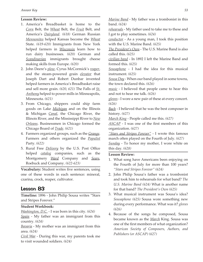#### **Lesson Review:**

- 1. America's Breadbasket is home to the *Corn* Belt, the *Wheat* Belt, the *Fruit* Belt, and America's *Dairyland*. *(618)* German Russian *Mennonites* helped Kansas become the *Wheat* State. *(619-620)* Immigrants from New York helped farmers in *Wisconsin* learn how to run dairy businesses. *(620)* German and *Scandinavian* immigrants brought cheese making skills from Europe. *(620)*
- 2. John Deere's *plow*, Cyrus McCormick's *reaper*, and the steam-powered grain *elevator* that Joseph Dart and Robert Dunbar invented helped farmers in America's Breadbasket raise and sell more grain. *(620, 621)* The Falls of *St. Anthony* helped to power mills in Minneapolis, Minnesota. *(621)*
- 3. From Chicago, shippers could ship farm goods on Lake *Michigan* and on the Illinois & Michigan *Canal*, the Chicago River, the Illinois River, and the Mississippi River to *New Orleans*. Businessmen in Chicago formed the Chicago Board of *Trade*. *(621)*
- 4. Farmers organized groups, such as the *Grange*. Farmers and others organized the *Populist*  Party. *(622)*
- 5. Rural Free *Delivery* by the U.S. Post Office helped *catalog* companies, such as the Montgomery *Ward* Company and *Sears*, Roebuck and Company. *(622-623)*

**Vocabulary:** Student writes five sentences, using one of these words in each sentence: mineral, czarina, crock, reaper, cultivator.

### Lesson 83

**Timeline:** 1896 - John Philip Sousa writes "Stars and Stripes Forever."

#### **Student Workbook:**

*Washington, D.C.* - I was born in this city. *(624)*

*Spain* - My father was an immigrant from this country. *(624)*

*Bavaria* - My mother was an immigrant from this area. *(624)*

*Civil War* - During this war, my parents took me to visit wounded soldiers. *(624)*

*Marine Band* - My father was a trombonist in this band. *(624)*

*rehearsals* - My father used to take me to these and I got to play sometimes. *(624)*

*conductor* - As a young man, I took this position with the U.S. Marine Band. *(625)*

*The President's Own* - The U.S. Marine Band is also called this. *(625)*

*civilian band* - In 1892 I left the Marine Band and formed this. *(625)*

*Sousaphone* - I had the idea for this musical instrument. *(625)*

*Sousa Day* - When our band played in some towns, the town declared this. *(626)*

*music* - I believed that people came to hear this and not to hear me talk. *(626)*

*gloves* - I wore a new pair of these at every concert. *(626)*

*Bach* - I believed that he was the best composer in history. *(627)*

*March King* - People called me this. *(627)*

*ASCAP* - I was one of the first members of this organization. *(627)*

*"Stars and Stripes Forever"* - I wrote this famous march often played on the Fourth of July. *(627)*

*Sunday* - To honor my mother, I wore white on this day. *(628)*

- 1. What song have Americans been enjoying on the Fourth of July for more than 100 years? *"Stars and Stripes Forever" (624)*
- 2. John Philip Sousa's father was a trombonist and took him to rehearsals for what band? *The U.S. Marine Band (624)* What is another name for that band? *The President's Own (625)*
- 3. What musical instrument was Sousa's idea? *Sousaphone (625)* Sousa wore something new during every performance. What was it? *gloves (626)*
- 4. Because of the songs he composed, Sousa became known as the *March* King. Sousa was one of the first members of what organization? *American Society of Composers, Authors, and Publishers (or ASCAP) (627)*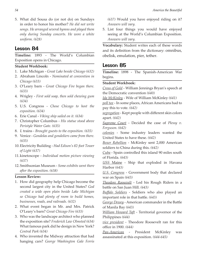5. What did Sousa do (or not do) on Sundays in order to honor his mother? *He did not write songs. He arranged several hymns and played them only during Sunday concerts. He wore a white uniform. (628)*

## Lesson 84

**Timeline:** 1893 - The World's Columbian Exposition opens in Chicago.

#### **Student Workbook:**

- 1. Lake Michigan *Great Lake beside Chicago (632)*
- 2. Abraham Lincoln *Nominated at convention in Chicago (633)*
- 3. O'Leary barn *Great Chicago Fire began there. (633)*
- 4. Wrigley *First sold soap, then sold chewing gum (634)*
- 5. U.S. Congress *Chose Chicago to host the exposition. (634)*
- 6. Erie Canal *Viking ship sailed on it. (634)*
- 7. Christopher Columbus *His statue stood above Peristyle Water Gate. (635)*
- 8. <sup>L</sup> trains *Brought guests to the exposition. (635)*
- 9. Venice *Gondolas and gondoliers came from there. (635)*
- 10.Electricity Building *Had Edison's 82-foot Tower of Light (637)*
- 11.kinetoscope *Individual motion picture viewing (637)*
- 12.Smithsonian Museum *Some exhibits went there after the exposition. (638)*

#### **Lesson Review:**

- 1. How did geography help Chicago become the second largest city in the United States? *God created a wide open plain beside Lake Michigan so Chicago had plenty of room to build homes, businesses, roads, and railroads. (632)*
- 2. What event began in Mr. and Mrs. Patrick O'Leary's barn? *Great Chicago Fire (633)*
- 3. Who was the landscape architect who planned the exposition site? *Frederick Law Olmsted (634)*  What famous park did he design in New York? *Central Park (634)*
- 4. Who invented the Midway attraction that had hanging cars? *George Washington Gale Ferris*

*(637)* Would you have enjoyed riding on it? *Answers will vary.* 

5. List four things you would have enjoyed seeing at the World's Columbian Exposition. *Answers will vary.*

**Vocabulary:** Student writes each of these words and its definition from the dictionary: omnibus, obelisk, emulation, pier, tether.

### Lesson 85

**Timeline:** 1898 - The Spanish-American War begins.

#### **Student Workbook:**

*Cross of Gold* - William Jennings Bryan's speech at the Democratic convention *(640)*

*Ida McKinley* - Wife of William McKinley *(641)*

*poll tax* - In some places, African Americans had to pay this to vote. *(642)*

*segregation* - Kept people with different skin colors apart. *(642)*

*Supreme Court* - Decided the case of *Plessy v. Ferguson*. *(642)*

*colonies* - Some industry leaders wanted the United States to have these. *(642)*

*Boxer Rebellion* - McKinley sent 2,000 American soldiers to China during this. *(642)*

*Cuba* - Spain controlled this island 90 miles south of Florida. *(643)*

*USS* Maine - Ship that exploded in Havana Harbor *(643)*

*U.S. Congress* - Government body that declared war on Spain *(643)*

*Theodore Roosevelt* - Led his Rough Riders in a battle on San Juan Hill. *(643)*

*Buffalo Soldiers* - Soldiers who also played an important role in that battle. *(643)*

*George Dewey* - American commander in the Battle of Manila Bay *(643)*

*William Howard Taft* - Territorial governor of the Philippines *(644)*

*vice president* - Theodore Roosevelt ran for this office in 1900. *(644)*

*Pan-American* - President McKinley was assassinated at this exposition. *(644-645)*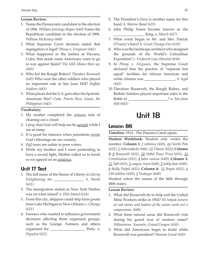#### **Lesson Review:**

- 1. Name the Democratic candidate in the election of 1896. *William Jennings Bryan (640)* Name the Republican candidate in the election of 1896. *William McKinley (640)*
- 2. What Supreme Court decision stated that segregation is legal? *Plessy v. Ferguson (642)*
- 3. What happened in the harbor at Havana, Cuba, that made some Americans want to go to war against Spain? *The USS Maine blew up. (643)*
- 4. Who led the Rough Riders? *Theodore Roosevelt (643)* Who were the other soldiers who played an important role at San Juan Hill? *Buffalo Soldiers (643)*
- 5. What places did the U.S. gain after the Spanish-American War? *Cuba, Puerto Rico, Guam, the Philippines (643)*

#### **Vocabulary:**

- 1. My mother completed the *arduous* task of cleaning out a closet.
- 2. I pray that God will help me be *upright* while I am at camp.
- 3. It is good for America when presidents *invoke* God's blessings on our country.
- *4. Poll* taxes are unfair to poor voters.
- 5. While my brother and I were pretending to have a sword fight, Mother called us to lunch so we agreed on an *armistice*.

## Unit 17 Test

- 1. The full name of the Statue of Liberty is *Liberty Enlightening the \_\_\_\_\_\_\_\_\_\_\_\_\_\_\_\_*. *b. World (611)*
- 2. The immigration station in New York Harbor was on what island? *a. Ellis Island (614)*
- 3. From this city, shippers could ship farm goods from Lake Michigan to New Orleans: *c. Chicago (621)*
- 4. Farmers who wanted to influence government decisions affecting them organized groups, such as the Grange. Farmers and others organized the \_\_\_\_\_\_\_\_\_\_\_\_\_\_\_\_\_\_\_ Party. *a. Populist (622)*
- 5. The President's Own is another name for this band. *b. Marine Band (625)*
- 6. John Philip Sousa became known as the \_\_\_\_\_\_\_\_\_\_\_\_\_\_\_\_\_ King. *a. March (627)*
- 7. What event began in Mr. and Mrs. Patrick O'Leary's barn? *b. Great Chicago Fire (633)*
- 8. Who was the landscape architect who designed the grounds of the World's Columbian Exposition? *c. Frederick Law Olmsted (634)*
- 9. In *Plessy v. Ferguson*, the Supreme Court declared that the practice of "separate but equal" facilities for African American and white citizens was \_\_\_\_\_\_\_\_\_\_\_\_\_\_\_\_\_. *b. legal (642)*
- 10.Theodore Roosevelt, the Rough Riders, and Buffalo Soldiers played important roles in the Battle of \_\_\_\_\_\_\_\_\_\_\_\_\_\_\_\_\_\_\_\_\_\_? *a. San Juan Hill (643)*

## Unit 18

## Lesson 86

**Timeline:** 1914 - The Panama Canal opens.

**Student Workbook:** Student only writes the number. **Column 1:** *7 isthmus (650), 14 North Pole (652), 1 Adirondacks (648), 15 Titanic (653);* **Column 2:** *9 Roosevelt (651), 10 Nobel Peace Prize (651), 13 Constitution (652), 4 labor unions (649);* **Column 3:**  *12 Taft (652), 2 wagon, train (648), 5 teddy bear (649), 8 Bully Pulpit (651);* **Column 4:** *11 Bryan (652), 6 230 million (650), 3 Tuskegee (649)*

Student colors the names of the 46th through 48th states.

- 1. What did Roosevelt do to help end the United Mine Workers strike in 1902? *He helped owners of coal mines and leaders of the union work out a compromise. (649)*
- 2. What three natural areas did Roosevelt visit during his grand tour of western states? *Yellowstone, Yosemite, Grand Canyon (650)*
- 3. What did Americans begin to build while Roosevelt was president? *Panama Canal (650)*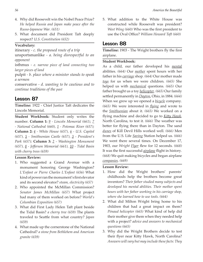- 4. Why did Roosevelt win the Nobel Peace Prize? *He helped Russia and Japan make peace after the Russo-Japanese War. (651)*
- 5. What document did President Taft deeply respect? *U.S. Constitution (652)*

#### **Vocabulary:**

itinerary *- c. the proposed route of a trip* unsportsmanlike *- a. being disrespectful to an opponent*

isthmus *- e. narrow piece of land connecting two larger pieces of land*

pulpit *- b. place where a minister stands to speak a sermon*

conservative *- d. wanting to be cautious and to continue traditions of the past*

## Lesson 87

**Timeline:** 1922 - Chief Justice Taft dedicates the Lincoln Memorial.

**Student Workbook:** Student only writes the number. **Column 1:** *9 - Lincoln Memorial (661), 7 - National Cathedral (660), 1 - Potomac River (657);*  **Column 2:** *4 - White House (657), 6 - U.S. Capitol (657), 5 - Smithsonian Castle (657), 3 - President's Park (657);* **Column 3:** *2 - Washington Monument (657), 8 - Jefferson Memorial (661), 10 - Tidal Basin with cherry trees (659)*

#### **Lesson Review:**

- 1. Who suggested a Grand Avenue with a monument honoring George Washington? *L'Enfant or Pierre Charles L'Enfant (656)* What kind of power ran the monument's first elevator and its second elevator? *steam, electricity (657)*
- 2. Who appointed the McMillan Commission? *Senator James McMillan (657)* What project had many of them worked on before? *World's Columbian Exposition (657)*
- 3. What did First Lady Helen Taft plant beside the Tidal Basin? *a cherry tree (659)* The plants traveled to Seattle from what country? *Japan (659)*
- 4. What made up the cornerstone of the National Cathedral? *a stone from Bethlehem and American granite (659)*

5. What addition to the White House was constructed while Roosevelt was president? *West Wing (660)* Who was the first president to use the Oval Office? *William Howard Taft (660)*

## Lesson 88

**Timeline:** 1903 - The Wright brothers fly the first airplane.

#### **Student Workbook:**

As a child, our father developed his *mental* abilities*. (664)* Our *mother* spent hours with her father in his *carriage* shop*. (664)* Our mother made *toys* for us when we were children*. (665)* She helped us with *mechanical* questions*. (665)* Our father brought us a toy *helicopter. (665)* Our family settled permanently in *Dayton*, Ohio, in 1884*. (664)*  When we grew up we opened a *bicycle* company*. (665)* We were interested in *flying* and wrote to the *Smithsonian* about it*. (665)* We worked on a flying machine and decided to go to *Kitty Hawk*, North Carolina, to test it*. (666)* The weather was better for flying there than in Dayton. The sand *dunes* of Kill Devil Hills worked well*. (666)* Men from the U.S. Life *Saving* Station helped us*. (666)* We went there several times. On December 17, 1903, our *Wright Flyer* flew for 12 seconds*. (668)* It was the first successful *airplane* flight in history*. (668)* We quit making bicycles and began airplane *companies. (669)*

- 1. How did the Wright brothers' parents' childhoods help the brothers become great inventors? *Their father studied many subjects and developed his mental abilities. Their mother spent hours with her father working in his carriage shop, where she learned how to use tools. (664)*
- 2. What did Milton Wright bring home to his children that had a great impact on them? *Pénaud helicopter (665)* What kind of help did their mother give them when they needed help with a project? *advice and answers to mechanical questions (665)*
- 3. Why did the Wright Brothers decide to test their flyer near Kitty Hawk, North Carolina? *Answers will vary but may include these facts: They*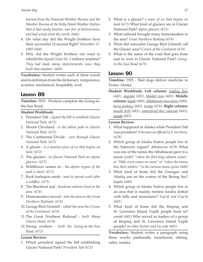*learned from the National Weather Bureau and the Weather Bureau at the Kitty Hawk Weather Station that it had sandy beaches, was free of obstructions, and had winds from the north. (666)*

- 4. On what day did the Wright brothers have their successful 12-second flight? *December 17, 1903 (668)*
- 5. Why did the Wright brothers not want to rebuild the *Signal Corps No. 1* military airplane? *They had made many improvements since they built that airplane. (669)*

**Vocabulary:** Student writes each of these words and its definition from the dictionary: temperance, aviation, mechanical, hospitable, avid.

## Lesson 89

**Timeline:** 1933 - Workers complete the Going-tothe-Sun Road.

#### **Student Workbook:**

- 1. President Taft *signed the bill to establish Glacier National Park. (672)*
- 2. Mount Cleveland *is the tallest peak in Glacier National Park. (672)*
- 3. The Continental Divide *cuts through Glacier National Park. (672)*
- 4. A glacier - *is a massive piece of ice that begins on land. (672)*
- 5. The glaciers *in Glacier National Park are alpine glaciers. (672)*
- 6. Wildflower season in *the alpine region of the park is short. (673)*
- 7. Rock harlequin seeds *wait to sprout until after a wildfire. (673)*
- 8. The Blackfoot and *Kootenai nations lived in the area. (674)*
- 9. Homesteaders moved *into the area on the Great Northern Railroad. (674)*
- 10.George Bird Grinnell *called the area the Crown of the Continent. (674)*
- 11.The Great Northern Railroad - *built Many Glacier Hotel. (674)*
- 12.Strong workers *built the Going-to-the-Sun Road. (675)*

#### **Lesson Review:**

1. Which president signed the bill establishing Glacier National Park? *President Taft (672)*

- 2. What is a glacier? *a mass of ice that begins on land (672)* What kind of glaciers are in Glacier National Park? *alpine glaciers (672)*
- 3. What railroad brought many homesteaders to the area? *Great Northern Railway (674)*
- 4. What did naturalist George Bird Grinnell call the Glacier area? *Crown of the Continent (674)*
- 5. What is the name of the road that goes from east to west in Glacier National Park? *Goingto-the-Sun Road (675)*

## Lesson 90

**Timeline:** 1925 - Sled dogs deliver medicine to Nome, Alaska.

**Student Workbook: Left column:** *trading furs (682), dogsled (682), blanket toss (683);* **Middle column:** *kayak (680), Athabascan moccasins (680), berry picking (683), treaty (678);* **Right column:** *mouth drill (682), waterproof skin raincoat (683), umiak (683)*

#### **Lesson Review:**

- 1. What happened in Alaska while President Taft was president? *It became an official U.S. territory. (678)*
- 2. Which group of Alaska Native people live in the Subarctic region? *Athabascan (679)* What was one of the names the Athabascan gave to a moon cycle? *"when the first king salmon comes" or "little crust comes on snow" or "when the moose lose their antlers," to the various moon cycles (680)*
- 3. What kind of boats did the Unangax and Alutiiq use on the waters of the Bering Sea? *kayaks (680)*
- 4. Which group of Alaska Native people live in an area that is mainly treeless tundra dotted with hills and mountains? *Yup'ik and Cup'ik (681)*
- 5. What kind of boats did the Iñupiaq and St. Lawrence Island Yupik people hunt in? *umiak (681)* Who served as leaders of a group of Iñupiaq and St. Lawrence Island Yupik people? *an older hunter and his wife (681)*

**Vocabulary:** Student writes a paragraph using these words: panhandle, translucent, oblong, rafter, tundra.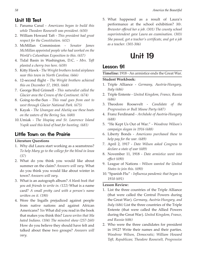## Unit 18 Test

- 1. Panama Canal *Americans began to build this while Theodore Roosevelt was president. (650)*
- 2. William Howard Taft *This president had great respect for the Constitution. (652)*
- 3. McMillan Commission *Senator James McMillan appointed people who had worked on the World's Columbian Exposition to this. (657)*
- 4. Tidal Basin in Washington, D.C. *Mrs. Taft planted a cherry tree here. (659)*
- 5. Kitty Hawk *The Wright brothers tested airplanes near this town in North Carolina. (666)*
- 6. 12-second flight *The Wright brothers achieved this on December 17, 1903. (668)*
- 7. George Bird Grinnell *This naturalist called the Glacier area the Crown of the Continent. (674)*
- 8. Going-to-the-Sun *This road goes from east to west through Glacier National Park. (675)*
- 9. Kayak *The Unangax and Alutiiq use these boats on the waters of the Bering Sea. (680)*
- 10.Umiak *The Iñupiaq and St. Lawrence Island Yupik used this kind of boat for hunting. (681)*

## Little Town on the Prairie

#### **Literature Questions**

- 1. Why did Laura start working as a seamstress? *To help Mary go to the college for the blind in Iowa (37)*
- 2. What do you think you would like about summer on the claim? *Answers will vary.* What do you think you would like about winter in town? *Answers will vary.*
- 3. What is an autograph album? *A blank book that you ask friends to write in. (122)* What is a name card? *A small pretty card with a person's name written on it. (190)*
- 4. Were the Ingalls prejudiced against people from native nations and against African Americans? *Yes* What did you read in the book that makes you think this? *Laura writes that Ma hated Indians. (104) The minstrel show (257-260)* How do you believe they should have felt and talked about these two groups? *Answers will vary.*

5. What happened as a result of Laura's performance at the school exhibition? *Mr. Brewster offered her a job. (301) The county school superintendent gave Laura an examination. (303) She passed, got a teacher's certificate, and got a job as a teacher. (301-306)*

## Unit 19

## Lesson 91

**Timeline:** 1918 - An armistice ends the Great War.

#### **Student Workbook:**

- 1. Triple Alliance *Germany, Austria-Hungary, Italy (686)*
- 2. Triple Entente *United Kingdom, France, Russia (686)*
- 3. Theodore Roosevelt *Candidate of the Progressives or Bull Moose Party (687)*
- 4. Franz Ferdinand *Archduke of Austria-Hungary (688)*
- 5. "He Kept Us Out of War." *Woodrow Wilson's campaign slogan in 1916 (688)*
- 6. Liberty Bonds *Americans purchased these to help pay for the war. (689)*
- 7. April 2, 1917 *Date Wilson asked Congress to declare a state of war (689)*
- 8. November 11, 1918 *Date armistice went into effect (690)*
- 9. League of Nations *Wilson wanted the United States to join this. (690)*
- 10."Spanish Flu" *Influenza pandemic that began in 1918 (691)*

- 1. List the three countries of the Triple Alliance (that were called the Central Powers during the Great War). *Germany, Austria-Hungary, and Italy (686)* List the three countries of the Triple Entente (that were called the Allied Powers during the Great War). *United Kingdom, France, and Russia (686)*
- 2. Who were the three candidates for president in 1912? Write their names and their parties. *Woodrow Wilson, Democratic; William Howard Taft, Republican; Theodore Roosevelt, Progressive*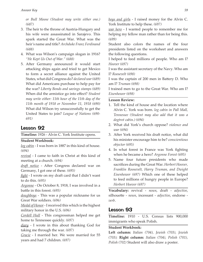*or Bull Moose (Student may write either one.) (687)*

- 3. The heir to the throne of Austria-Hungary and his wife were assassinated in Sarajevo. This spark started the Great War. What was the heir*'*s name and title? *Archduke Franz Ferdinand (688)*
- 4. What was Wilson's campaign slogan in 1916? *"He Kept Us Out of War." (688)*
- 5. After Germany announced it would start attacking ships again and tried to get Mexico to form a secret alliance against the United States, what did Congress do? *declared war (689)* What did Americans purchase to help pay for the war? *Liberty Bonds and savings stamps (689)*  When did the armistice go into effect? *Student may write either: 11th hour of the 11th day of the 11th month of 1918 or November 11, 1918 (690)*  What did Wilson try unsuccessfully to get the United States to join? *League of Nations (690- 691)*

## Lesson 92

**Timeline:** 1926 - Alvin C. York Institute opens.

#### **Student Workbook:**

*log cabin* - I was born in 1887 in this kind of house. *(694)*

*revival* - I came to faith in Christ at this kind of meeting at a church. *(694)*

*draft notice* - After Congress declared war on Germany, I got one of these. *(695)*

*fight* - I wrote on my draft card that I didn't want to do this. *(695)*

*Argonne* - On October 8, 1918, I was involved in a battle in this forest. *(695)*

*doughboys* - This was a popular nickname for us Great War soldiers. *(696)*

*Medal of Honor* - I received this which is the highest military honor in the U.S. *(696)*

*Cordell Hull* - This congressman helped me get home to Tennessee quickly. *(697)*

*diary* - I wrote in this about thanking God for taking me through the war. *(697)*

*Gracie* - I married her. We were married for 55 years and had 7 children. *(697)*

*boys and girl*s - I raised money for the Alvin C. York Institute to help these. *(697)*

*war hero* - I wanted people to remember me for helping my fellow man rather than for being this. *(699)*

Student also colors the names of the four presidents listed on the worksheet and answers the following questions.

I helped to feed millions of people. Who am I? *Hoover (697)*

I was the assistant secretary of the Navy. Who am I? *Roosevelt (698)*

I was the captain of 200 men in Battery D. Who am I? *Truman (698)* 

I trained men to go to the Great War. Who am I? *Eisenhower (698)*

#### **Lesson Review:**

- 1. Tell the kind of house and the location where Alvin C. York was born. *log cabin in Pall Mall, Tennessee (Student may also add that it was a dogtrot cabin.) (694)*
- 2. What did York's church oppose? *violence and war (694)*
- 3. After York received his draft notice, what did his minister encourage him to be? *conscientious objector (695)*
- 4. In what forest in France was York fighting when he became a hero? *Argonne Forest (695)*
- 5. Name four future presidents who made sacrifices during the Great War. *Herbert Hoover, Franklin Roosevelt, Harry Truman, and Dwight Eisenhower (697)* Which one of these helped to feed millions of hungry people in Europe? *Herbert Hoover (697)*

**Vocabulary:** revival - *noun*, draft - *adjective*, silhouette - *noun*, incessant - *adjective*, endorse *verb*.

### Lesson 93

**Timeline:** 1910 - U.S. Census lists 900,000 immigrants who speak Polish.

#### **Student Workbook:**

**Left column:** *Italian (704), Jewish (703), Jewish (703);* **Right column:** *Italian (704), Polish (701), Polish (702)* Student will also draw a poster.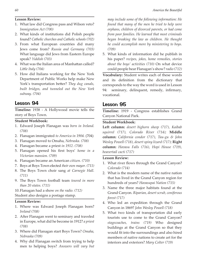#### **Lesson Review:**

- 1. What law did Congress pass and Wilson veto? *Immigration Act (700)*
- 2. What kinds of institutions did Polish people found? *Catholic churches and Catholic schools (702)*
- 3. From what European countries did many Jews come from? *Russia and Germany (703)*  What language did Jews from Eastern Europe speak? *Yiddish (703)*
- 4. What was the Italian area of Manhattan called? *Little Italy (704)*
- 5. How did Italians working for the New York Department of Public Works help make New York's transportation better? *They dug canals, built bridges, and tunneled out the New York subway. (704)*

## Lesson 94

**Timeline:** 1938 - A Hollywood movie tells the story of Boys Town.

#### **Student Workbook:**

- 1. Edward Joseph Flanagan was *born in Ireland. (708)*
- 2. Flanagan immigrated *to America in 1904.* (704)
- 3. Flanagan moved to Omaha, *Nebraska. (708)*
- 4. Flanagan became a priest *in 1912. (708)*
- 5. Flanagan opened his first boys' *home in a Victorian mansion. (709)*
- 6. Flanagan became an American *citizen. (710)*
- 7. Boys at Boys Town elected *their own mayor. (711)*
- 8. The Boys Town choir sang *at Carnegie Hall. (711)*
- 9. The Boys Town football team *toured in more than 20 states. (711)*

10.Flanagan had a show *on the radio. (712)* Student also designs a postage stamp.

#### **Lesson Review:**

- 1. Where was Edward Joseph Flanagan born? *Ireland (708)*
- 2. After Flanagan went to seminary and traveled in Europe, what did he become in 1912? *a priest (708)*
- 3. Where did Flanagan start Boys Town? *Omaha, Nebraska (709)*
- 4. Why did Flanagan switch from trying to help men to helping boys? *Answers will vary but*

*may include some of the following information: He found that many of the men he tried to help were orphans, children of divorced parents, or had come from poor families. He learned that most criminals began breaking the law as children. He thought he could accomplish more by ministering to boys. (709)*

5. What kinds of information did he publish in his paper? *recipes, jokes, home remedies, stories about the boys' activities (710)* On what device could people hear Flanagan's show? *radio (712)*

**Vocabulary:** Student writes each of these words and its definition from the dictionary that corresponds to the way the word is used in Lesson 94: seminary, delinquent, remedy, infirmary, vocational.

#### Lesson 95

**Timeline:** 1919 - Congress establishes Grand Canyon National Park.

#### **Student Workbook:**

**Left column:** *desert bighorn sheep (717), Kaibab squirrel (717), Colorado River (714);* **Middle column:** *California condor (717), Tau-gu & John Wesley Powell (718), desert spiny lizard (717);* **Right column:** *Havasu Falls (716), Hopi House (719), beavertail cacti (717)*

- 1. What river flows through the Grand Canyon? *Colorado (714)*
- 2. What is the modern name of the native nation that has lived in the Grand Canyon region for hundreds of years? *Havasupai Nation (715)*
- 3. Name the three major habitats found at the Grand Canyon. *Riparian, desert scrub, coniferous forest (717)*
- 4. Who led an expedition through the Grand Canyon in 1869? *John Wesley Powell (718)*
- 5. What two kinds of transportation did early tourists use to come to the Grand Canyon? *stagecoaches, trains (719)* Who designed buildings at the Grand Canyon so that they would fit into the surroundings and also hired members of native nations to create art for the interiors and exteriors? *Mary Colter (719)*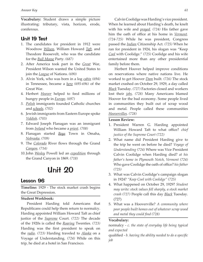**Vocabulary:** Student draws a simple picture illustrating: tributary, vista, horizon, erode, coniferous.

### Unit 19 Test

- 1. The candidates for president in 1912 were Woodrow *Wilson*, William Howard *Taft*, and Theodore Roosevelt, who was the candidate for the *Bull Moose* Party. *(687)*
- 2. After America took part in the *Great* War, President Wilson wanted the United States to join the *League* of Nations. *(690)*
- 3. Alvin York, who was born in a log *cabin (694)*  in Tennessee, became a *hero (695-696)* of the Great War.
- 4. Herbert *Hoover* helped to feed millions of hungry people in *Europe*. *(697)*
- *5. Polish* immigrants founded Catholic churches and *schools*. *(702)*
- 6. Jewish immigrants from Eastern Europe spoke *Yiddish*. *(703)*
- 7. Edward Joseph Flanagan was an immigrant from *Ireland* who became a *priest*. *(708)*
- 8. Flanagan started *Boys* Town in Omaha, *Nebraska*. *(709)*
- 9. The *Colorado* River flows through the Grand *Canyon*. *(714)*
- 10.John *Wesley* Powell led an *expedition* through the Grand Canyon in 1869. *(718)*

## Unit 20

#### Lesson 96

**Timeline:** 1929 - The stock market crash begins the Great Depression.

#### **Student Workbook:**

President Harding told Americans that Republicans could help them return to normalcy. Harding appointed William Howard Taft as chief justice of the *Supreme* Court*. (722)* The decade of the 1920s is called the *Roaring* Twenties*. (723)* Harding was the first president to speak on the *radio. (723)* Harding traveled to *Alaska* on a Voyage of Understanding. *(724)* While on this trip, he died at a hotel in San Francisco.

Calvin Coolidge was Harding's vice president. When he learned about Harding's death, he knelt with his wife and *prayed. (724)* His father gave him the oath of office at his home in *Vermont. (724-725)* While he was president, Congress passed the *Indian* Citizenship Act*. (725)* When he ran for president in 1924, his slogan was "Keep *Cool* with Coolidge." *(725)* Coolidge and his wife entertained more than any other presidential family before them.

Herbert Hoover helped improve conditions on reservations where native nations live. He worked to get Hoover *Dam* built*. (726)* The stock market crashed on October 29, 1929, a day called *Black* Tuesday. *(727)* Factories closed and workers lost their *jobs. (728)* Many Americans blamed Hoover for the bad economy. Some people lived in communities they built out of scrap wood and metal. People called these communities *Hoovervilles. (728)*

#### **Lesson Review:**

- 1. President Warren G. Harding appointed William Howard Taft to what office? *chief justice of the Supreme Court (722)*
- 2. What name did President Harding give to the trip he went on before he died? *Voyage of Understanding (724)* Where was Vice President Calvin Coolidge when Harding died? *at his father's home in Plymouth Notch, Vermont (724)* Who gave Coolidge the oath of office? *his father (725)*
- 3. What was Calvin Coolidge's campaign slogan in 1924? *"Keep Cool with Coolidge" (725)*
- 4. What happened on October 29, 1929? *Student may write: stock values fell sharply, a stock market crash (727)* People call this day *Black* Tuesday. (727)
- 5. What was a Hooverville? *A community where poor people built homes out of whatever scrap wood and metal they could find (728)*

#### **Vocabulary:**

normalcy - *c. the state of everyday life being typical and expected*

qualified - *b. having the ability needed to do a specific job*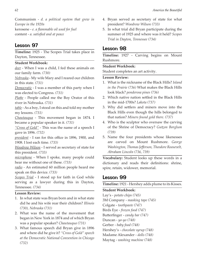Communism - *d. a political system that grew in Europe in the 1920s* kerosene - *e. a flammable oil used for fuel* content - *a. satisfied and at peace*

## Lesson 97

**Timeline:** 1925 - The Scopes Trial takes place in Dayton, Tennessee.

#### **Student Workbook:**

*deer* - When I was a child, I fed these animals on our family farm. *(730)*

*Nebraska* - My wife Mary and I reared our children in this state. *(731)*

*Democratic* - I was a member of this party when I was elected to Congress. *(731)*

*Platte* - People called me the Boy Orator of this river in Nebraska. *(731)*

*table* - As a boy, I stood on this and told my mother my lessons. *(731)*

*Chautauqua* - This movement began in 1874. I became a popular speaker in it. *(731)*

*"Cross of Gold"* - This was the name of a speech I gave in 1896. *(732)*

*president* - I ran for this office in 1896, 1900, and 1908. I lost each time. *(733)*

*Woodrow Wilson* - I served as secretary of state for this president. *(733)*

*microphone* - When I spoke, many people could hear me without one of these. *(733)*

*radio* - An estimated 60 million people heard me speak on this device. *(733)*

*Scopes Trial* - I stood up for faith in God while serving as a lawyer during this in Dayton, Tennessee. *(734)*

#### **Lesson Review:**

- 1. In what state was Bryan born and in what state did he and his wife rear their children? *Illinois (730), Nebraska (731)*
- 2. What was the name of the movement that began in New York in 1874 and of which Bryan was a popular speaker? *Chautauqua (731)*
- 3. What famous speech did Bryan give in 1896 and where did he give it? *"Cross of Gold" speech at the Democratic National Convention in Chicago (732)*
- 4. Bryan served as secretary of state for what president? *Woodrow Wilson (733)*
- 5. In what trial did Bryan participate during the summer of 1925 and where was it held? *Scopes Trial in Dayton, Tennessee (734)*

## Lesson 98

**Timeline:** 1927 - Carving begins on Mount Rushmore.

#### **Student Workbook:**

Student completes an art activity.

#### **Lesson Review:**

- 1. What is the nickname of the Black Hills? *Island in the Prairie (736)* What makes the Black Hills look black? *ponderosa pines (736)*
- 2. Which native nation settled in the Black Hills in the mid-1700s? *Lakota (737)*
- 3. Why did settlers and miners move into the Black Hills even though the hills belonged to that nation? *Miners found gold there. (737)*
- 4. Who is the sculptor who oversaw the carving of the Shrine of Democracy? *Gutzon Borglum (739)*
- 5. Name the four presidents whose likenesses are carved on Mount Rushmore. *George Washington, Thomas Jefferson, Theodore Roosevelt, Abraham Lincoln (736, 739)*

**Vocabulary:** Student looks up these words in a dictionary and reads their definitions: shrine, spire, retain, widower, memorial.

## Lesson 99

**Timeline:** 1921 - Hershey adds plume to its Kisses.

#### **Student Workbook:**

Lay's - *potato chips (745)* 3M Company - *masking tape (745)* Colgate - *toothpaste (747)* Birds Eye - *frozen food (747)* Butterfinger - *candy bar (747)* Duncan - *yo-yo (748)* Gerber - *baby food (748)* Hershey's - *chocolate syrup (748)* Madame Alexander - *dolls (748)*

Maytag - *washing machine (748)*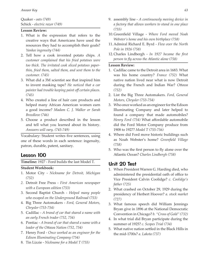*Answer Key 63*

Quaker - *oats (749)* Schick - *electric razor (749)*

#### **Lesson Review:**

- 1. What is the expression that refers to the creative ways that Americans have used the resources they had to accomplish their goals? *Yankee ingenuity (744)*
- 2. Tell how a cook invented potato chips. *A customer complained that his fried potatoes were too thick. The irritated cook sliced potatoes paperthin, fried them, salted them, and sent them to the customer. (745)*
- 3. What did a 3M scientist see that inspired him to invent masking tape? *He noticed that a car painter had trouble keeping paint off certain places. (745)*
- 4. Who created a line of hair care products and helped many African American women earn a good income? *Madam C. J. Walker or Sarah Breedlove (746)*
- 5. Choose a product described in the lesson and tell what you learned about its history. *Answers will vary. (745-749)*

Vocabulary: Student writes five sentences, using one of these words in each sentence: ingenuity, patron, durable, patent, sanitary.

## Lesson 100

**Timeline:** 1927 - Ford builds the last Model T.

#### **Student Workbook:**

- 1. Motor City *Nickname for Detroit, Michigan (752)*
- *2.* Detroit Free Press *First American newspaper with a European edition (753)*
- 3. Second Baptist Church *Helped many people who escaped on the Underground Railroad (753)*
- 4. Big Three Automakers *Ford, General Motors, Chrysler (753-754)*
- 5. Cadillac *A brand of car that shared a name with an early French trader (752, 754)*
- 6. Pontiac *A brand of car that shared a name with a leader of the Ottawa Nation (752, 754)*
- 7. Henry Ford *Once worked as an engineer for the Edison Illuminating Company (754)*
- 8. Tin Lizzie *Nickname for a Model T (755)*
- 9. assembly line *A continuously moving device in a factory that allows workers to stand in one place (755)*
- 10.Greenfield Village *Where Ford moved Noah Webster's home and his own birthplace (758)*
- 11.Admiral Richard E. Byrd *Flew over the North Pole in 1926 (758)*
- 12.Charles Lindbergh *In 1927 became the first person to fly across the Atlantic alone (758)*

#### **Lesson Review:**

- 1. Cadillac came to the Detroit area in 1683. What was his home country? *France (752)* What native nation lived near what is now Detroit during the French and Indian War? *Ottawa (752)*
- 2. List the Big Three Automakers. *Ford, General Motors, Chrysler (753-754)*
- 3. Who once worked as an engineer for the Edison Illuminating Company and later helped to found a company that made automobiles? *Henry Ford (754)* What affordable automobile did the Ford Motor Company produce from 1908 to 1927? *Model T (755-756)*
- 4. Where did Ford move historic buildings such as Noah Webster's home? *Greenfield Village (758)*
- 5. Who was the first person to fly alone over the Atlantic Ocean? *Charles Lindbergh (758)*

## Unit 20 Test

- 1. When President Warren G. Harding died, who administered the presidential oath of office to Vice President Calvin Coolidge? *c. Coolidge's father (725)*
- 2. What crashed on October 29, 1929 during the presidency of Herbert Hoover? *a. stock market (727)*
- 3. What famous speech did William Jennings Bryan give in 1896 at the National Democratic Convention in Chicago? *b. "Cross of Gold" (732)*
- 4. In what trial did Bryan participate during the summer of 1925? *c. Scopes Trial (734)*
- 5. What native nation settled in the Black Hills in the mid-1700s? *a. Lakota (737)*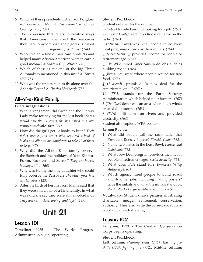- 6. Which of these presidents did Gutzon Borglum *not* carve on Mount Rushmore? *b. Calvin Coolidge (736, 739)*
- 7. The expression that refers to creative ways that Americans have used the resources they had to accomplish their goals is called \_\_\_\_\_\_\_\_\_\_\_\_\_\_\_\_ ingenuity. *a. Yankee (744)*
- 8. Who created a line of hair care products and helped many African American women earn a good income? *b. Madam C. J. Walker (746)*
- 9. Which of these is *not* one of the Big Three Automakers mentioned in this unit? *b. Toyota (753-754)*
- 10.Who was the first person to fly alone over the Atlantic Ocean? *a. Charles Lindbergh (758)*

## All-of-a-Kind Family

#### **Literature Questions**

- 1. What arrangement did Sarah and the Library Lady make for paying for the lost book? *Sarah would pay the 17 cents she had saved and one penny a week after that. (21)*
- 2. How did the girls get 12 books to keep? *Their father was a junk dealer who acquired a load of books and allowed his daughters to take 12 of them to keep. (47)*
- 3. Why did the All-of-a-Kind family observe the Sabbath and the holidays of Yom Kippur, Purim, Passover, and Succos? *They are Jewish holidays. (114, 166)*
- 4. Why was Henny the only daughter who could fully observe the Passover? *The other girls had scarlet fever. (123)*
- 5. After the birth of her first son, Mama said that they were still an all-of-a-kind family. In what ways did she say they were still all-of-a-kind? *They were still close, loving, and loyal. (189)*

## Unit 21

## Lesson 101

**Timeline:** 1935 - The Works Progress Administration begins operating.

#### **Student Workbook:**

Student only writes the number.

*5 (Hobos)* traveled around looking for a job. *(763)*

*2 (Fireside Chats)* were talks Roosevelt gave on the radio. *(762)*

*6 (Alphabet Soup)* was what people called New Deal programs known by their initials. *(764)*

*7 (Social Security)* provides income for people of retirement age. *(764)*

*9 (The WPA)* hired Americans to do jobs, such as building roads. *(765)*

*4* (*Breadlines)* were where people waited for free food. *(763)*

*1* (*Roosevelt)* promised "a new deal for the American people." *(762)*

*10* (*FSA)* stands for the Farm Security Administration which helped poor farmers. *(767) 3* (*The Dust Bowl)* was an area where high winds created dust storms. *(763)*

*8* (*TVA)* built dams on rivers and provided electricity. *(764)*

Student also copies a WPA poster.

#### **Lesson Review:**

- 1. What did people call the radio talks that President Roosevelt gave? *Fireside Chats (762)*
- 2. Name two states in the Dust Bowl. *Kansas and Oklahoma (763)*
- 3. What New Deal program provides income for people of retirement age? *Social Security (764)*
- 4. What does TVA stand for? *Tennessee Valley Authority (764)*
- 5. Which agency hired people to build roads and do other jobs, including making posters? Give the initials and what the initials stand for. *WPA, Works Progress Administration (765)*

**Vocabulary:** Student draws pictures illustrating charitable, meager, retirement, conservation, authority. They also write the correct vocabulary word under each drawing.

## Lesson 102

**Timeline:** 1933 - The Civilian Conservation Corps begins operating.

#### **Student Workbook:**

**Left column:** *cleaning seeds (776), learning job skills (774), fighting fire (772);* **Middle column:**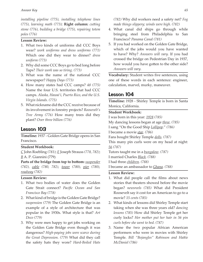*installing pipeline (775), installing telephone lines (775), learning math (773);* **Right column:** *cutting stone (776), building a bridge (775), repairing totem poles (776)*

#### **Lesson Review:**

- 1. What two kinds of uniforms did CCC Boys wear? *work uniforms and dress uniforms (771)*  Which one did they wear to dinner? *dress uniform (773)*
- 2. Why did some CCC Boys go to bed long before Taps? *Their work was so tiring. (773)*
- 3. What was the name of the national CCC newspaper? *Happy Days (773)*
- 4. How many states had CCC camps? *48 (775)*  Name the four U.S. territories that had CCC camps. *Alaska, Hawai'i, Puerto Rico, and the U.S. Virgin Islands. (775)*
- 5. What nickname did the CCC receive because of its involvement in forestry projects? *Roosevelt's Tree Army (776)* How many trees did they plant? *Over three billion (776)*

### Lesson 103

**Timeline:** 1937 - Golden Gate Bridge opens in San Francisco.

#### **Student Workbook:**

*C* John Roebling *(781)*; *E* Joseph Strauss *(778, 782)*; *B* A. P. Giannini (779)

**Parts of the bridge from top to bottom:** *suspender (782), cable (780, 782), tower (780), pier (780), roadway (782)*

#### **Lesson Review:**

- 1. What two bodies of water does the Golden Gate Strait connect? *Pacific Ocean and San Francisco Bay (778)*
- 2. What kind of bridge is the Golden Gate Bridge? *suspension (779)* The Golden Gate Bridge is an example of a style of architecture that was popular in the 1930s. What style is that? *Art Deco (779)*
- 3. Why were men happy to get jobs working on the Golden Gate Bridge even though it was dangerous? *High-paying jobs were scarce during the Great Depression. (779)* What did they call the safety hats they wore? *Hard-Boiled Hats*

*(782)* Why did workers need a safety net? *Fog made things slippery; winds were high. (782)*

- 4. What canal did ships go through while bringing steel from Philadelphia to San Francisco? *Panama Canal (781)*
- 5. If you had worked on the Golden Gate Bridge, which of the jobs would you have wanted to have? Why? *Answers will vary.* If you had crossed the bridge on Pedestrian Day in 1937, how would you have gotten to the other side? *Answers will vary.*

**Vocabulary:** Student writes five sentences, using one of these words in each sentence: engineer, calculation, marvel, murky, maneuver.

## Lesson 104

**Timeline:** 1928 - Shirley Temple is born in Santa Monica, California.

#### **Student Workbook:**

I was born in this year: *1928 (785)* My dancing lessons began at age *three*. *(785)* I sang "On the Good Ship *Lollipop*." *(786)* I became a movie *star. (786)* Fans bought Shirley Temple *dolls. (787)* This many pin curls were on my head at night: *56 (787)*

Tutors taught me in a *bungalow. (787)* I married Charles *Black. (788)*

I had three *children. (788)*

I became an ambassador to *Ghana. (788)*

- 1. What did people call the films about news stories that theaters showed before the movie began? *newsreels (785)* What did President Roosevelt say it cost for an American to go to a movie? *15 cents (785)*
- 2. What kinds of lessons did Shirley Temple start taking when she was three years old? *dancing lessons (785)* How did Shirley Temple get her curly locks? *Her mother put her hair in 56 pin curls before she went to bed. (787)*
- 3. Name the two popular African American performers who were in movies with Shirley Temple. *Bill "Bojangles" Robinson and Hattie McDaniel (786)*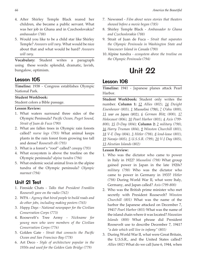- 4. After Shirley Temple Black reared her children, she became a public servant. What was her job in Ghana and in Czechoslovakia? *ambassador (788)*
- 5. Would you like to be a child star like Shirley Temple? *Answers will vary.* What would be nice about that and what would be hard? *Answers will vary.*

**Vocabulary:** Student writes a paragraph using these words: splendid, dramatic, lavish, bungalow, optimism.

## Lesson 105

**Timeline:** 1938 - Congress establishes Olympic National Park.

#### **Student Workbook:**

Student colors a Bible passage.

#### **Lesson Review:**

- 1. What waters surround three sides of the Olympic Peninsula? *Pacific Ocean, Puget Sound, Strait of Juan de Fuca (790)*
- 2. What are fallen trees in Olympic rain forests called? *nurse logs (793)* What animal keeps plants in the rain forest from growing too tall and dense? *Roosevelt elk (793)*
- 3. What is a forest's "roof" called? *canopy (793)*
- 4. What ecosystem is above the treeline on the Olympic peninsula? *alpine tundra (794)*
- 5. What endemic social animal lives in the alpine tundra of the Olympic peninsula? *Olympic marmot (794)*

## Unit 21 Test

- 1. Fireside Chats *Talks that President Franklin Roosevelt gave on the radio (762)*
- 2. WPA *Agency that hired people to build roads and do other jobs, including making posters (765)*
- 3. *Happy Days National newspaper for the Civilian Conservation Corps (773)*
- 4. Roosevelt's Tree Army *Nickname for young men who were members of the Civilian Conservation Corps (776)*
- 5. Golden Gate *Strait that connects the Pacific Ocean and San Francisco Bay (778)*
- 6. Art Deco *Style of architecture popular in the 1930s and used for the Golden Gate Bridge (779)*
- 7. Newsreel *Film about news stories that theaters showed before a movie began (785)*
- 8. Shirley Temple Black *Ambassador to Ghana and Czechoslovakia (788)*
- 9. Strait of Juan de Fuca *Strait that separates the Olympic Peninsula in Washington State and Vancouver Island in Canada (790)*
- 10.Alpine tundra  *ecosystem above the treeline on the Olympic Peninsula (794)*

## Unit 22

### Lesson 106

**Timeline:** 1941 - Japanese planes attack Pearl Harbor.

**Student Workbook:** Student only writes the number. **Column 1:** *12 Allies (802), 14 Dwight Eisenhower (803), 1 Mussolini (798), 7 O'ahu (800), 11 6 German Blitz (800), 17 Holocaust (806), 10 Pearl Harbor (801), 4 Axis (799- 800), 15 D-Day (804);* **Column 2:** *2 military (798), 16 Harry Truman (804), 9 Winston Churchill (801), 18 V-E Day (804), 3 Hitler (798), 8 lend-lease (801), 19 Navajo (805), 5 U.S.S.R. (799), 20 V-J Day (805), 13 Aleutian Islands (802)*

- 1. Who was the dictator who came to power in Italy in 1922? *Mussolini (798)* What group gained power in Japan in the late 1920s? *military (798)* Who was the dictator who came to power in Germany in 1933? *Hitler (798)* During World War II, what were Italy, Germany, and Japan called? *Axis (799-800)*
- 2. Who was the British prime minister who met secretly with President Roosevelt? *Winston Churchill (801)* What was the name of the harbor the Japanese attacked on December 7, 1941? *Pearl Harbor (801)* What was the name of the island chain where it was located? *Hawaiian Islands (800)* What phrase did President Roosevelt use to describe December 7, 1941? *"a date which will live in infamy" (801)*
- 3. During World War II, what were Great Britain, the U.S.S.R., and the United States called? *Allies (802)* What do we call June 6, 1944, when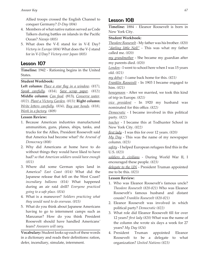Allied troops crossed the English Channel to conquer Germany? *D-Day (804)*

- 4. Members of what native nation served as Code Talkers during battles on islands in the Pacific Ocean? *Navajo (805)*
- 5. What does the V-E stand for in V-E Day? *Victory in Europe (804)* What does the V-J stand for in V-J Day? *Victory over Japan (805)*

## Lesson 107

**Timeline:** 1942 - Rationing begins in the United States.

#### **Student Workbook:**

**Left column:** *Place a star flag in a window. (817), Speak carefully. (814), Save scrap paper. (812);*  **Middle column:** *Can food.* (813), *Conserve water. (812), Plant a Victory Garden. (813);* **Right column:** *Write letters carefully. (814), Buy war bonds. (818), Work in a factory. (809)*

#### **Lesson Review:**

- 1. Because American industries manufactured ammunition, guns, planes, ships, tanks, and trucks for the Allies, President Roosevelt said that America had become what? *the Arsenal of Democracy (808)*
- 2. Why did Americans at home have to do without things they would have liked to have had? *so that American soldiers would have enough (811)*
- 3. Where did some German spies land in America? *East Coast (814)* What did the Japanese release that fell on the West Coast? *incendiary balloons (814)* What happened during an air raid drill? *Everyone practiced going to a safe place. (814)*
- 4. What is a maneuver? *Soldiers practicing what they would need to do overseas. (815)*
- 5. What do you think about Japanese Americans having to go to internment camps such as Manzanar? How do you think President Roosevelt should have handled Americans*'*  fears? *Answers will vary.*

**Vocabulary:** Student looks up each of these words in a dictionary and reads their definitions: ration, defer, incendiary, simulate, internment.

## Lesson 108

**Timeline:** 1884 - Eleanor Roosevelt is born in New York City.

#### **Student Workbook:**

*Theodore Roosevelt* - My father was his brother. *(820) "darling little Nell"* - This was what my father called me. *(820)*

*my grandmother* - She became my guardian after my parents died. *(820)*

*London* - I went to school here when I was 15 years old. *(821)*

*my debut* - I came back home for this. *(821)*

*Franklin Roosevelt* - In 1903 I became engaged to him. *(821)*

*honeymoon* - After we married, we took this kind of trip in Europe. *(821)*

*vice president* - In 1920 my husband was nominated for this office. *(822)*

*Democratic* - I became involved in this political party. *(822)*

*teacher* - I became this at Todhunter School in New York City. *(822)*

*first lady* - I was this for over 12 years. *(820)*

*My Day* - This was the name of my newspaper column. *(823)*

*safety* - I helped European refugees find this in the U.S. *(823)*

*soldiers & civilians* - During World War II, I encouraged these people. *(823)*

*delegate to the UN* - President Truman appointed me to be this. *(823)*

- 1. Who was Eleanor Roosevelt's famous uncle? *Theodore Roosevelt (820-821)* Who was Eleanor Roosevelt's famous husband and distant cousin? *Franklin Roosevelt (820-821)*
- 2. Eleanor Roosevelt was involved in which political party? *Democratic (822)*
- 3. What role did Eleanor Roosevelt fill for over 12 years? *first lady (820)* What was the name of the column she wrote six days a week for 27 years? *My Day (824)*
- 4. President Truman appointed Eleanor Roosevelt to be a delegate to what organization? *United Nations (823)*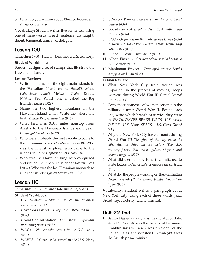5. What do you admire about Eleanor Roosevelt? *Answers will vary.*

**Vocabulary:** Student writes five sentences, using one of these words in each sentence: distraught, debut, tenement, alumnae, delegate.

## Lesson 109

**Timeline:** 1900 - Hawai'i becomes a U.S. territory.

#### **Student Workbook:**

Student designs a set of stamps that illustrate the Hawaiian Islands.

#### **Lesson Review:**

- 1. Write the names of the eight main islands in the Hawaiian Island chain. *Hawai'i, Maui, Kaho'olawe, Lana'i, Moloka'i, O'ahu, Kaua'i, Ni'ihau (826)* Which one is called the Big Island? *Hawai'i (826)*
- 2. Name the two highest mountains in the Hawaiian Island chain. Write the tallest one first. *Mauna Kea, Mauna Loa (828)*
- 3. What bird flies 3,000 miles nonstop from Alaska to the Hawaiian Islands each year? *Pacific golden plover (829)*
- 4. Who were probably the first people to come to the Hawaiian Islands? *Polynesians (830)* Who was the English explorer who came to the islands in 1778? *Captain James Cook (830)*
- 5. Who was the Hawaiian king who conquered and united the inhabited islands? *Kamehameha I (831)* Who was the last Hawaiian monarch to rule the islands? *Queen Lili'uokalani (831)*

## Lesson 110

**Timeline:** 1931 - Empire State Building opens.

#### **Student Workbook:**

- 1. USS *Missouri Ship on which the Japanese surrendered. (832)*
- 2. Governors Island *Troops were stationed there. (832)*
- 3. Grand Central Station *Train station important in moving troops (833)*
- 4. WACs *Women who served in the U.S. Army (834)*
- 5. WAVES *Women who served in the U.S. Navy (834)*
- 6. SPARS *Women who served in the U.S. Coast Guard (834)*
- 7. Broadway *A street in New York with many theaters (834)*
- 8. USO *Organization that entertained troops (834)*
- 9. dimout *Used to keep Germans from seeing ship silhouettes (835)*
- 10. U-boat *German submarine (835)*
- 11. Albert Einstein *German scientist who became a U.S. citizen (836)*
- 12. Manhattan Project *Developed atomic bombs dropped on Japan (836)*

#### **Lesson Review:**

- 1. What New York City train station was important in the process of moving troops overseas during World War II? *Grand Central Station (833)*
- 2. Copy these branches of women serving in the military during World War II. Beside each one, write which branch of service they were in: WACs, WAVES, SPARS. *WACS - U.S. Army, WAVES - U.S. Navy, SPARS - U.S. Coast Guard (834)*
- 3. Why did New York City have dimouts during World War II? *The glow of the city made the silhouettes of ships offshore visible. The U.S. military feared that these offshore ships would become targets. (835)*
- 4. What did German spy Ernest Lehmitz use to write letters to America's enemies? *invisible ink (835)*
- 5. What did the people working on the Manhattan Project develop? *the atomic bombs dropped on Japan (836)*

**Vocabulary:** Student writes a paragraph about New York City, using each of these words: jazz, Broadway, celebrity, talent, musical.

## Unit 22 Test

1. Benito *Mussolini (798)* was the dictator of Italy, Adolf *Hitler (798)* was the dictator of Germany, Franklin *Roosevelt (801)* was president of the United States, and Winston *Churchill (801)* was the British prime minister.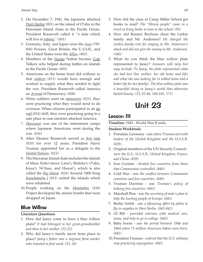- 2. On December 7, 1941, the Japanese attacked *Pearl Harbor (801)* on the island of O'ahu in the Hawaiian Island chain in the Pacific Ocean. President Roosevelt called it "a date which will live in *infamy*." *(801)*
- 3. Germany, Italy, and Japan were the *Axis (799- 800)* Powers. Great Britain, the U.S.S.R., and the United States were the *Allies. (802)*
- 4. Members of the *Navajo* Nation became *Code* Talkers who helped during battles on islands in the Pacific Ocean. *(805)*
- 5. Americans on the home front did without so that *soldiers (811)* would have enough and worked to supply what they needed to fight the war. President Roosevelt called America an *Arsenal* of Democracy. *(808)*
- 6. When soldiers went on *maneuvers (815)*, they were practicing what they would need to do overseas. When citizens participated in an *air raid (814)* drill, they were practicing going to a safe place in case enemies attacked America.
- *7. Manzanar* was one of the internment camps where Japanese Americans went during the war. *(816)*
- 8. After Eleanor Roosevelt served as *first lady (820)* for over 12 years, President Harry Truman appointed her as a delegate to the *United Nations. (823)*
- 9. The Hawaiian Island chain includes the islands of Maui, Kaho'olawe, Lana'i, Moloka'i, O'ahu, Kaua'i, Ni'ihau, and Hawai'i, which is also called the *Big Island. (826)* Around 1800 King *Kamehameha I (831)* united the islands which were inhabited.
- 10.People working on the *Manhattan (836)*  Project developed the atomic bombs that were dropped on Japan.

## Blue Willow

#### **Literature Questions**

- 1. How did Janey come to have a blue willow plate? *It had belonged to her great-grandmother and then to her mother. (22-23)*
- 2. Why did Janey's family move from place to place? *Janey's father was a migrant farm worker who traveled to find work. (33, 38)*
- 3. How did the class at Camp Miller School get books to read? *The "library people" came in a truck to bring books to loan to the school. (95)*
- 4. How did Bounce Reyburn cheat the Larkin family and Mr. Anderson? *He charged the Larkin family rent for staying in Mr. Anderson's shack and did not give the money to Mr. Anderson. (140)*
- 5. What do you think the blue willow plate represented to Janey? *Answers will vary but may include: To Janey, the plate represented what she had lost (her mother, her old home and life) and what she was looking for (a settled home and a better life for her family). The blue willow plate was a beautiful thing in Janey's world that otherwise lacked beauty. (23, 81-84, 140-141, 171)*

# Unit 23

## Lesson 111

**Timeline:** 1945 - World War II ends.

#### **Student Workbook:**

- 1. Potsdam, Germany *was where Truman met with leaders of the United Kingdom and the U.S.S.R. (839)*
- 2. Original members of the UN Security Council *were the U.S., U.S.S.R., United Kingdom, France, and China. (839)*
- 3. Iron Curtain *divided free countries from those that Communists controlled. (840)*
- 4. Cold War *was the conflict between Communist countries and free countries. (840)*
- 5. Truman Doctrine *was Truman's policy of helping free countries. (841)*
- 6. Marshall Plan *was the secretary of state's plan to help the hurting people of Europe. (841)*
- 7. Berlin Airlift *was a lifesaving effort by pilots to fly in supplies to West Berlin. (841-842)*
- 8. GI Bill *provided veterans with medical care, loans, and help to go to college. (842)*
- 9. Baby boom *was the period between 1946 and 1964 when 75 million American babies were born. (842)*
- 10.President Truman *ordered that the U.S. military stop practicing segregation. (843)*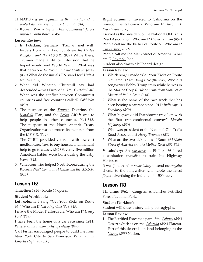- 11.NATO *is an organization that was formed to protect its members from the U.S.S.R. (844)*
- 12.Korean War *began when Communist forces invaded South Korea. (845)*

#### **Lesson Review:**

- 1. In Potsdam, Germany, Truman met with leaders from what two countries? *the United Kingdom and the U.S.S.R. (839)* While there, Truman made a difficult decision that he hoped would end World War II. What was that decision? *to drop an atomic bomb on Japan (839)* What do the initials UN stand for? *United Nations (839)*
- 2. What did Winston Churchill say had descended across Europe? *an Iron Curtain (840)*  What was the conflict between Communist countries and free countries called? *Cold War (840)*
- 3. The purpose of the *Truman* Doctrine, the *Marshall* Plan, and the *Berlin* Airlift was to help people in other countries. *(841-842)*  The purpose of the North Atlantic Treaty Organization was to protect its members from the *U.S.S.R. (844)*
- 4. The GI Bill provided veterans with low-cost medical care, *loans* to buy houses, and financial help to go to *college*. *(842)* Seventy-five million American babies were born during the baby *boom*. *(842)*
- 5. What countries helped North Korea during the Korean War? *Communist China and the U.S.S.R. (845)*

## Lesson 112

**Timeline:** 1926 - Route 66 opens.

#### **Student Workbook:**

**Left column:** I sang "Get Your Kicks on Route 66." Who am I? *Nat King Cole (848-849)*

I made the Model T affordable. Who am I? *Henry Ford (849)*

I have been the home of a car race since 1911. Where am I? *Indianapolis Speedway (849)* 

Carl Fisher encouraged people to build me from New York City to San Francisco. What am I? *Lincoln Highway (850)*

**Right column:** I traveled to California on the transcontinental convoy. Who am I? *Dwight D. Eisenhower (850)*

I served as the president of the National Old Trails Road Association. Who am I? *Harry Truman (851)* People call me the Father of Route 66. Who am I? *Cyrus Avery (852)*

People call me the Main Street of America. What am I? *Route 66 (852)*

*S*tudent also draws a billboard design.

#### **Lesson Review:**

- 1. Which singer made "Get Your Kicks on Route 66" famous? *Nat King Cole (848-849)* Who did songwriter Bobby Troup train while he was in the Marine Corps? *African American Marines at Montford Point Camp (848)*
- 2. What is the name of the race track that has been hosting a car race since 1911? *Indianapolis Speedway (849)*
- 3. What highway did Eisenhower travel on with the first transcontinental convoy? *Lincoln Highway (850)*
- 4. Who was president of the National Old Trails Road Association? *Harry Truman (851)*
- 5. What are the two nicknames of Route 66? *Main Street of America and the Mother Road (852-853)*

**Vocabulary:** An *executive* at Phillips 66 hired a sanitation *specialist* to train his Highway Hostesses.

It was Jonathan's *responsibility* to send out *royalty* checks to the songwriter who wrote the latest *jingle* advertising the Indianapolis 500 race.

## Lesson 113

**Timeline:** 1962 - Congress establishes Petrified Forest National Park.

#### **Student Workbook:**

Student will draw a story using petroglyphs.

#### **Lesson Review:**

1. The Petrified Forest is a part of the *Painted (858)* Desert which is on the *Colorado (858)* Plateau. Part of this desert is on land belonging to the *Navajo (858)* Nation.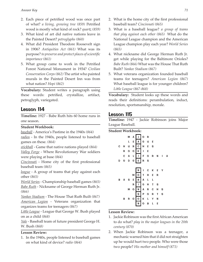- 2. Each piece of petrified wood was once part of what? *a living, growing tree (859)* Petrified wood is mostly what kind of rock? *quartz (859)*
- 3. What kind of art did native nations leave in the Painted Desert? *petroglyphs (860)*
- 4. What did President Theodore Roosevelt sign in 1906? *Antiquities Act (861)* What was its purpose? *to preserve and protect places of scientific importance (861)*
- 5. What group came to work in the Petrified Forest National Monument in 1934? *Civilian Conservation Corps (862)* The artist who painted murals in the Painted Desert Inn was from what nation? *Hopi (862)*

**Vocabulary:** Student writes a paragraph using these words: petrified, crystallize, artifact, petroglyph, variegated.

# Lesson 114

**Timeline:** 1927 - Babe Ruth hits 60 home runs in one season.

### **Student Workbook:**

*baseball* - America's Pastime in the 1940s *(864)*

*radios* - In the 1940s, people listened to baseball games on these. *(864)*

*stickball* - Game that native nations played *(864)*

*Valley Forge* - Where Revolutionary War soldiers were playing at base *(864)*

*Cincinnati* - Home city of the first professional baseball team *(865)*

*league* - A group of teams that play against each other *(865)*

*World Series* - Championship baseball games *(865) Babe Ruth* - Nickname of George Herman Ruth Jr. *(866)*

*Yankee Stadium* - The House That Ruth Built *(867) American Legion* - Veterans organization that organizes teams for teenagers *(867)* 

*Little League* - League that George W. Bush played on as a child *(868)*

*Yale* - Baseball team of future president George H. W. Bush *(868)*

### **Lesson Review:**

1. In the 1940s, people listened to baseball games on what kind of device? *radio (864)*

- 2. What is the home city of the first professional baseball team? *Cincinnati (865)*
- 3. What is a baseball league? *a group of teams that play against each other (865)* What do the National League champion and the American League champion play each year? *World Series (865)*
- 4. What nickname did George Herman Ruth Jr. get while playing for the Baltimore Orioles? *Babe Ruth (866)* What was the House That Ruth Built? *Yankee Stadium (867)*
- 5. What veterans organization founded baseball teams for teenagers? *American Legion (867)*  What baseball league is for younger children? *Little League (867-868)*

**Vocabulary:** Student looks up these words and reads their definitions: perambulation, induct, resolution, sportsmanship, morale.

### Lesson 115

**Timeline:** 1947 - Jackie Robinson joins Major League Baseball.

**Student Workbook:**

|   |   | М           | A            |             | 0 R         |   |   |   |   |   |
|---|---|-------------|--------------|-------------|-------------|---|---|---|---|---|
|   |   | L           | E            | A           | G           | U | E |   |   |   |
| c | н | U           | R            | C           | H           | E | S |   |   |   |
|   | R | $\mathbf 0$ | $\mathbf{o}$ | K           | I           | E |   |   |   |   |
|   | C | A           | L            | I           | F.          | 0 | R | N | ı | А |
| D | O | D           | G            | E           | R           | S |   |   |   |   |
|   |   |             |              |             |             |   |   |   |   |   |
|   |   |             |              | R           | I           | C | K | E | Y |   |
|   |   |             | Μ            | $\mathbf 0$ | T           | Н | E | R |   |   |
| В | A | g           | E            | В           | A           | L | L |   |   |   |
|   |   |             | R            | I           | G           | н | T | 8 |   |   |
|   |   | М           | 0            | N           | A           | R | C | н | S |   |
|   |   |             |              | S           | P           | 0 | R | T | S |   |
|   | В | R           | 0            | 0           | K           | L | Υ | N |   |   |
|   |   |             |              | N           | $\mathbf 0$ | В | L | E |   |   |
|   |   |             |              |             |             |   |   |   |   |   |

- 1. Jackie Robinson was the first African American to do what? *play in the major leagues in the 20th century (870)*
- 2. When Jackie Robinson was a teenager, a mechanic warned him that if did not straighten up he would hurt two people. Who were those two people? *His mother and himself (871)*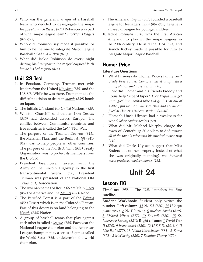- 3. Who was the general manager of a baseball team who decided to desegregate the major leagues? *Branch Rickey (871)* Robinson was part of what major league team? *Brooklyn Dodgers (871-872)*
- 4. Who did Robinson say made it possible for him to be the one to integrate Major League Baseball? *God and Rickey (873)*
- 5. What did Jackie Robinson do every night during his first year in the major leagues? *knelt beside his bed to pray (874)*

# Unit 23 Test

- 1. In Potsdam, Germany, Truman met with leaders from the United *Kingdom (839)* and the U.S.S.R. While he was there, Truman made the difficult decision to drop an *atomic (839)* bomb on Japan.
- 2. The initials UN stand for *United* Nations. *(839)*
- 3. Winston Churchill said that an Iron *Curtain (840)* had descended across Europe. The conflict between Communist countries and free countries is called the *Cold (840)* War.
- 4. The purpose of the Truman *Doctrine (841)*, the Marshall Plan, and the Berlin *Airlift* (841- 842) was to help people in other countries. The purpose of the North *Atlantic (844)* Treaty Organization was to protect its members from the U.S.S.R.
- 5. President Eisenhower traveled with the Army on the Lincoln Highway in the first transcontinental *convoy. (850)* President Truman was president of the National Old *Trails (851)* Association.
- 6. The two nicknames of Route 66 are Main *Street (852)* of America and the *Mother (853)* Road.
- 7. The Petrified Forest is a part of the *Painted (858)* Desert which is on the Colorado Plateau. Part of this desert is on land belonging to the *Navajo (858)* Nation.
- 8. A group of baseball teams that play against each other is called a *league. (865)* Each year the National League champion and the American League champion play a series of games called the World *Series (865)* to determine the world champion.
- 9. The American *Legion (867)* founded a baseball league for teenagers. *Little (867-868)* League is a baseball league for younger children.
- 10.Jackie *Robinson (870)* was the first African American to play in the major leagues in the 20th century. He said that *God (873)* and Branch Rickey made it possible for him to integrate Major League Baseball.

# Homer Price

### **Literature Questions**

- 1. What business did Homer Price's family run? *Shady Rest Tourist Camp, a tourist camp with a filling station and a restaurant. (10)*
- 2. How did Homer and his friends Freddy and Louis help Super-Duper? *They helped him get untangled from barbed wire and get his car out of a ditch, put iodine on his scratches, and got his car fixed at Homer's father's station. (45-46)*
- 3. Homer's Uncle Ulysses had a weakness for what? *labor-saving devices (50)*
- 4. What did Mr. Michael Murphy charge the town of Centerburg 30 dollars to do? *remove all of the town's mice with his musical mouse trap (110)*
- 5. What did Uncle Ulysses suggest that Miss Enders put on her property instead of what she was originally planning? *one hundred mass-produced modern homes (133)*

# Unit 24

# Lesson 116

**Timeline:** 1958 - The U.S. launches its first satellite.

**Student Workbook:** Student only writes the number. **Left column:** *11 NASA (880), 14 U-2 spy plane (881), 2 NATO (876), 6 nuclear bombs (879), 3 Richard Nixon (877), 10 Sputnik (880), 15 St. Lawrence Seaway (881);* **Right column:** *1 World War II (876), 9 heart attack (880), 12 U.S.S.R. (881), 4 "I Like Ike" (877), 13 Nikita Khrushchev (881), 5 Korea (878), 8 McCarthy (880), 7 Domino Theory (879)*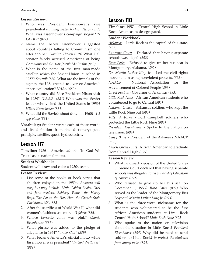#### **Lesson Review:**

- 1. Who was President Eisenhower's vice presidential running mate? *Richard Nixon (877)*  What was Eisenhower's campaign slogan? *"I Like Ike" (877)*
- 2. Name the theory Eisenhower suggested about countries falling to Communism one after another. *Domino Theory (879)* What U.S. senator falsely accused Americans of being Communists? *Senator Joseph McCarthy (880)*
- 3. What is the name of the first man-made satellite which the Soviet Union launched in 1957? *Sputnik (880)* What are the initials of the agency the U.S. created to oversee America's space exploration? *NASA (880)*
- 4. What country did Vice President Nixon visit in 1959? *U.S.S.R. (881)* Who was the Soviet leader who visited the United States in 1959? *Nikita Khrushchev (881)*
- 5. What did the Soviets shoot down in 1960? *U-2 spy plane (881)*

**Vocabulary:** Student writes each of these words and its definition from the dictionary: jute, principle, satellite, quest, hydroelectric.

# Lesson 117

**Timeline:** 1956 - America adopts "In God We Trust" as its national motto.

#### **Student Workbook:**

Student will draw and color a 1950s scene.

#### **Lesson Review:**

- 1. List some of the books or book series that children enjoyed in the 1950s. *Answers will vary but may include: Little Golden Books, Dick and Jane readers, Bobbsey Twins, the Hardy Boys, The Cat in the Hat, How the Grinch Stole Christmas. (884-885)*
- 2. After the sacrifices of World War II, what did women's fashions use more of? *fabric (886)*
- 3. Whose favorite color was pink? *Mamie Eisenhower (887)*
- 4. What phrase was added to the pledge of allegiance in 1954? *"under God" (889)*
- 5. What became America's official motto while Eisenhower was president? *"In God We Trust" (889)*

# Lesson 118

**Timeline:** 1957 - Central High School in Little Rock, Arkansas, is desegregated.

### **Student Workbook:**

*Arkansas* - Little Rock is the capital of this state. *(892)*

*Supreme Court* - Declared that having separate schools was illegal. *(892)*

*Rosa Parks* - Refused to give up her bus seat in Montgomery, Alabama. *(892)*

*Dr. Martin Luther King Jr.* - Led the civil rights movement in using nonviolent protests. *(893)*

*NAACP* - National Association for the Advancement of Colored People *(893)*

*Orval Faubus* - Governor of Arkansas *(893)*

*Little Rock Nine* - African American students who volunteered to go to Central *(893)*

*National Guard* - Arkansas soldiers who kept the Little Rock Nine out *(894)*

*101st Airborne* - Fort Campbell soldiers who protected the Little Rock Nine *(894)*

*President Eisenhower* - Spoke to the nation on television. *(894)*

*Daisy Bates* - President of the Arkansas NAACP (*895)*

*Ernest Green* - First African American to graduate from Central High *(895)*

- 1. What landmark decision of the United States Supreme Court declared that having separate schools was illegal? *Brown v. Board of Education of Topeka (892)*
- 2. Who refused to give up her bus seat on December 1, 1955? *Rosa Parks (892)* Who served as the leader of the Montgomery Bus Boycott? *Martin Luther King Jr. (893)*
- 3. What is the three-word nickname for the students who volunteered to be the first African American students at Little Rock Central High School? *Little Rock Nine (893)*
- 4. Who spoke to the nation on television about the situation in Little Rock? *President Eisenhower (894)* Why did he need to send soldiers to Little Rock? *to protect the students from angry mobs (894)*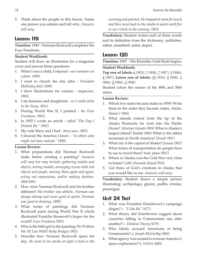5. Think about the people in this lesson. Name one person you admire and tell why. *Answers will vary.*

# Lesson 119

**Timeline:** 1943 - Norman Rockwell completes the Four Freedoms.

### **Student Workbook:**

Student will draw an illustration for a magazine cover and answer these questions:

- 1. When I was a child, I enjoyed *our summers on a farm. (899)*
- 2. I went to church the day after *President McKinley died. (899)*
- 3. I drew illustrations for various - *magazines. (900)*
- 4. I ate bananas and doughnuts *so I could enlist in the Navy. (901)*
- 5. During World War II, I painted *the Four Freedoms. (901)*
- 6. In 1952 I wrote an article *called "The Day I Painted Ike." (902)*
- 7. My wife Mary and I had *three sons. (902)*
- 8. I showed the America I knew *"to others who might not have noticed." (898)*

### **Lesson Review:**

- 1. What preparations did Norman Rockwell make before creating a painting? *Answers will vary but may include: gathering models and objects, testing models, arranging scenes with real objects and people, moving them again and again, acting out expressions, and/or making sketches. (898-899)*
- 2. How were Norman Rockwell and his brother different? *His brother was athletic. Norman was always skinny and never good at sports. Norman was good at drawing. (899)*
- 3. What series of paintings did Norman Rockwell paint during World War II which illustrated Franklin Roosevelt's hopes for the world? *Four Freedoms (901)*
- 4. Who is the little girl in the painting *The Problem We All Live With*? *Ruby Bridges (902)*
- 5. Describe how Norman Rockwell spent his day. *He went to his studio at eight o'clock in the*

*morning and painted. He stopped at noon for lunch and then went back to the studio to paint until five or six o'clock in the evening. (903)*

**Vocabulary:** Student writes each of these words and its definition from the dictionary: publisher, editor, dumbbell, enlist, depict.

# Lesson 120

**Timeline:** 1897 - The Klondike Gold Rush begins.

### **Student Workbook:**

**Top row of labels:** *6 (905), 2 (908), 7 (907), 5 (906), 4 (907);* **Lower row of labels:** *10 (910), 9 (908), 1 (906), 8 (906), 3 (908)*

Student colors the names of the 49th and 50th states.

#### **Lesson Review:**

- 1. Which two states became states in 1959? Write them in the order they became states. *Alaska, Hawai'i (904)*
- 2. What islands extend from the tip of the Alaska Peninsula far west into the Pacific Ocean? *Aleutian Islands (905)* What is Alaska's largest island? *Kodiak (906)* What is the tallest mountain in North America? *Denali (907)*
- 3. What city is the capital of Alaska? *Juneau (907)* What forms of transportation do people have to use to travel there? *boat, plane (907)*
- 4. Where in Alaska was the Cold War very close to home? *Little Diomede Island (910)*
- 5. List three of God's creations in Alaska that you would like to see. *Answers will vary.*

**Vocabulary:** Student draws a simple picture illustrating: archipelago, glacier, puffin, ermine, ptarmigan.

# Unit 24 Test

- 1. What was President Eisenhower's campaign slogan? *c. "I Like Ike" (877)*
- 2. What theory did Eisenhower suggest about countries falling to Communism one after another? *c. Domino Theory (879)*
- 3. Who falsely accused Americans of being Communists? *a. Joseph McCarthy (880)*
- 4. What agency was created to oversee America's space exploration? *b. NASA (880)*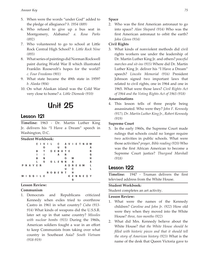- 5. When were the words "under God" added to the pledge of allegiance? *b. 1954 (889)*
- 6. Who refused to give up a bus seat in Montgomery, Alabama? *a. Rosa Parks (892)*
- 7. Who volunteered to go to school at Little Rock Central High School? *b. Little Rock Nine (893)*
- 8. What series of paintings did Norman Rockwell paint during World War II which illustrated Franklin Roosevelt's hopes for the world? *c. Four Freedoms (901)*
- 9. What state became the 49th state in 1959? *b. Alaska (904)*
- 10. On what Alaskan island was the Cold War very close to home? *a. Little Diomede (910)*

# Unit 25

# Lesson 121

**Timeline:** 1963 - Dr. Martin Luther King Jr. delivers his "I Have a Dream" speech in Washington, D.C.

| <b>Student Workbook:</b> |  |  |             |    |  |   |  |               |  |   |       |        |  |               |  |                  |   |  |
|--------------------------|--|--|-------------|----|--|---|--|---------------|--|---|-------|--------|--|---------------|--|------------------|---|--|
|                          |  |  |             |    |  |   |  |               |  |   |       |        |  |               |  | CIVIL C AVIETNAM |   |  |
|                          |  |  |             |    |  |   |  |               |  | u |       | g      |  |               |  |                  | А |  |
|                          |  |  |             | В  |  | T |  |               |  |   |       | DEBATE |  |               |  |                  | R |  |
|                          |  |  |             |    |  |   |  |               |  | A |       | R      |  |               |  |                  | g |  |
|                          |  |  |             | B  |  | N |  |               |  |   |       | O      |  | M             |  |                  | н |  |
|                          |  |  |             | L. |  | G |  |               |  |   | GLENN |        |  | A             |  |                  | А |  |
|                          |  |  | P R A Y E R |    |  |   |  |               |  |   |       |        |  | <b>ADREAM</b> |  |                  |   |  |
|                          |  |  |             |    |  |   |  |               |  |   |       | u      |  | C             |  |                  |   |  |
|                          |  |  |             |    |  |   |  | <b>ROBERT</b> |  |   |       |        |  | Н             |  |                  |   |  |
|                          |  |  | MISSILE     |    |  |   |  |               |  |   |       |        |  |               |  | <b>KENNEDY</b>   |   |  |
|                          |  |  |             |    |  |   |  |               |  |   |       |        |  |               |  |                  |   |  |

### **Lesson Review:**

#### **Communism**

1. Democrats and Republicans criticized Kennedy when exiles tried to overthrow Castro in 1961 in what country? *Cuba (913- 914)* What kinds of weapons did the U.S.S.R. later set up in that same country? *Missiles with nuclear bombs (915)* During the 1960s, American soldiers fought a war in an effort to keep Communists from taking over what country in Southeast Asia? *South Vietnam (918-919)*

### **Space**

2. Who was the first American astronaut to go into space? *Alan Shepard (914)* Who was the first American astronaut to orbit the earth? *John Glenn (914)*

### **Civil Rights**

3. What kinds of nonviolent methods did civil rights workers use under the leadership of Dr. Martin Luther King Jr. and others? *peaceful marches and sit-ins (915)* Where did Dr. Martin Luther King Jr. deliver his "I Have a Dream" speech? *Lincoln Memorial (916)* President Johnson signed two important laws that related to civil rights, one in 1964 and one in 1965. What were those laws? *Civil Rights Act of 1964 and the Voting Rights Act of 1965 (918)*

### **Assassinations**

4. This lesson tells of three people being assassinated. Who were they? *John F. Kennedy (917), Dr. Martin Luther King Jr., Robert Kennedy (919)*

### **Supreme Court**

5. In the early 1960s, the Supreme Court made rulings that schools could no longer require two activities in public schools. What were those activities? *prayer, Bible reading (920)* Who was the first African American to become a Supreme Court justice? *Thurgood Marshall (918)*

# Lesson 122

**Timeline:** 1947 - Truman delivers the first televised address from the White House.

### **Student Workbook:**

Student completes an art activity.

- 1. What were the names of the Kennedy children? *Caroline and John Jr. (922)* How old were they when they moved into the White House? *three, two months (922)*
- 2. What did Mrs. Kennedy believe about the White House? *that the White House should be filled with historic pieces and that it should tell the story of American history (923)* What is the name of the desk that Queen Victoria gave to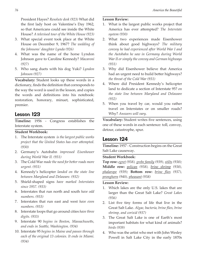President Hayes? *Resolute desk (923)* What did the first lady host on Valentine's Day 1962, so that Americans could see inside the White House? *A televised tour of the White House (923)*

- 3. What special event took place at the White House on December 9, 1967? *The wedding of the Johnsons' daughter Lynda (926)*
- 4. What was the name of the horse Lyndon Johnson gave to Caroline Kennedy? *Macaroni (927)*
- 5. Who sang duets with his dog Yuki? *Lyndon Johnson (927)*

**Vocabulary:** Student looks up these words in a dictionary, finds the definition that corresponds to the way the word is used in the lesson, and copies the words and definitions into his notebook: restoration, honorary, minuet, sophisticated, premier.

# Lesson 123

**Timeline:** 1956 - Congress establishes the Interstate system.

### **Student Workbook:**

- 1. The Interstate system *is the largest public works project that the United States has ever attempted. (930)*
- 2. Germany's Autobahn *impressed Eisenhower during World War II. (931)*
- 3. The Cold War *made the need for better roads more urgent. (931)*
- 4. Kennedy's helicopter *landed on the state line between Maryland and Delaware. (932)*
- 5. Shield-shaped signs *have marked Interstates since 1957. (933)*
- 6. Interstates that run north and south *have odd numbers. (933)*
- 7. Interstates that run east and west *have even numbers. (933)*
- 8. Interstate loops that go around cities *have three digits. (933)*
- 9. Interstate 90 *begins in Boston, Massachusetts, and ends in Seattle, Washington. (934)*
- 10. Interstate 95 *begins in Maine and passes through each of the original 13 colonies. It ends in Miami. (934)*

#### **Lesson Review:**

- 1. What is the largest public works project that America has ever attempted? *The Interstate system (930)*
- 2. What two experiences made Eisenhower think about good highways? *The military convoy he had experienced after World War I and the Autobahn he saw in Germany during World War II or simply the convoy and German highways (931)*
- 3. Why did Eisenhower believe that America had an urgent need to build better highways? *the threat of the Cold War (931)*
- 4. Where did President Kennedy's helicopter land to dedicate a section of Interstate 95? *on the state line between Maryland and Delaware (932)*
- 5. When you travel by car, would you rather travel on Interstates or on smaller roads? Why? *Answers will vary.*

**Vocabulary:** Student writes five sentences, using one of these words in each sentence: toll, convoy, detour, catastrophe, spur.

# Lesson 124

**Timeline:** 1957 - Construction begins on the Great Salt Lake causeway.

#### **Student Workbook:**

**Top row:** *egret (938), grebe family (939), stilts (938);*  **Middle row:** *pelican (938), brine shrimp (938), phalarope (939);* **Bottom row:** *brine flies (937), pronghorn (940), pheasant (938)*

- 1. Which lakes are the only U.S. lakes that are larger than the Great Salt Lake? *Great Lakes (936)*
- 2. List five tiny forms of life that live in the Great Salt Lake. *Algae, bacteria, brine flies, brine shrimp, and corixid (937)*
- 3. The Great Salt Lake is one of Earth's most important habitats for what kind of animals? *birds (939)*
- 4. Who was the artist who met with John Wesley Powell in Salt Lake City in the early 1870s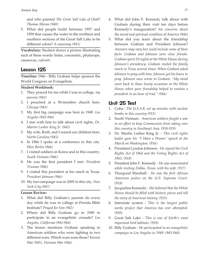and who painted *The Great Salt Lake of Utah*? *Thomas Moran (940)*

5. What did people build between 1957 and 1959 that causes the water in the northern and southern sections of the Great Salt Lake to be different colors? *A causeway (941)*

**Vocabulary:** Student draws a picture illustrating each of these words: brine, concentric, phalarope, causeway, culvert.

## Lesson 125

**Timeline:** 1966 - Billy Graham helps sponsor the World Congress on Evangelism.

#### **Student Workbook:**

- 1. They prayed for me while I was in college. *my parents (942)*
- 2. I preached at a 50-member church here. *Chicago (943)*
- 3. My first big campaign was here in 1949. *Los Angeles (943-944)*
- 4. I met with him to talk about civil rights. *Dr. Martin Luther King Jr. (945)*
- 5. My wife, Ruth, and I reared our children here. *North Carolina (945)*
- 6. In 1966 I spoke at a conference in this city. *West Berlin (946)*
- 7. I visited soldiers in Korea and in this country. *South Vietnam (946)*
- 8. He was the first president I met. *President Truman (946)*
- 9. I visited this president at his ranch in Texas. *President Johnson (946)*
- 10. My last campaign was in 2005 in this city. *New York City (947)*

#### **Lesson Review:**

- 1. What did Billy Graham's parents do every day while he was in college at Florida Bible Institute? *Prayed for him (942)*
- 2. Where did Billy Graham go in 1949 to participate in an evangelistic crusade? *Los Angeles, California (943-944)*
- 3. The lesson mentions Graham speaking to American soldiers who were fighting in two different wars. Which wars were these? *Korean War (945), Vietnam War (946)*
- 4. What did John F. Kennedy talk about with Graham during their visit ten days before Kennedy's inauguration? *his concerns about the moral and spiritual condition of America (946)*
- 5. What did you learn about the friendship between Graham and President Johnson? *Answers may vary but could include some of these facts: Graham and Johnson were close friends. Graham spent 20 nights at the White House during Johnson's presidency. Graham visited the family ranch in Texas several times. When Graham asked Johnson to pray with him, Johnson got his knees to pray. Johnson once wrote to Graham: "My mind went back to those lonely occasions at the White House when your friendship helped to sustain a president in an hour of trial." (946)*

### Unit 25 Test

- 1. Cuba *The U.S.S.R. set up missiles with nuclear bombs in this country (915)*
- 2. South Vietnam - *American soldiers fought a war in an effort to keep Communists from taking over this country in Southeast Asia. (918-919)*
- 3. Dr. Martin Luther King Jr. *This civil rights leader gave his "I Have a Dream" speech at the March on Washington. (916)*
- 4. President Lyndon Johnson *He signed the Civil Rights Act of 1964 and the Voting Rights Act of 1965. (918)*
- 5. President John F. Kennedy *He was assassinated while visiting Dallas, Texas, with his wife. (917)*
- 6. Thurgood Marshall *He was the first African American justice on the U.S. Supreme Court. (918)*
- 7. Jacqueline Kennedy *She believed that the White House should be filled with historic pieces and tell the story of American history. (923)*
- 8. Interstate system *This is the largest public works project that America has ever attempted. (930)*
- 9. Great Salt Lake *This is one of Earth's most important bird habitats. (939)*
- 10. Billy Graham *He participated in an evangelistic campaign in Los Angeles in 1949. (943-944)*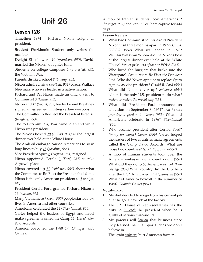# Unit 26

# Lesson 126

**Timeline:** 1974 - Richard Nixon resigns as president.

**Student Workbook:** Student only writes the number.

Dwight Eisenhower's *10 (grandson, 950)*, David, married the Nixons' daughter Julie.

Students on college campuses *1 (protested, 951)*  the Vietnam War.

Parents disliked school *8 (busing, 951)*.

Nixon admired his *6 (football, 951)* coach, Wallace Newman, who was leader in a native nation.

Richard and Pat Nixon made an official visit to Communist *3 (China, 952)*.

Nixon and *12 (Soviet, 952)* leader Leonid Brezhnev signed an agreement limiting certain weapons.

The Committee to Re-Elect the President hired *18 (burglars, 953)*.

The *15 (Vietnam, 954)* War came to an end while Nixon was president.

The Nixons hosted *20 (POWs, 954)* at the largest dinner ever held at the White House.

The Arab oil embargo caused Americans to sit in long lines to buy *13 (gasoline, 954)*.

Vice President Spiro *5 (Agnew, 954)* resigned.

Nixon appointed Gerald *9 (Ford, 954)* to take Agnew's place.

Nixon covered up *11 (evidence, 954)* about what the Committee to Re-Elect the President had done. Nixon is the only American president to *4 (resign, 954)*.

President Gerald Ford granted Richard Nixon a *19 (pardon, 955)*.

Many Vietnamese *7 (boat, 955)* people started new lives in America and other countries.

Americans celebrated the *14 (Bicentennial, 956)*.

Carter helped the leaders of Egypt and Israel make agreements called the Camp *16 (David, 956- 957)* Accords.

America boycotted the 1980 *17 (Olympic, 957)*  Games.

A mob of Iranian students took Americans *2 (hostages, 957)* and kept 52 of them captive for 444 days.

### **Lesson Review:**

- 1. What two Communist countries did President Nixon visit three months apart in 1972? *China, U.S.S.R. (952)* What war ended in 1973? *Vietnam War (954)* Whom did the Nixons host at the largest dinner ever held at the White House? *former prisoners of war or POWs (954)*
- 2. Who hired the burglars that broke into the Watergate? *Committee to Re-Elect the President (953)* Who did Nixon appoint to replace Spiro Agnew as vice president? *Gerald R. Ford (954)* What did Nixon cover up? *evidence (954)*  Nixon is the only U.S. president to do what? *resign or resign the presidency (954)*
- 3. What did President Ford announce on television on September 8, 1974? *that he was granting a pardon to Nixon (955)* What did Americans celebrate in 1976? *Bicentennial (956)*
- 4. Who became president after Gerald Ford? *Jimmy (or James) Carter (956)* Carter helped the leaders of two countries make agreements called the Camp David Accords. What are those two countries? *Israel, Egypt (956-957)*
- 5. A mob of Iranian students took over the American embassy in what country? *Iran (957)*  What did they do to 66 Americans? *took them hostage (957)* What country did the U.S. help after the U.S.S.R. invaded it? *Afghanistan (957)*  What did America boycott in the summer of 1980? *Olympic Games (957)*

### **Vocabulary:**

- 1. My dad decided to *resign* from his current job after he got a new job at the factory.
- 2. The U.S. House of Representatives has the duty to *impeach* the president when he is guilty of serious misconduct.
- 3. My parents will *boycott* that business since they learned that it supports ideas we don't believe in.
- 4. The grain *embargo* hurt American farmers.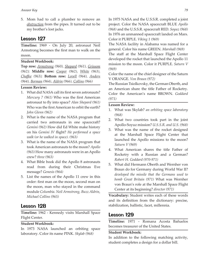5. Mom had to call a plumber to remove an *obstruction* from the pipes. It turned out to be my brother's lost jacks.

## Lesson 127

**Timeline:** 1969 - On July 20, astronaut Neil Armstrong becomes the first man to walk on the moon.

#### **Student Workbook:**

**Top row:** *Armstrong (960), Shepard (961), Grissom (962);* **Middle row:** *Cooper (962), White (963), Chaffee (963);* **Bottom row:** *Lovell (964), Anders (964), Borman (964), Aldrin (966), Collins (966)*

#### **Lesson Review:**

- 1. What did NASA call its first seven astronauts? *Mercury 7 (961)* Who was the first American astronaut to fly into space? *Alan Shepard (961)*  Who was the first American to orbit the earth? *John Glenn (962)*
- 2. What is the name of the NASA program that carried two astronauts in one spacecraft? *Gemini (962)* How did Ed White make history on his *Gemini IV* flight? *He performed a space walk (or he walked in space). (963)*
- 3. What is the name of the NASA program that took American astronauts to the moon? *Apollo (963)* How many astronauts were in an Apollo crew? *three (963)*
- 4. What Bible book did the Apollo 8 astronauts read from during their Christmas Eve message? *Genesis (964)*
- 5. List the names of the Apollo 11 crew in this order: first man on the moon, second man on the moon, man who stayed in the command module *Columbia. Neil Armstrong, Buzz Aldrin, Michael Collins (965)*

## Lesson 128

**Timeline:** 1962 - Kennedy visits Marshall Space Flight Center.

#### **Student Workbook:**

In 1973 NASA launched an orbiting space laboratory. Color its name PINK. *Skylab (968)*

In 1975 NASA and the U.S.S.R. completed a joint project. Color the NASA spacecraft BLUE *Apollo (968)* and the U.S.S.R. spacecraft RED. *Soyuz (968)* In 1976 an unmanned spacecraft landed on Mars. Color it PURPLE. *Viking 1 (969)*

The NASA facility in Alabama was named for a general. Color his name GREEN. *Marshall (969)*

The staff at the Marshall Space Flight Center developed the rocket that launched the Apollo 11 mission to the moon. Color it PURPLE. *Saturn V (969)*

Color the name of the chief designer of the Saturn V ORANGE. *Von Braun (972)*

The Russian Tsiolkovsky, the German Oberth, and an American share the title Father of Rocketry. Color the American's name BROWN. *Goddard (971)*

#### **Lesson Review:**

- 1. What was Skylab? *an orbiting space laboratory (968)*
- 2. What two countries took part in the joint Apollo-Soyuz mission? *U.S.S.R. and U.S. (968)*
- 3. What was the name of the rocket designed at the Marshall Space Flight Center that launched the Apollo missions to the moon? *Saturn V (969)*
- 4. What American shares the title Father of Rocketry with a Russian and a German? *Robert H. Goddard (970-971)*
- 5. What did Hermann Oberth and Wernher von Braun do for Germany during World War II? *developed the missile that the Germans used to bomb Great Britain (971)* What was Wernher von Braun's role at the Marshall Space Flight Center at its beginning? *director (971)*

**Vocabulary:** Student writes each of these words and its definition from the dictionary: precise, stabilization, ballistic, facet, millennia.

# Lesson 129

**Timeline:** 1971 - Romana Acosta Bañuelos becomes treasurer of the United States.

#### **Student Workbook:**

In addition to the following matching activity, student completes a design for a dollar bill.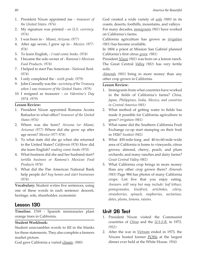- 1. President Nixon appointed me *treasurer of the United States. (976)*
- 2. My signature was printed *on U.S. currency. (976)*
- 3. I was born in *Miami, Arizona. (977)*
- 4. After age seven, I grew up in *Mexico. (977- 978)*
- 5. To learn English, *I read comic books. (978)*
- 6. I became the sole owner of *Ramona's Mexican Food Products. (978)*
- 7. I helped to start Pan American *National Bank. (978)*
- 8. I only completed the *sixth grade. (979)*
- 9. John Connally was the *secretary of the Treasury when I was treasurer of the United States. (979)*
- 10. I resigned as treasurer *on Valentine's Day 1974. (979)*

#### **Lesson Review:**

- 1. President Nixon appointed Romana Acosta Bañuelos to what office? *treasurer of the United States (976)*
- 2. Where was she born? *Arizona (or Miami, Arizona) (977)* Where did she grow up after age seven? *Mexico (977-978)*
- 3. To what state did she go when she returned to the United States? *California (978)* How did she learn English? *reading comic books (978)*
- 4. What business did she and her husband start? *tortilla business or Ramona's Mexican Food Products (978)*
- 5. What did the Pan American National Bank help people do? *buy homes and start businesses (978)*

**Vocabulary:** Student writes five sentences, using one of these words in each sentence: descent, heritage, sole, shareholder, economist.

# Lesson 130

**Timeline:** 1769 - Spanish missionaries plant orange trees in California.

### **Student Workbook:**

Student unscrambles words to fill in the blanks for these statements. They also complete a farmers market picture.

God gave California a varied *climate. (980)*

God created a wide variety of *soils (980)* in its coasts, deserts, foothills, mountains, and valleys. For many decades, *immigrants (981)* have worked

on California's farms.

California agriculture has grown as *irrigation (981)* has become available.

In 1804 a priest at Mission San Gabriel planned California's first citrus *grove. (981)*

President *Nixon (982)* was born on a lemon ranch. The Great Central *Valley (982)* has very fertile soils.

*Almonds (983)* bring in more money than any other crop grown in California.

#### **Lesson Review:**

- 1. Immigrants from what countries have worked in the fields of California's farms? *China, Japan, Philippines, India, Mexico, and countries in Central America (981)*
- 2. What method of getting water to fields has made it possible for California agriculture to grow? *irrigation (981)*
- 3. What name did the Southern California Fruit Exchange co-op start stamping on their fruit in 1926? *Sunkist (982)*
- 4. What 450-mile-long and 40-to-60-mile-wide area of California is home to vineyards; citrus groves; almond, cherry, peach, and plum orchards; and many ranches and dairy farms? *Great Central Valley (982)*
- 5. What California crop brings in more money than any other crop grown there? *Almonds (983)* Page 984 has photos of many California crops. List five that you enjoy eating. *Answers will vary but may include: leaf lettuce, pomegranates, kiwifruit, artichokes, celery, strawberries, spinach, raspberries, nectarines, dates, plums, lemons, raisins.*

# Unit 26 Test

- 1. President Nixon visited the Communist countries of *China* and the *U.S.S.R.* in 1972. *(952)*
- 2. After the war in *Vietnam* ended in 1973, the Nixons hosted former *POWs* at the largest dinner ever held at the White House. *(954)*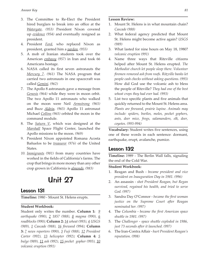- 3. The Committee to Re-Elect the President hired burglars to break into an office at the *Watergate*. *(953)* President Nixon covered up *evidence (954)* and eventually resigned as president.
- 4. President *Ford*, who replaced Nixon as president, granted him a *pardon*. *(955)*
- 5. A mob of Iranian students took over the American *embassy (957)* in Iran and took 66 Americans hostage.
- 6. NASA called its first seven astronauts the *Mercury 7*. *(961)* The NASA program that carried two astronauts in one spacecraft was called *Gemini. (962)*
- 7. The Apollo 8 astronauts gave a message from *Genesis (964)* while they were in moon orbit. The two Apollo 11 astronauts who walked on the moon were Neil *Armstrong (965)*  and Buzz *Aldrin*. *(965)* Apollo 11 astronaut Michael *Collins (965)* orbited the moon in the command module.
- 8. The *Saturn V*, which was designed at the *Marshall* Space Flight Center, launched the Apollo missions to the moon. *(969)*
- 9. President Nixon appointed Romana Acosta Bañuelos to be *treasurer (976)* of the United States.
- *10. Immigrants (981)* from many countries have worked in the fields of California's farms. The crop that brings in more money than any other crop grown in California is *almonds*. *(983)*

# Unit 27

## Lesson 131

**Timeline:** 1980 - Mount St. Helens erupts.

### **Student Workbook:**

Student only writes the number. **Column 1:** *9 earthquake (990), 2 1857 (988), 8 magma (990), 6 roadblocks (990);* **Column 2:** *14 wheat (993), 4 USGS (989), 1 Cascade (988), 16 fireweed (994);* **Column 3:** *7 news reporters (990), 3 Fuji (988), 12 President Carter (992), 13 helicopter (992);* **Column 4:** *5 bulge (989), 11 ash (992), 15 pocket gopher (993), 10 volcanic eruption (991)*

#### **Lesson Review:**

- 1. Mount St. Helens is in what mountain chain? *Cascade (988)*
- 2. What federal agency predicted that Mount St. Helens might become active again? *USGS (989)*
- 3. What lasted for nine hours on May 18, 1980? *volcanic eruption (991)*
- 4. Name three ways that Ritzville citizens helped after Mount St. Helens erupted. *The Methodist church let people sleep there. Volunteer firemen removed ash from roofs. Ritzville banks let people cash checks without asking questions. (993)* How did God use the volcanic ash to bless the people of Ritzville? *They had one of the best wheat crops they had ever had. (993)*
- 5. List two specific plants and five animals that quickly returned to the Mount St. Helens area. *Plants are fireweed, prairie lupine. Animals may include: spiders, beetles, moles, pocket gophers, ants, deer mice, frogs, salamanders, elk, deer, coyotes. (993-994)*

**Vocabulary:** Student writes five sentences, using one of these words in each sentence: dormant, earthquake, erupt, avalanche, pumice.

# Lesson 132

**Timeline:** 1989 - The Berlin Wall falls, signaling the end of the Cold War.

#### **Student Workbook:**

- 1. Reagan and Bush *became president and vice president on Inauguration Day in 1981. (996)*
- 2. An assassin *shot President Reagan, but Regan survived, regained his health, and tried to serve God. (997)*
- 3. Sandra Day O'Connor *became the first woman justice on the Supreme Court after Reagan nominated her. (997)*
- 4. The *Columbia became the first American space shuttle in 1981. (997)*
- 5. The *Challenger space shuttle exploded in 1986, just 73 seconds after it launched. (997)*
- 6. The Iran-Contra Affair *hurt President Reagan's reputation. (998)*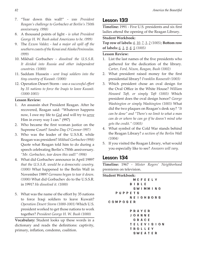- 7. "Tear down this wall!" *was President Reagan's challenge to Gorbachev at Berlin's 750th anniversary. (998)*
- 8. A thousand points of light *is what President George H. W. Bush asked Americans to be. (999)*
- 9. The *Exxon Valdez had a major oil spill off the southern coasts of the Kenai and Alaska Peninsulas. (999)*
- 10. Mikhail Gorbachev *dissolved the U.S.S.R. It divided into Russia and other independent countries. (1000)*
- 11. Saddam Hussein *sent Iraqi soldiers into the tiny country of Kuwait. (1000)*
- 12. Operation Desert Storm *was a successful effort by 35 nations to force the Iraqis to leave Kuwait. (1000-1001)*

#### **Lesson Review:**

- 1. An assassin shot President Reagan. After he recovered, Reagan said: "Whatever happens now, I owe my life to *God* and will try to *serve* Him in every way I can." (997)
- 2. Who became the first woman justice on the Supreme Court? *Sandra Day O'Connor (997)*
- 3. Who was the leader of the U.S.S.R. while Reagan was president? *Mikhail Gorbachev (998)*  Quote what Reagan told him to do during a speech celebrating Berlin's 750th anniversary. *"Mr. Gorbachev, tear down this wall!" (998)*
- 4. What did Gorbachev announce in April 1989? *that the U.S.S.R. would be a democratic country. (1000)* What happened to the Berlin Wall in November 1989? *Germans began to tear it down. (1000)* What did Gorbachev do to the U.S.S.R. in 1991? *He dissolved it. (1000)*
- 5. What was the name of the effort by 35 nations to force Iraqi soldiers to leave Kuwait? *Operation Desert Storm (1000-1001)* Which U.S. president worked to get those nations to work together? *President George H. W. Bush (1000)*

**Vocabulary:** Student looks up these words in a dictionary and reads the definitions: captivity, primary, inflation, condemn, coalition.

## Lesson 133

**Timeline:** 1991 - Five U.S. presidents and six first ladies attend the opening of the Reagan Library.

#### **Student Workbook:**

**Top row of labels:** *4, 10, 7, 3, 2 (1005)*; **Bottom row of labels:** *6, 1, 9, 8, 5 (1005)*

#### **Lesson Review:**

- 1. List the last names of the five presidents who gathered for the dedication of the library. *Carter, Ford, Nixon, Reagan, Bush (1002)*
- 2. What president raised money for the first presidential library? *Franklin Roosevelt (1003)*
- 3. Which president chose an oval design for the Oval Office in the White House? *William Howard Taft, or simply Taft (1003)* Which president does the oval design honor? *George Washington or simply Washington (1003)* What did the two plaques on Reagan's desk say? *"It can be done" and "There's no limit to what a man can do or where he can go if he doesn't mind who gets the credit." (1003)*
- 4. What symbol of the Cold War stands behind the Reagan Library? *a section of the Berlin Wall (1004)*
- 5. If you visited the Reagan Library, what would you especially like to see? *Answers will vary.*

### Lesson 134

**Timeline:** 1967 - *Mister Rogers' Neighborhood*  premieres on television.

**Student Workbook:**

```
M C F E E L Y
            B I B L E
              S W I M M I N G
    P U P P E T S
            N E I G H B O R S
C O M P O S E R
            P R A Y E R
            J O A N N E
              G R A C E
            T E L E V I S I O N
            T R O L L E Y
              S W E A T E R
```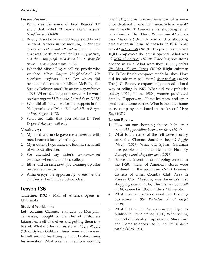#### **Lesson Review:**

- 1. What was the name of Fred Rogers' TV show that lasted 33 years? *Mister Rogers' Neighborhood (1008)*
- 2. Briefly describe what Fred Rogers did before he went to work in the morning. *In her own words, student should tell that he got up at 5:00 a.m.; read the Bible; prayed for his family, friends, and the many people who asked him to pray for them; and went for a swim. (1008)*
- 3. What did Mister Rogers call the people who watched *Mister Rogers' Neighborhood*? *His television neighbors (1011)* For whom did he name the character Mister McFeely, the Speedy Delivery man? *His maternal grandfather (1011)* Where did he get the sweaters he wore on the program? *His mother knitted them. (1012)*
- 4. Who did all the voices for the puppets in the Neighborhood of Make-Believe? *Mister Rogers or Fred Rogers (1012)*
- 5. What are traits that you admire in Fred Rogers? *Answers will vary.*

#### **Vocabulary:**

- 1. My aunt and uncle gave me a *cardigan* with metal buttons for my birthday.
- 2. My mother's hugs make me feel like she is full of *maternal* affection.
- 3. We attended my sister's *commencement* exercises when she finished college.
- 4. Ethan did an *exceptional* job cleaning up after he detailed the car.
- 5. Anna enjoys the opportunity to *nurture* the children in her Sunday School class.

### Lesson 135

**Timeline:** 1992 - Mall of America opens in Minnesota.

#### **Student Workbook:**

**Left column:** Clarence Saunders of Memphis, Tennessee, thought of the idea of customers taking items off of shelves and putting them in a basket. What did he call his store? *Piggly Wiggly (1017);* Sylvan Goldman hired men and women to walk around his Humpty Dumpty store using his invention. What was his invention? *shopping*  *cart (1017);* Stores in many American cities were once clustered in one main area. Where was it? *downtown (1017);* America's first shopping center was Country Club Plaza. Where was it? *Kansas City, Missouri (1018);* A new kind of shopping area opened in Edina, Minnesota, in 1956. What was it? *indoor mall (1018);* This place to shop had 10,000 employees the day it opened. What was it? *Mall of America (1019);* Three big-box stores opened in 1962. What were they? *(in any order) Wal-Mart, Kmart, Target (1019);* **Right column:** The Fuller Brush company made brushes. How did its salesmen sell them? *door-to-door (1020);*  The J. C. Penney company began an additional way of selling in 1963. What did they publish? *catalog (1020);* In the 1980s, women purchased Stanley, Tupperware, Home Interiors, and other products at home parties. What is the other home party company mentioned in the lesson? *Mary Kay (1021)*

- 1. How can our shopping choices help other people? *by providing income for them (1016)*
- 2. What is the name of the self-serve grocery store that Clarence Saunders began? *Piggly Wiggly (1017)* What did Sylvan Goldman hire people to demonstrate in his Humpty Dumpty store? *shopping carts (1017)*
- 3. Before the invention of shopping centers in the 1920s, many of America's stores were clustered in the *downtown (1017)* business districts of cities. Country Club Plaza in Kansas City, Missouri, was America's first shopping *center. (1018)* The first indoor *mall (1018)* opened in 1956 in Edina, Minnesota.
- 4. What three companies opened their first bigbox stores in 1962? *Wal-Mart, Kmart, Target (1019)*
- 5. What did the J. C. Penney company begin to publish in 1963? *catalog* (1020) What selling method did Stanley, Tupperware, Mary Kay, and Home Interiors use in the 1980s? *home parties (1020-1021)*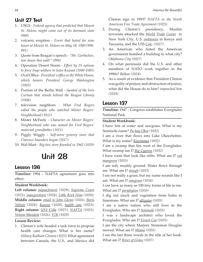# Unit 27 Test

- 1. USGS *Federal agency that predicted that Mount St. Helens might come out of its dormant state (989)*
- 2. volcanic eruption *Event that lasted for nine hours at Mount St. Helens on May 18, 1980 (990- 991)*
- 3. Quote from Reagan's speech *"Mr. Gorbachev, tear down this wall!" (998)*
- 4. Operation Desert Storm *Effort by 35 nations to force Iraqi soldiers to leave Kuwait (1000-1001)*
- 5. Oval Office *President's office in the White House, which honors President George Washington (1003)*
- 6. Portion of the Berlin Wall *Symbol of the Iron Curtain that stands behind the Reagan Library (1004)*
- 7. television neighbors *What Fred Rogers called the people who watched Mister Rogers' Neighborhood (1011)*
- 8. Mister McFeely *Character on Mister Rogers' Neighborhood who was named for Fred Rogers' maternal grandfather (1011)*
- 9. Piggly Wiggly *Self-serve grocery store that Clarence Saunders began (1017)*
- 10. Wal-Mart *Big-box store founded in 1962 (1019)*

# Unit 28

## Lesson 136

**Timeline:** 1994 - NAFTA agreement goes into effect.

### **Student Workbook:**

**Left column:** *impeachment (1029), Supreme Court (1025), inauguration (1024), Little Rock Nine (1030);*  **Middle column:** *email to John Glenn (1026), Boris Yeltsin (1028), Kosovo (1028), health care (1025);*  **Right column:** *USS* Cole *(1027), NAFTA (1025), Nelson Mandela (1026), Y2K (1029)*

### **Lesson Review:**

1. Clinton's wife headed a task force to propose health care changes. What is her name? *Hillary Rodham Clinton (1025)* What agreement between Canada, the U.S., and Mexico did Clinton sign in 1993? *NAFTA or the North American Free Trade Agreement (1025)*

- 2. During Clinton's presidency, Muslim terrorists attacked the *World Trade Center* in New York City, U.S. *embassies* in Kenya and Tanzania, and the USS *Cole*. *(1027)*
- 3. An American who hated the American government bombed a building in what city? *Oklahoma City (1027)*
- 4. On what peninsula did the U.S. and other members of NATO work together in the 1990s? *Balkan (1028)*
- 5. As a result of evidence that President Clinton was guilty of perjury and obstruction of justice, what did the House do to him? *impeached him (1029)*

# Lesson 137

**Timeline:** 1947 - Congress establishes Everglades National Park.

### **Student Workbook:**

I have lots of water and sawgrass. What is my Seminole name? *Pa-hay-Okee (1032)*

I am a river that flows into Lake Okeechobee. What is my name? *Kissimmee (1032)*

I am a swamp that lies west of the Everglades. What swamp am I? *Big Cypress (1032)*

I have roots that look like stilts. What am I? *red mangrove (1033)*

I am soft, muddy ground. Water flows through me. What am I? *slough (1033)*

I am not really a grass, but my name sounds like I am. What am I? *sawgrass (1034)*

I can have as many as 100 tiny forms of life in me. What am I? *periphyton (1035)*

I dig out muck and vegetation from holes in limestone. What am I? *alligator (1035)*

I am a native nation who still lives in the Everglades. Who am I? *Seminole (1035)*

I was a landscape architect who loved the Everglades. Who am I? *Ernest Coe (1035)*

I am the city where Marjory Stoneman Douglas moved. What am I? *Miami (1035)*

I am the last three words in the title of her book. What am I? *River of Grass (1037)*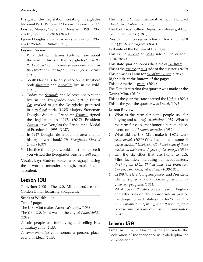#### *Answer Key 85*

I signed the legislation creating Everglades National Park. Who am I? *President Truman (1037)* I visited Marjory Stoneman Douglas in 1991. Who am I? *Queen Elizabeth II (1037)*

I gave Douglas a medal when she was 103. Who am I? *President Clinton (1037)*

#### **Lesson Review:**

- 1. What did John James Audubon say about the wading birds at the Everglades? *that the flocks of wading birds were so thick overhead that they blocked out the light of the sun for some time (1033)*
- 2. South Florida is the only place on Earth where both *alligators* and *crocodiles* live in the wild. *(1033)*
- 3. Today the *Seminole* and Miccosukee Nations live in the Everglades area. *(1035)* Ernest *Coe* worked to get the Everglades protected in a *national* park. *(1035)* Marjory Stoneman Douglas did, too. President *Truman* signed the legislation in 1947. *(1037)* President *Clinton* gave Douglas the Presidential Medal of Freedom in 1993. *(1037)*
- 4. In 1947 Douglas described the area and its history in what book? *The Everglades: River of Grass (1037)*
- 5. List five things you would most like to see if you visited the Everglades. *Answers will vary.*

**Vocabulary:** Student writes a paragraph using these words: meander, slough, marl, sedge, succulent.

# Lesson 138

**Timeline:** 2000 - The U.S. Mint introduces the Golden Dollar featuring Sacagawea.

### **Student Workbook:**

### **Top of page:**

The U.S. Mint makes America's *coins*. *(1038)*

The first U.S. Mint was in the city of *Philadelphia*. *(1038)*

A coin people use for buying and selling is a *circulating* coin. *(1039)*

A *commemorative* coin honors a person, place, event, or ideal. *(1039)*

The first U.S. commemorative coin honored *Christopher Columbus*. *(1039)*

The Fort *Knox* Bullion Depository stores gold for the United States. *(1040)*

President Clinton signed a law authorizing the 50 *State Quarters* program. *(1041)*

**Left side at the bottom of the page:**

This is the *obverse* or *heads* side of the quarter. *(1040-1041)*

This state quarter honors the state of *Delaware*.

This is the *reverse* or *tails* side of the quarter. *(1040)* This phrase is Latin for *out of many, one*. *(1041)*

**Right side at the bottom of the page:**

This is America's *motto*. *(1041)*

The *D* indicates that this quarter was made at the *Denver* Mint. *(1040)*

This is the year the state entered the *Union*. *(1041)* This is the year the quarter was *issued*. *(1041)*

#### **Lesson Review:**

- 1. What is the term for coins people use for buying and selling? *circulating (1039)* What is the term for coins that honor a person, place, event, or ideal? *commemorative (1039)*
- 2. What did the U.S. Mint make in 1801? *silver peace medals (1039)* What happened to some of these medals? *Lewis and Clark took some of these medals on their great Voyage of Discovery. (1039)*
- 3. List the six cities that are home to U.S. Mint facilities, including its headquarters. *Washington, D.C., Philadelphia, San Francisco, Denver, Fort Knox, West Point (1039-1040)*
- 4. In 1997 the U.S. Congress passed and President Clinton signed a law authorizing the *50 State Quarters* program. *(1041)*
- 5. What does *E Pluribus Unum* mean in English and why is especially appropriate as part of the design for each state's quarter? *E Pluribus Unum means "out of many, one." It is appropriate because America is one country with many states. (1041)*

# Lesson 139

**Timeline:** 1976 - Marian Anderson reads the Declaration of Independence in Philadelphia for the Bicentennial.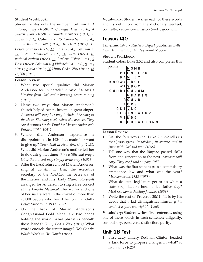#### **Student Workbook:**

Student writes only the number: **Column 1:** *1 autobiography (1050), 2 Carnegie Hall (1050), 4 church choir (1050), 7 church members (1051), 6 circus (1051);* **Column 2:** *15 Connecticut (1054), 19 Constitution Hall (1054), 10 DAR (1052), 12 Easter Sunday (1052), 17 India (1054);* **Column 3:**  *11 Lincoln Memorial (1052), 14 mural (1053), 18 national anthem (1054), 16 Orpheus Fisher (1054), 9 Paris (1052);* **Column 4:** *3 Philadelphia (1050), 8 pray (1051), 5 solo (1050), 20 Unity God's Way (1054), 13 75,000 (1052)*

#### **Lesson Review:**

- 1. What two special qualities did Marian Anderson see in herself? *a voice that was a blessing from God and a burning desire to sing (1050)*
- 2. Name two ways that Marian Anderson's church helped her to become a great singer. *Answers will vary but may include: She sang in the choir. She sang a solo when she was six. They saved pennies for the Fund for Marian Anderson's Future. (1050-1051)*
- 3. Where did Anderson experience a disappointment in 1924 that made her want to give up? *Town Hall in New York City (1051)*  What did Marian Anderson's mother tell her to do during that time? *think a little and pray a lot or the student may simply write pray (1051)*
- 4. After the DAR refused to let Marian Anderson sing at *Constitution Hall*, the executive secretary of the *NAACP*, the Secretary of the Interior, and First Lady *Eleanor Roosevelt* arranged for Anderson to sing a free concert at the *Lincoln Memorial*. Her *mother* and one of her sisters were in the crowd of more than 75,000 people who heard her on that chilly *Easter* Sunday in 1939. *(1052)*
- 5. On the back of Marian Anderson's Congressional Gold Medal are two hands holding the world. What phrase is beneath those hands? *Unity God's Way (1054)* What words encircle the center image? *He's Got the Whole World in His Hands (1054)*

**Vocabulary:** Student writes each of these words and its definition from the dictionary: genteel, contralto, venue, commission (verb), goodwill.

# Lesson 140

**Timeline:** 1975 - *Reader's Digest* publishes *Better Late Than Early* by Dr. Raymond Moore.

#### **Student Workbook:**

Student colors Luke 2:52 and also completes this

```
puzzle. \boxed{H} O M E
       P I ON E E R S
       FAM I L Y
K N ON L E D G EW I | S | D O MC U R R I |C|U L U M
           H E A R T S
         S[O]U L SL|O|V ES K I |L|L SL E G I S L A T U R E
       M I N D S
       R E G U L A T I O N S
```
#### **Lesson Review:**

- 1. List the four ways that Luke 2:51-52 tells us that Jesus grew. *In wisdom, in stature, and in favor with God and man (1056)*
- 2. Tell one way that the Iñupiaq passed skills from one generation to the next. *Answers will vary. They are found on page 1057.*
- 3. What was the first state to pass a compulsory attendance law and what was the year? *Massachusetts, 1852 (1058)*
- 4. What do state legislators get to do when a state organization hosts a legislative day? *Meet real homeschooling families (1059)*
- 5. Write the rest of Proverbs 20:11. "It is by his deeds that a lad distinguishes himself *if his conduct is pure and right." (1060)*

**Vocabulary:** Student writes five sentences, using one of these words in each sentence: diligently, compulsory, persevere, distinction, purity.

## Unit 28 Test

1. First Lady Hillary Rodham Clinton headed a task force to propose changes in what? *b. health care (1025)*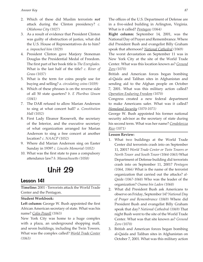- 2. Which of these did Muslim terrorists *not* attack during the Clinton presidency? *c. Oklahoma City (1027)*
- 3. As a result of evidence that President Clinton was guilty of obstruction of justice, what did the U.S. House of Representatives do to him? *a. impeached him (1029)*
- 4. President Clinton gave Marjory Stoneman Douglas the Presidential Medal of Freedom. The first part of her book title is *The Everglades*. What is the last half of the title? *c. River of Grass (1037)*
- 5. What is the term for coins people use for buying and selling? *a. circulating coins (1039)*
- 6. Which of these phrases is on the reverse side of all 50 state quarters? *b. E Pluribus Unum (1041)*
- 7. The DAR refused to allow Marian Anderson to sing at what concert hall? *a. Constitution Hall (1052)*
- 8. First Lady Eleanor Roosevelt, the secretary of the Interior, and the executive secretary of what organization arranged for Marian Anderson to sing a free concert at another location? *c. NAACP (1052)*
- 9. Where did Marian Anderson sing on Easter Sunday in 1939? *c. Lincoln Memorial (1052)*
- 10. What was the first state to pass a compulsory attendance law? *b. Massachusetts (1058)*

# Unit 29

# Lesson 141

**Timeline:** 2001 - Terrorists attack the World Trade Center and the Pentagon.

### **Student Workbook:**

**Left column:** George W. Bush appointed the first African American secretary of state. What was his name? *Colin Powell (1063)*

New York City was home to a huge complex with a plaza, an underground shopping mall, and seven buildings, including the Twin Towers. What was the complex called? *World Trade Center (1063)*

The offices of the U.S. Department of Defense are in a five-sided building in Arlington, Virginia. What is it called? *Pentagon (1064)*

**Right column:** September 14, 2001, was the National Day of Prayer and Remembrance. Where did President Bush and evangelist Billy Graham speak that afternoon? *National Cathedral (1069)*

The worst devastation on September 11 was in New York City at the site of the World Trade Center. What was this location known as? *Ground Zero (1070)*

British and American forces began bombing al-Qaida and Taliban sites in Afghanistan and sending aid to the Afghan people on October 7, 2001. What was this military action called? *Operation Enduring Freedom (1070)*

Congress created a new federal department to make Americans safer. What was it called? *Homeland Security (1070-1071)*

George W. Bush appointed his former national security advisor as the secretary of state during his second term. What was her name? *Condoleezza Rice (1071)*

- 1. What two buildings at the World Trade Center did terrorists crash into on September 11, 2001? *World Trade Center or Twin Towers or North Tower and South Tower (1064-1065)* What Department of Defense building did terrorists crash into on September 11, 2001? *Pentagon (1064, 1066)* What is the name of the terrorist organization that carried out the attacks? *al-Qaida (1067-1068)* Who was the leader of the organization? *Osama bin Laden (1068)*
- 2. What did President Bush ask Americans to observe on Friday, September 14? *National Day of Prayer and Remembrance (1069)* Where did President Bush and evangelist Billy Graham speak that day? *National Cathedral (1069)* That night Bush went to the site of the World Trade Center. What was that site known as? *Ground Zero (1070)*
- 3. British and American forces began bombing al-Qaida and Taliban sites in Afghanistan on October 7, 2001. What was this military action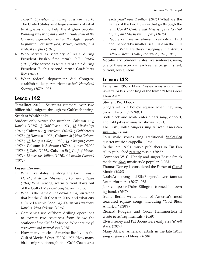called? *Operation Enduring Freedom (1070)*  The United States sent large amounts of what to Afghanistan to help the Afghan people? *Wording may vary, but should include some of the following information: aid to the Afghan people to provide them with food, shelter, blankets, and medical supplies (1070)*

- 4. Who served as secretary of state during President Bush's first term? *Colin Powell (1063)* Who served as secretary of state during President Bush's second term? *Condoleezza Rice (1071)*
- 5. What federal department did Congress establish to keep Americans safer? *Homeland Security (1070-1071)*

# Lesson 142

**Timeline:** 2019 - Scientists estimate over two billion birds migrate through the Gulf each spring.

#### **Student Workbook:**

Student only writes the number. **Column 1:** *6 Katrina (1075), 2 Gulf Coast (1074), 13 Mississippi (1076);* **Column 2:** *9 petroleum (1076), 5 Gulf Stream (1075), 10 Houston (1076);* **Column 3:** *7 New Orleans (1075), 15 Kemp's ridley (1080), 14 whooping crane (1076);* **Column 4:** *8 shrimp (1076), 11 over 15,000 (1076), 3 Cuba (1074);* **Column 5:** *1 Gulf of Mexico (1074), 12 over two billion (1076), 4 Yucatán Channel (1074)*

### **Lesson Review:**

- 1. What five states lie along the Gulf Coast? *Florida, Alabama, Mississippi, Louisiana, Texas (1074)* What strong, warm current flows out of the Gulf of Mexico? *Gulf Stream (1075)*
- 2. What is the name of the devastating hurricane that hit the Gulf Coast in 2005, and what city suffered terrible flooding? *Katrina or Hurricane Katrina, New Orleans (1075)*
- 3. Companies use offshore drilling operations to extract two resources from below the seafloor of the Gulf of Mexico. What are they? *petroleum and natural gas (1076)*
- 4. How many species of marine life live in the Gulf of Mexico? *Over 15,000 (1076)* How many birds migrate through the Gulf Coast area

each year? *over 2 billion (1076)* What are the names of the two flyways that go through the Gulf Coast? *Central and Mississippi or Central Flyway and Mississippi Flyway (1076)*

5. People can see an almost five-foot-tall bird and the world's smallest sea turtle on the Gulf Coast. What are they? *whooping crane, Kemp's ridley or Kemp's ridley sea turtle (1076, 1080)*

**Vocabulary:** Student writes five sentences, using one of these words in each sentence: gulf, strait, current, levee, teem.

# Lesson 143

**Timeline:** 1968 - Elvis Presley wins a Grammy Award for his recording of the hymn "How Great Thou Art."

#### **Student Workbook:**

Singers sit in a hollow square when they sing *Sacred* Harp. *(1082-1083)*

Both black and white entertainers sang, danced, and told jokes in *minstrel* shows. *(1083)*

The Fisk Jubilee Singers sing African American *spirituals*. *(1084)*

Four male voices sing traditional *barbershop*  quartet music a cappella. *(1085)*

In the late 1800s, music publishers in Tin Pan Alley published *ragtime* music. *(1085)*

Composer W. C. Handy and singer Bessie Smith made the *blues* music style popular. *(1085)*

Thomas Dorsey is considered the Father of *Gospel* Music. *(1086)*

Louis Armstrong and Ella Fitzgerald were famous *jazz* performers. *(1087-1088)*

Jazz composer Duke Ellington formed his own *big* band. *(1087)*

Irving Berlin wrote some of America's most treasured *popular* songs, including "God Bless America." *(1088)*

Richard Rodgers and Oscar Hammerstein II wrote *Broadway* musicals. *(1089)*

Elvis Presley and Pat Boone were early *rock* 'n' *roll* stars. *(1089)*

Many African American artists in the late 1940s sang *rhythm* and blues. *(1090)*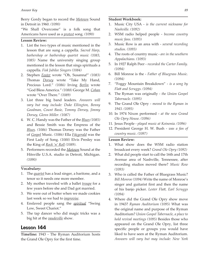Berry Gordy began to record the *Motown* Sound in Detroit in 1960. *(1090)*

"We Shall Overcome" is a folk song that Americans have used as a *protest* song. *(1090)*

#### **Lesson Review:**

- 1. List the two types of music mentioned in the lesson that are sung a cappella. *Sacred Harp, barbershop or barbershop quartet music (1083, 1085)* Name the university singing group mentioned in the lesson that sings spirituals a cappella. *Fisk Jubilee Singers (1084)*
- 2. Stephen *Foster* wrote "Oh, Susanna!" *(1083)*  Thomas *Dorsey* wrote "Take My Hand, Precious Lord." *(1086)* Irving *Berlin* wrote "God Bless America." *(1088)* George M. *Cohan* wrote "Over There." *(1089)*
- 3. List three big band leaders. *Answers will vary but may include: Duke Ellington, Benny Goodman, Count Basie, Tommy Dorsey, Jimmy Dorsey, Glenn Miller. (1087)*
- 4. W. C. Handy was the Father of the *Blues(1085)*  and Bessie Smith was the Empress of the *Blues. (1086)* Thomas Dorsey was the Father of *Gospel* Music. *(1086)* Ella *Fitzgerald* was the First Lady of Song. *(1088)* Elvis Presley was the King of *Rock 'n' Roll (1089)*.
- 5. Performers recorded the *Motown* Sound at the Hitsville U.S.A. studio in Detroit, Michigan. *(1090)*

#### **Vocabulary:**

- 1. The *quartet* has a lead singer, a baritone, and a tenor so it needs one more member.
- 2. My mother traveled with a ballet *troupe* for a few years before she and Dad got married.
- 3. We were out of butter when we made cookies last week so we had to *improvise*.
- 4. Enslaved people sang the *spiritual* "Swing Low, Sweet Chariot."
- 5. The tap dancer who did magic tricks was a big hit at the *vaudeville* show.

## Lesson 144

**Timeline:** 1943 - The Ryman Auditorium hosts the Grand Ole Opry for the first time.

#### **Student Workbook:**

- 1. Music City USA *is the current nickname for Nashville. (1092)*
- 2. WSM radio helped people *become country music fans. (1093)*
- 3. Music Row is an area with *several recording studios. (1093)*
- 4. The roots of country music *are in the southern Appalachians. (1093)*
- 5. In 1927 Ralph Peer *recorded the Carter Family. (1094)*
- 6. Bill Monroe is the *Father of Bluegrass Music. (1094)*
- 7. "Foggy Mountain Breakdown" *is a song by Flatt and Scruggs. (1094)*
- 8. The Ryman was originally *the Union Gospel Tabernacle. (1095)*
- 9. The Grand Ole Opry *moved to the Ryman in 1943. (1095)*
- 10. In 1974 Nixon performed *at the new Grand Ole Opry House. (1096)*
- 11. Jesus People *played music at Koinonia. (1096)*
- 12. President George H. W. Bush *was a fan of country music. (1097)*

- 1. What show does the WSM radio station broadcast every week? *Grand Ole Opry (1092)*
- 2. What did people start to call the 16th and 17th Avenue area of Nashville, Tennessee, after recording studios moved there? *Music Row (1093)*
- 3. Who is called the Father of Bluegrass Music? *Bill Monroe (1094)* Write the name of Monroe's singer and guitarist first and then the name of his banjo picker. *Lester Flatt, Earl Scruggs (1094)*
- 4. Where did the Grand Ole Opry show move in 1943? *Ryman Auditorium (1095)* What was the original name and purpose of the Ryman Auditorium? *Union Gospel Tabernacle, a place to hold revival meetings (1095)* Besides those who appeared on the Grand Ole Opry, list three specific people or groups you would have liked to have seen at the Ryman Auditorium. *Answers will vary but may include: New York*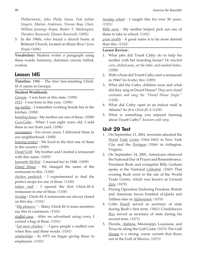*Philharmonic, John Philip Sousa, Fisk Jubilee Singers, Marian Anderson, Vienna Boys Choir, William Jennings Bryan, Booker T. Washington, Theodore Roosevelt, Eleanor Roosevelt. (1095)*

5. In the 1960s, who found a church home at Belmont Church, located on Music Row? *Jesus People (1096)*

**Vocabulary:** Student writes a paragraph using these words: harmony, dulcimer, encore, ballad, ovation.

# Lesson 145

**Timeline:** 1986 - The first free-standing Chickfil-A opens in Georgia.

### **Student Workbook:**

*Georgia* - I was born in this state. *(1098)*

*1921* - I was born in this year. *(1098)*

*my mother* - I remember working beside her in the kitchen. *(1098)*

*boarding house* - My mother ran one of these. *(1098) Coca-Colas* - When I was eight years old, I sold these in our front yard. *(1098)*

*newspapers* - For seven years, I delivered these in our neighborhood. *(1098)*

*housing project* - We lived in the first one of these in the country. *(1099)*

*Dwarf Grill* - My brother and I started a restaurant with this name. *(1099)*

*Jeannette McNeil* - I married her in 1948. *(1099)*

*Dwarf House* - We changed the name of the restaurant to this. *(1100)*

*chicken sandwich* - I experimented to find the perfect recipe for one of these. *(1100)*

*indoor mall* - I opened the first Chick-fil-A restaurant in one of these. *(1100)*

*Sunday* - Chick-fil-A restaurants are always closed on this day. *(1101)*

*"My pleasure."* - Many Chick-fil-A team members say this to customers. *(1101)*

*stuffed cows* - After we advertised using cows, I carried a bag of these. *(1101)*

*"Eat more chicken."* - I gave people a stuffed cow when they said these words. *(1101)*

*scholarships* - In 1973 we began giving these to employees. *(1101)*

*Sunday school* - I taught this for over 50 years. *(1101)*

*Bible verse* - My mother helped pick out one of these to take to school. *(1102)*

*great wealth* - A good name is to be more desired than this. *(1102)*

### **Lesson Review:**

- 1. What jobs did Truett Cathy do to help his mother with her boarding house? *He shucked corn, shelled peas, set the table, and washed dishes. (1098)*
- 2. With whom did Truett Cathy start a restaurant in 1946? *his brother Ben (1099)*
- 3. What did the Cathy children wear and what did they sing at Dwarf House? *They wore dwarf costumes and sang the "Dwarf House Jingle." (1100)*
- 4. What did Cathy open in an indoor mall in Atlanta? *the first Chick-fil-A (1100)*
- 5. What is something you enjoyed learning about Truett Cathy? *Answers will vary.*

# Unit 29 Test

- 1. On September 11, 2001, terrorists attacked the *World Trade Center (1064-1065)* in New York City and the *Pentagon (1066)* in Arlington, Virginia.
- 2. On September 14, 2001, Americans observed the National Day of Prayer and Remembrance. President Bush and evangelist Billy Graham spoke at the National *Cathedral. (1069)* That evening Bush went to the site of the World Trade Center, which was known as Ground *Zero. (1070)*
- 3. During Operation Enduring Freedom, British and American forces bombed al-Qaida and Taliban sites in *Afghanistan*. *(1070)*
- 4. Colin *Powell* served as secretary of state during Bush's first term. *(1063)* Condoleezza *Rice* served as secretary of state during his second term. *(1071)*
- 5. Florida, *Alabama*, Mississippi, Louisiana, and Texas lie along the Gulf Coast. *(1074)* The Gulf *Stream* is a strong, warm current that flows out of the Gulf of Mexico. *(1075)*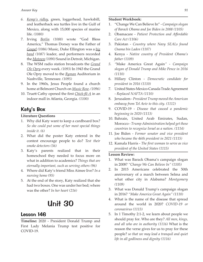- *6. Kemp's ridley*, green, loggerhead, hawksbill, and leatherback sea turtles live in the Gulf of Mexico, along with 15,000 species of marine life. *(1080)*
- 7. Irving *Berlin (1088)* wrote "God Bless America," Thomas Dorsey was the Father of *Gospel (1086)* Music, Duke Ellington was a *big band (1087)* leader, and performers recorded the *Motown (1090)* Sound in Detroit, Michigan.
- 8. The WSM radio station broadcasts the *Grand Ole Opry* every week. *(1093)* In 1943 the Grand Ole Opry moved to the *Ryman* Auditorium in Nashville, Tennessee. *(1095)*
- 9. In the 1960s, Jesus People found a church home at Belmont Church on *Music Row*. *(1096)*
- 10. Truett Cathy opened the first *Chick-fil-A* in an indoor mall in Atlanta, Georgia. *(1100)*

# Katy's Box

#### **Literature Questions**

- 1. Why did Katy want to keep a cardboard box? *So she could put some of her most special things inside it. (6)*
- 2. What did the poster Katy entered in the contest encourage people to do? *Test their smoke detectors (36)*
- 3. Katy's parents realized that in their homeschool they needed to focus more on what in addition to academics? *Things that are eternally important, such as serving others (96)*
- 4. Where did Katy's friend Miss Aimee live? *In a nursing home (95)*
- 5. At the end of the story, Katy realized that she had two boxes. One was under her bed; where was the other? *In her heart (216)*

# Unit 30

## Lesson 146

**Timeline:** 2020 - President Donald Trump and First Lady Melania Trump test positive for COVID-19.

#### **Student Workbook:**

- 1. "Change We Can Believe In" *Campaign slogan of Barack Obama and Joe Biden in 2008 (1105)*
- 2. Obamacare *Patient Protection and Affordable Care Act (1106)*
- 3. Pakistan *Country where Navy SEALs found Osama bin Laden (1107)*
- 4. Kenya *Native country of President Obama's father (1109)*
- *5. "*Make America Great Again*" Campaign slogan of Donald Trump and Mike Pence in 2016 (1110)*
- 6. Hillary Clinton *Democratic candidate for president in 2016 (1110)*
- 7. United States-Mexico-Canada Trade Agreement - *Replaced NAFTA (1110)*
- 8. Jerusalem *President Trump moved the American embassy from Tel Aviv to this city. (1112)*
- 9. COVID-19 *Disease that caused a pandemic beginning in 2020 (1113)*
- 10. Bahrain, United Arab Emirates, Sudan, Morocco - *Trump Administration helped get these countries to recognize Israel as a nation. (1114)*
- 11. Joe Biden *Former senator and vice president who became the 46th president in 2021 (1115)*
- 12. Kamala Harris *The first woman to serve as vice president of the United States (1115)*

- 1. What was Barack Obama's campaign slogan in 2008? *"Change We Can Believe In" (1105)*
- 2. In 2015 Americans celebrated the 50th anniversary of a march between Selma and what other city in Alabama? *Montgomery (1109)*
- 3. What was Donald Trump's campaign slogan in 2016? *"Make America Great Again" (1110)*
- 4. What is the name of the disease that spread around the world in 2020? *COVID-19 or coronavirus (1113)*
- 5. In 1 Timothy 2:1-2, we learn about people we should pray for. Who are they? *All men, kings, and all who are in authority (1116)* What is the reason the verse gives for us to pray for these people? *so that we may lead a tranquil and quiet life in all godliness and dignity (1116)*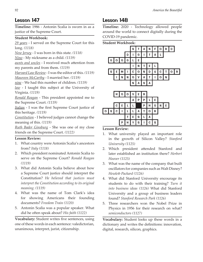# Lesson 147

**Timeline:** 1986 - Antonin Scalia is sworn in as a justice of the Supreme Court.

#### **Student Workbook:**

*29 years* - I served on the Supreme Court for this long. *(1118)*

- *New Jersey* I was born in this state. *(1118)*
- *Nino* My nickname as a child. *(1119)*

*aunts and uncles* - I received much attention from my parents and from them. *(1119)*

*Harvard Law Review* - I was the editor of this. *(1119) Maureen McCarthy* - I married her. *(1119)*

*nine* - We had this number of children. *(1119)*

*law* - I taught this subject at the University of Virginia. *(1119)*

*Ronald Reagan* - This president appointed me to the Supreme Court. *(1119)*

*Italian* - I was the first Supreme Court justice of this heritage. *(1119)*

*Constitution* - I believed judges cannot change the meaning of this. *(1119)*

*Ruth Bader Ginsburg* - She was one of my close friends on the Supreme Court. *(1122)*

### **Lesson Review:**

- 1. What country were Antonin Scalia's ancestors from? *Italy (1118)*
- 2. Which president nominated Antonin Scalia to serve on the Supreme Court? *Ronald Reagan (1119)*
- 3. What did Antonin Scalia believe about how a Supreme Court justice should interpret the Constitution? *He believed that justices must interpret the Constitution according to its original meaning. (1119)*
- 4. What was the name of Tom Clark's idea for showing Americans their founding documents? *Freedom Train (1120)*
- 5. Antonin Scalia was a popular speaker. What did he often speak about? *His faith (1122)*

**Vocabulary:** Student writes five sentences, using one of these words in each sentence: valedictorian, unanimous, interpret, jurist, citizenship.

# Lesson 148

**Timeline:** 2020 - Technology allowed people around the world to connect digitally during the COVID-19 pandemic.



### **Lesson Review:**

- 1. What university played an important role in the growth of Silicon Valley? *Stanford University (1125)*
- 2. Which president attended Stanford and later established an institution there? *Herbert Hoover (1125)*
- 3. What was the name of the company that built oscillators for companies such as Walt Disney? *Hewlett-Packard (1126)*
- 4. What did Stanford University encourage its students to do with their training? *Turn it into business ideas (1126)* What did Stanford University and a group of business leaders found? *Stanford Research Park (1126)*
- 5. Three researchers won the Nobel Prize in Physics in 1956 for their research on what? *semiconductors (1127)*

**Vocabulary:** Student looks up these words in a dictionary and writes the definitions: innovation, digital, research, silicon, graphics.